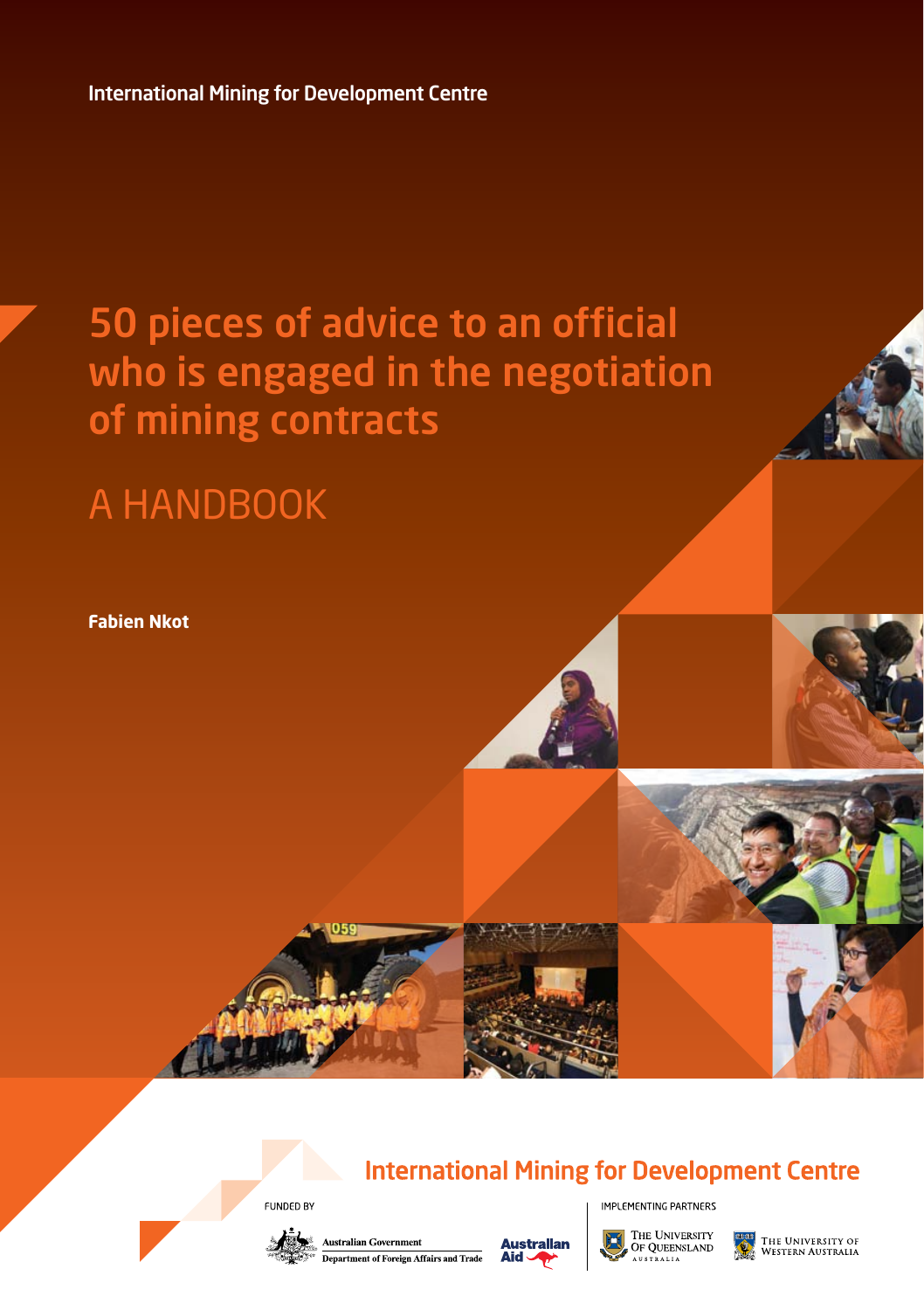International Mining for Development Centre

### 50 pieces of advice to an official who is engaged in the negotiation of mining contracts

### **A HANDBOOK**

**Fabien Nkot**

#### **International Mining for Development Centre**

**FUNDED BY** 





THE UNIVERSITY OF QUEENSLAND

**IMPLEMENTING PARTNERS** 

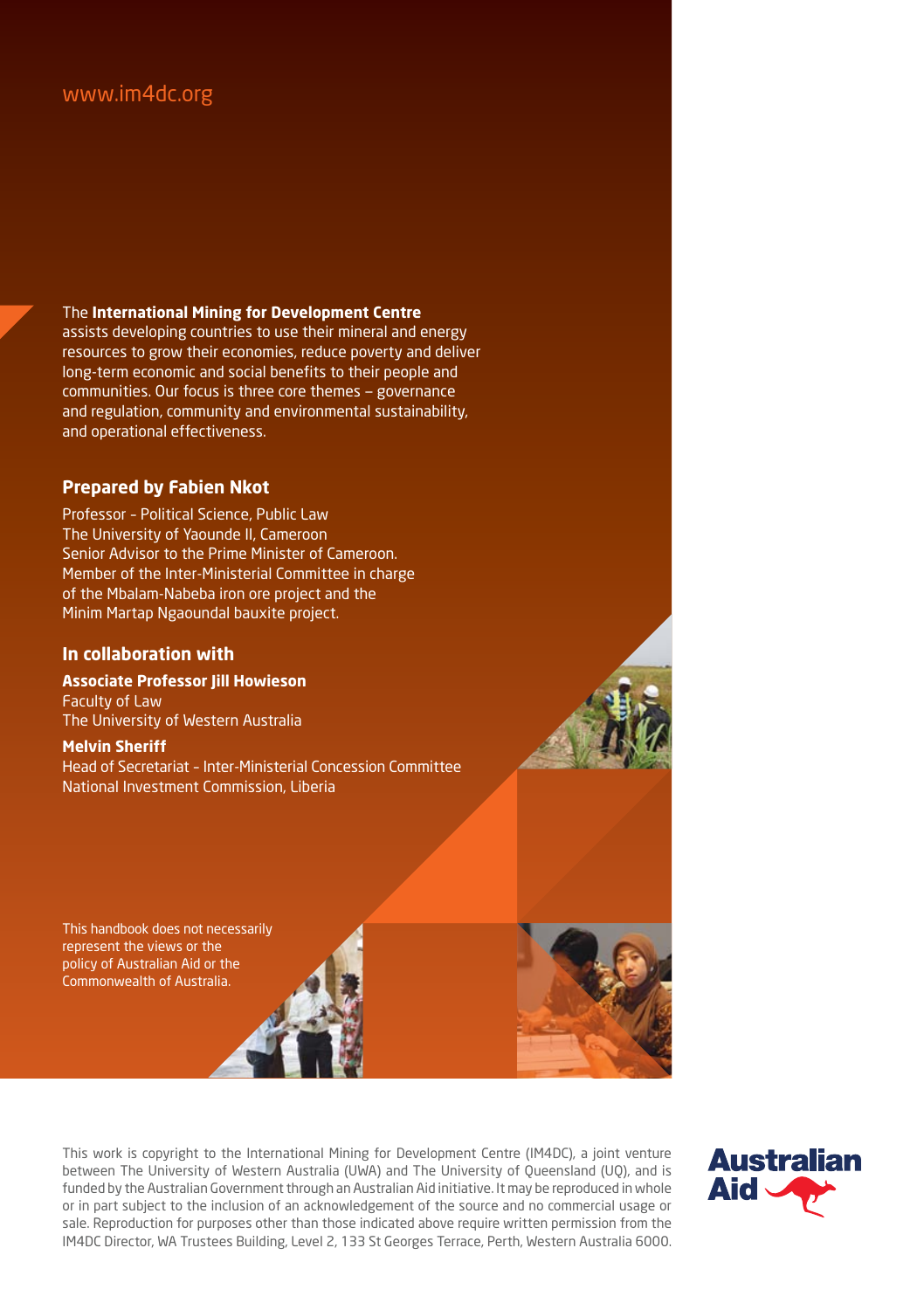#### www.im4dc.org

#### The **International Mining for Development Centre**

assists developing countries to use their mineral and energy resources to grow their economies, reduce poverty and deliver long-term economic and social benefits to their people and communities. Our focus is three core themes — governance and regulation, community and environmental sustainability, and operational effectiveness.

#### **Prepared by Fabien Nkot**

Professor – Political Science, Public Law The University of Yaounde II, Cameroon Senior Advisor to the Prime Minister of Cameroon. Member of the Inter-Ministerial Committee in charge of the Mbalam-Nabeba iron ore project and the Minim Martap Ngaoundal bauxite project.

#### **In collaboration with**

**Associate Professor Jill Howieson** Faculty of Law The University of Western Australia

#### **Melvin Sheriff**

Head of Secretariat – Inter-Ministerial Concession Committee National Investment Commission, Liberia

This handbook does not necessarily represent the views or the policy of Australian Aid or the Commonwealth of Australia.







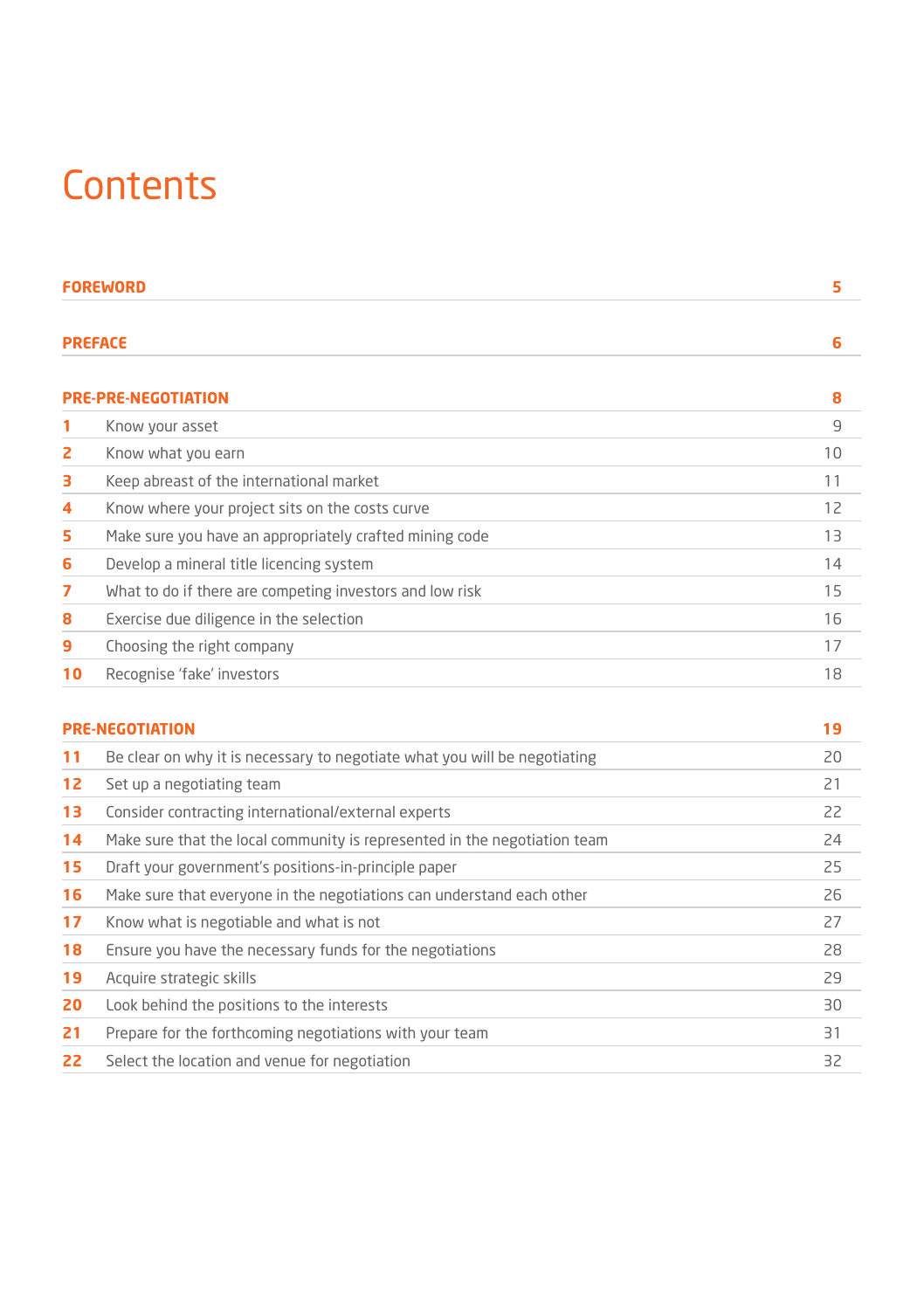### **Contents**

|    | <b>FOREWORD</b>                                          | 5  |
|----|----------------------------------------------------------|----|
|    | <b>PREFACE</b>                                           | 6  |
|    | <b>PRE-PRE-NEGOTIATION</b>                               | 8  |
| 1  | Know your asset                                          | 9  |
| 2  | Know what you earn                                       | 10 |
| з  | Keep abreast of the international market                 | 11 |
| 4  | Know where your project sits on the costs curve          | 12 |
| 5  | Make sure you have an appropriately crafted mining code  | 13 |
| 6  | Develop a mineral title licencing system                 | 14 |
| 7  | What to do if there are competing investors and low risk | 15 |
| 8  | Exercise due diligence in the selection                  | 16 |
| 9  | Choosing the right company                               | 17 |
| 10 | Recognise 'fake' investors                               | 18 |
|    |                                                          |    |

|    | <b>PRE-NEGOTIATION</b>                                                    | 19 |
|----|---------------------------------------------------------------------------|----|
| 11 | Be clear on why it is necessary to negotiate what you will be negotiating | 20 |
| 12 | Set up a negotiating team                                                 | 21 |
| 13 | Consider contracting international/external experts                       | 22 |
| 14 | Make sure that the local community is represented in the negotiation team | 24 |
| 15 | Draft your government's positions-in-principle paper                      | 25 |
| 16 | Make sure that everyone in the negotiations can understand each other     | 26 |
| 17 | Know what is negotiable and what is not                                   | 27 |
| 18 | Ensure you have the necessary funds for the negotiations                  | 28 |
| 19 | Acquire strategic skills                                                  | 29 |
| 20 | Look behind the positions to the interests                                | 30 |
| 21 | Prepare for the forthcoming negotiations with your team                   | 31 |
| 22 | Select the location and venue for negotiation                             | 32 |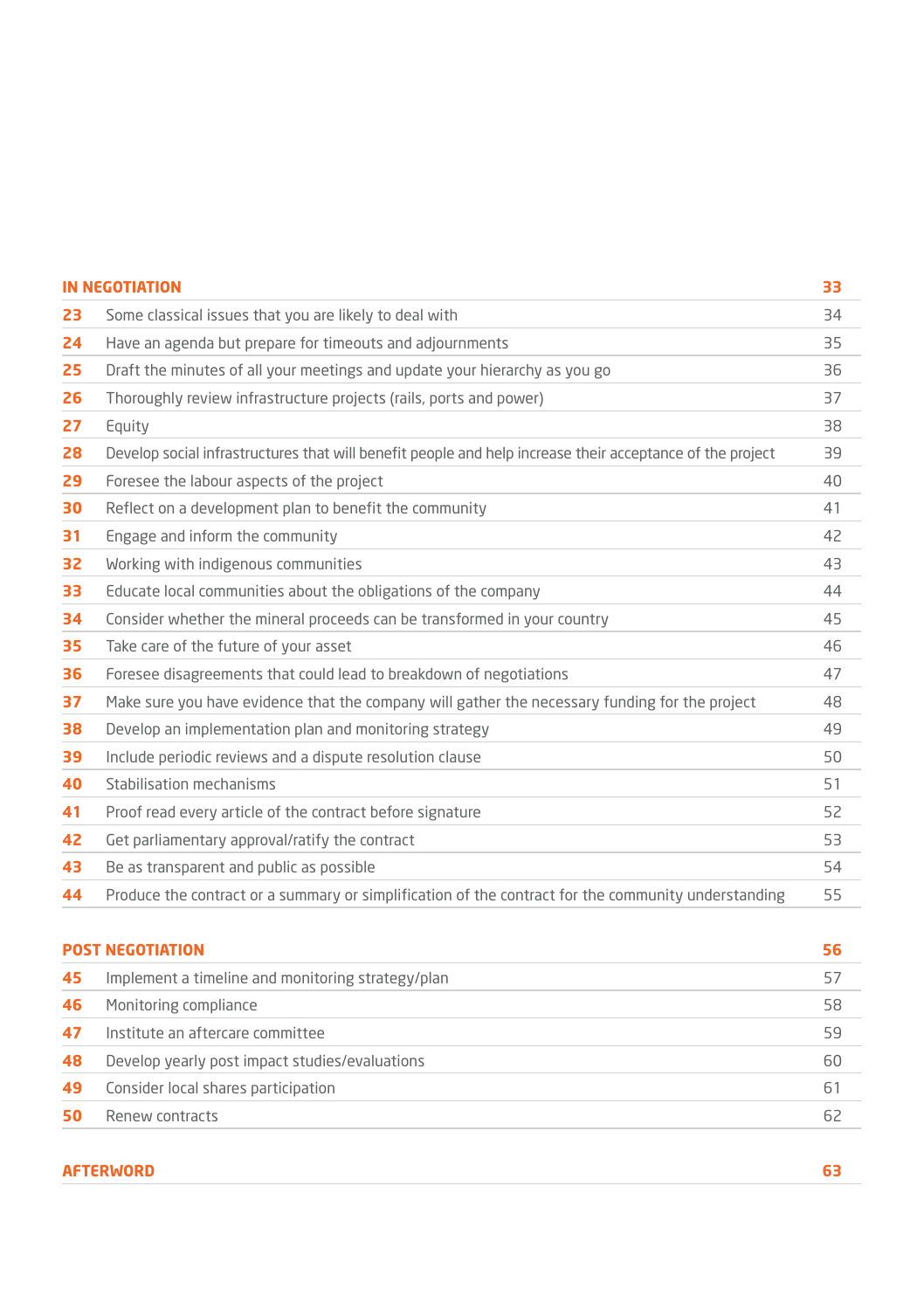|    | <b>IN NEGOTIATION</b>                                                                                     | 33    |
|----|-----------------------------------------------------------------------------------------------------------|-------|
| 23 | Some classical issues that you are likely to deal with                                                    | $-34$ |
| 24 | Have an agenda but prepare for timeouts and adjournments                                                  | 35    |
| 25 | Draft the minutes of all your meetings and update your hierarchy as you go                                | 36    |
| 26 | Thoroughly review infrastructure projects (rails, ports and power)                                        | 37    |
| 27 | Equity                                                                                                    | 38    |
| 28 | Develop social infrastructures that will benefit people and help increase their acceptance of the project | 39    |
| 29 | Foresee the labour aspects of the project                                                                 | 40    |
| 30 | Reflect on a development plan to benefit the community                                                    | 41    |
| 31 | Engage and inform the community                                                                           | 42    |
| 32 | Working with indigenous communities                                                                       | 43    |
| 33 | Educate local communities about the obligations of the company                                            | 44    |
| 34 | Consider whether the mineral proceeds can be transformed in your country                                  | 45    |
| 35 | Take care of the future of your asset                                                                     | 46    |
| 36 | Foresee disagreements that could lead to breakdown of negotiations                                        | 47    |
| 37 | Make sure you have evidence that the company will gather the necessary funding for the project            | 48    |
| 38 | Develop an implementation plan and monitoring strategy                                                    | 49    |
| 39 | Include periodic reviews and a dispute resolution clause                                                  | 50    |
| 40 | Stabilisation mechanisms                                                                                  | 51    |
| 41 | Proof read every article of the contract before signature                                                 | 52    |
| 42 | Get parliamentary approval/ratify the contract                                                            | 53    |
| 43 | Be as transparent and public as possible                                                                  | 54    |
| 44 | Produce the contract or a summary or simplification of the contract for the community understanding       | 55    |
|    | <b>POST NEGOTIATION</b>                                                                                   | 56    |
| 45 | Implement a timeline and monitoring strategy/plan                                                         | 57    |
| 46 | Monitoring compliance                                                                                     | 58    |
| 47 | Institute an aftercare committee                                                                          | 59    |
| 48 | Develop yearly post impact studies/evaluations                                                            | 60    |
| 49 | Consider local shares participation                                                                       | 61    |

**50** Renew contracts **62** 

#### **AFTERWORD 63**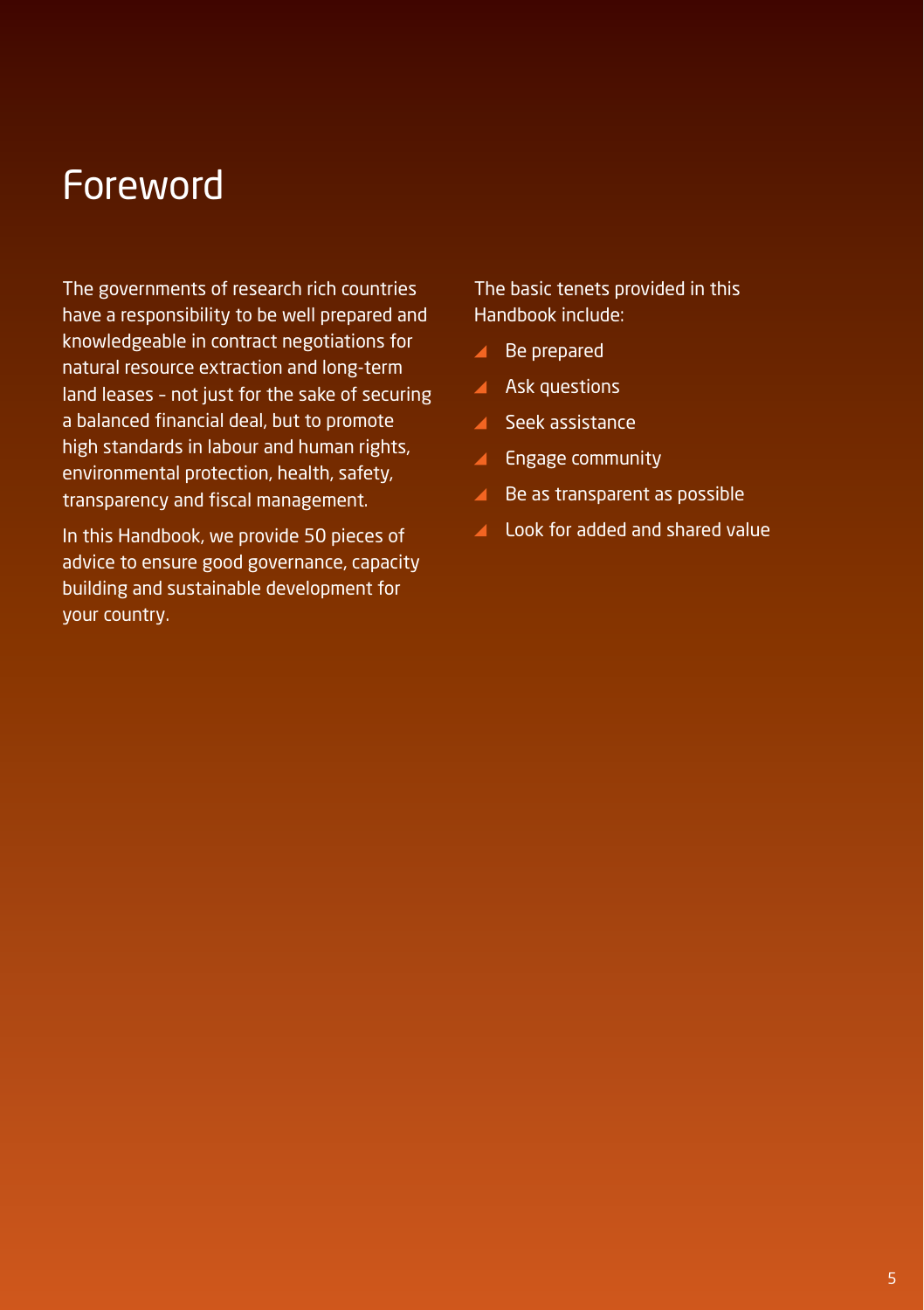#### Foreword

The governments of research rich countries have a responsibility to be well prepared and knowledgeable in contract negotiations for natural resource extraction and long-term land leases – not just for the sake of securing a balanced financial deal, but to promote high standards in labour and human rights, environmental protection, health, safety, transparency and fiscal management.

In this Handbook, we provide 50 pieces of advice to ensure good governance, capacity building and sustainable development for your country.

The basic tenets provided in this Handbook include:

- ▲ Be prepared
- **A** Ask questions
- **Seek assistance**
- $\blacktriangle$  Engage community
- ▲ Be as transparent as possible
- Look for added and shared value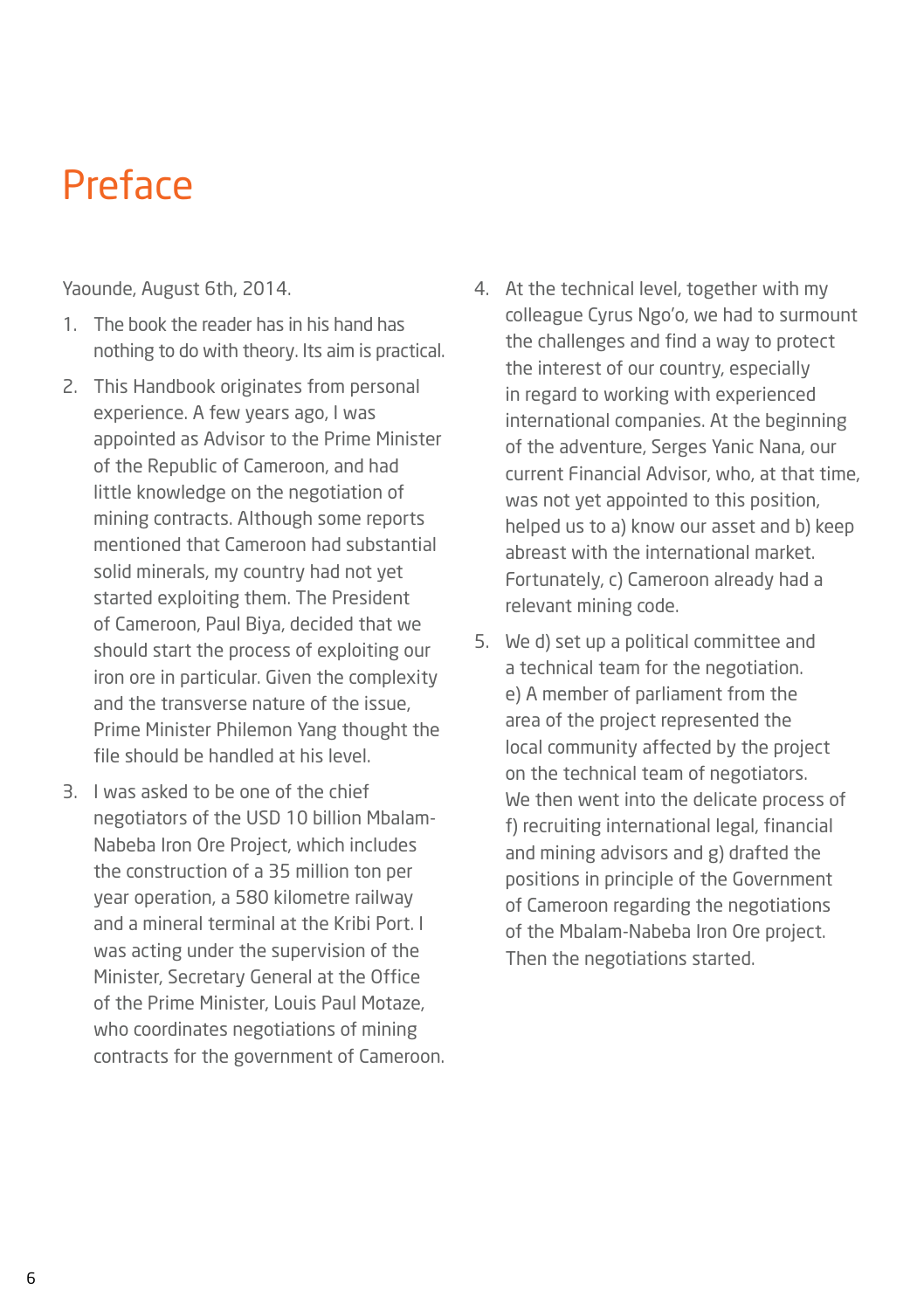#### **Preface**

Yaounde, August 6th, 2014.

- 1. The book the reader has in his hand has nothing to do with theory. Its aim is practical.
- 2. This Handbook originates from personal experience. A few years ago, I was appointed as Advisor to the Prime Minister of the Republic of Cameroon, and had little knowledge on the negotiation of mining contracts. Although some reports mentioned that Cameroon had substantial solid minerals, my country had not yet started exploiting them. The President of Cameroon, Paul Biya, decided that we should start the process of exploiting our iron ore in particular. Given the complexity and the transverse nature of the issue, Prime Minister Philemon Yang thought the file should be handled at his level.
- 3. I was asked to be one of the chief negotiators of the USD 10 billion Mbalam-Nabeba Iron Ore Project, which includes the construction of a 35 million ton per year operation, a 580 kilometre railway and a mineral terminal at the Kribi Port. I was acting under the supervision of the Minister, Secretary General at the Office of the Prime Minister, Louis Paul Motaze, who coordinates negotiations of mining contracts for the government of Cameroon.
- 4. At the technical level, together with my colleague Cyrus Ngo'o, we had to surmount the challenges and find a way to protect the interest of our country, especially in regard to working with experienced international companies. At the beginning of the adventure, Serges Yanic Nana, our current Financial Advisor, who, at that time, was not yet appointed to this position, helped us to a) know our asset and b) keep abreast with the international market. Fortunately, c) Cameroon already had a relevant mining code.
- 5. We d) set up a political committee and a technical team for the negotiation. e) A member of parliament from the area of the project represented the local community affected by the project on the technical team of negotiators. We then went into the delicate process of f) recruiting international legal, financial and mining advisors and g) drafted the positions in principle of the Government of Cameroon regarding the negotiations of the Mbalam-Nabeba Iron Ore project. Then the negotiations started.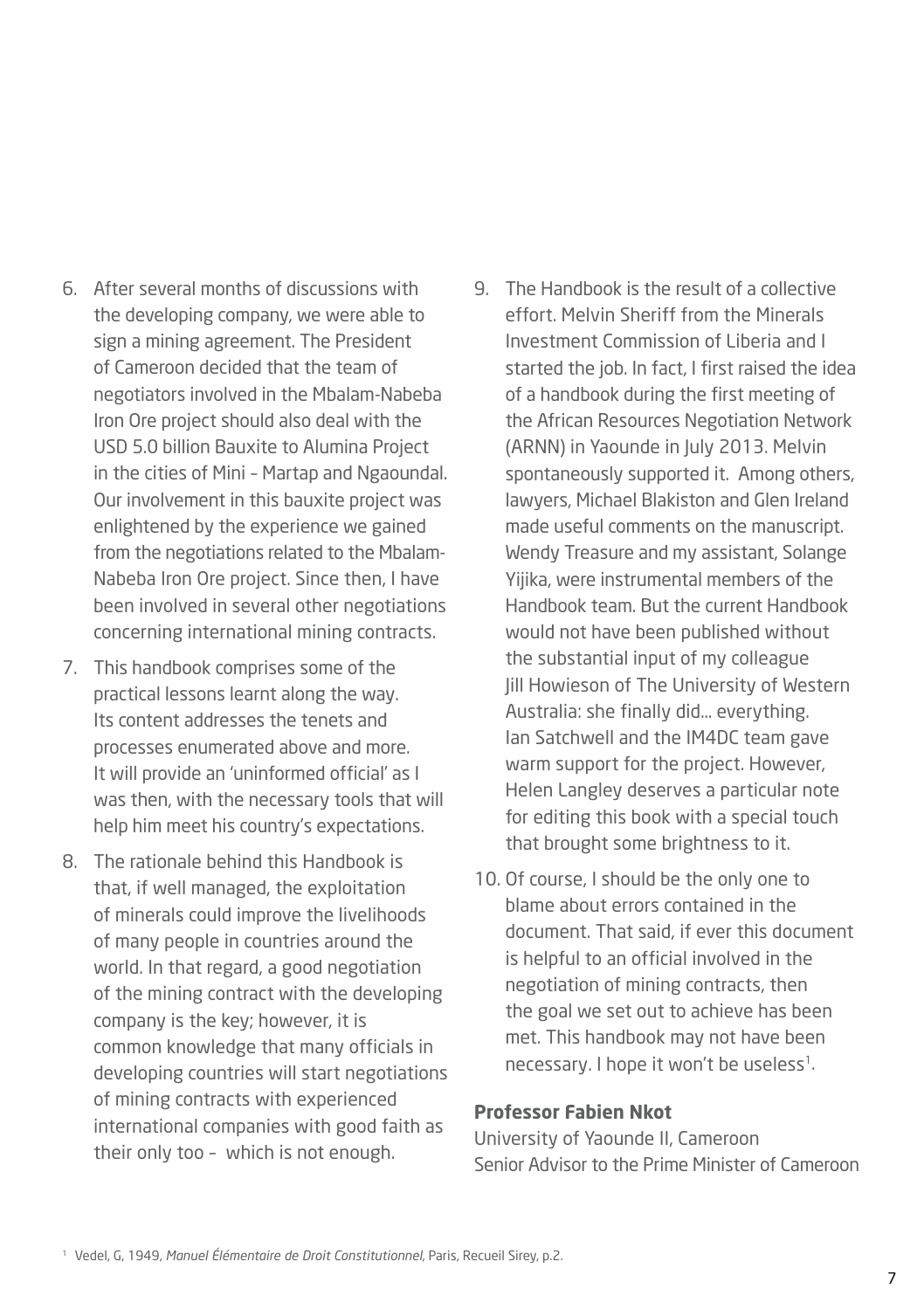- 6. After several months of discussions with the developing company, we were able to sign a mining agreement. The President of Cameroon decided that the team of negotiators involved in the Mbalam-Nabeba Iron Ore project should also deal with the USD 5.0 billion Bauxite to Alumina Project in the cities of Mini – Martap and Ngaoundal. Our involvement in this bauxite project was enlightened by the experience we gained from the negotiations related to the Mbalam-Nabeba Iron Ore project. Since then, I have been involved in several other negotiations concerning international mining contracts.
- 7. This handbook comprises some of the practical lessons learnt along the way. Its content addresses the tenets and processes enumerated above and more. It will provide an 'uninformed official' as I was then, with the necessary tools that will help him meet his country's expectations.
- 8. The rationale behind this Handbook is that, if well managed, the exploitation of minerals could improve the livelihoods of many people in countries around the world. In that regard, a good negotiation of the mining contract with the developing company is the key; however, it is common knowledge that many officials in developing countries will start negotiations of mining contracts with experienced international companies with good faith as their only too – which is not enough.
- 9. The Handbook is the result of a collective effort. Melvin Sheriff from the Minerals Investment Commission of Liberia and I started the job. In fact, I first raised the idea of a handbook during the first meeting of the African Resources Negotiation Network (ARNN) in Yaounde in July 2013. Melvin spontaneously supported it. Among others, lawyers, Michael Blakiston and Glen Ireland made useful comments on the manuscript. Wendy Treasure and my assistant, Solange Yijika, were instrumental members of the Handbook team. But the current Handbook would not have been published without the substantial input of my colleague Jill Howieson of The University of Western Australia: she finally did… everything. Ian Satchwell and the IM4DC team gave warm support for the project. However, Helen Langley deserves a particular note for editing this book with a special touch that brought some brightness to it.
- 10. Of course, I should be the only one to blame about errors contained in the document. That said, if ever this document is helpful to an official involved in the negotiation of mining contracts, then the goal we set out to achieve has been met. This handbook may not have been necessary. I hope it won't be useless<sup>1</sup>.

#### **Professor Fabien Nkot**

University of Yaounde II, Cameroon Senior Advisor to the Prime Minister of Cameroon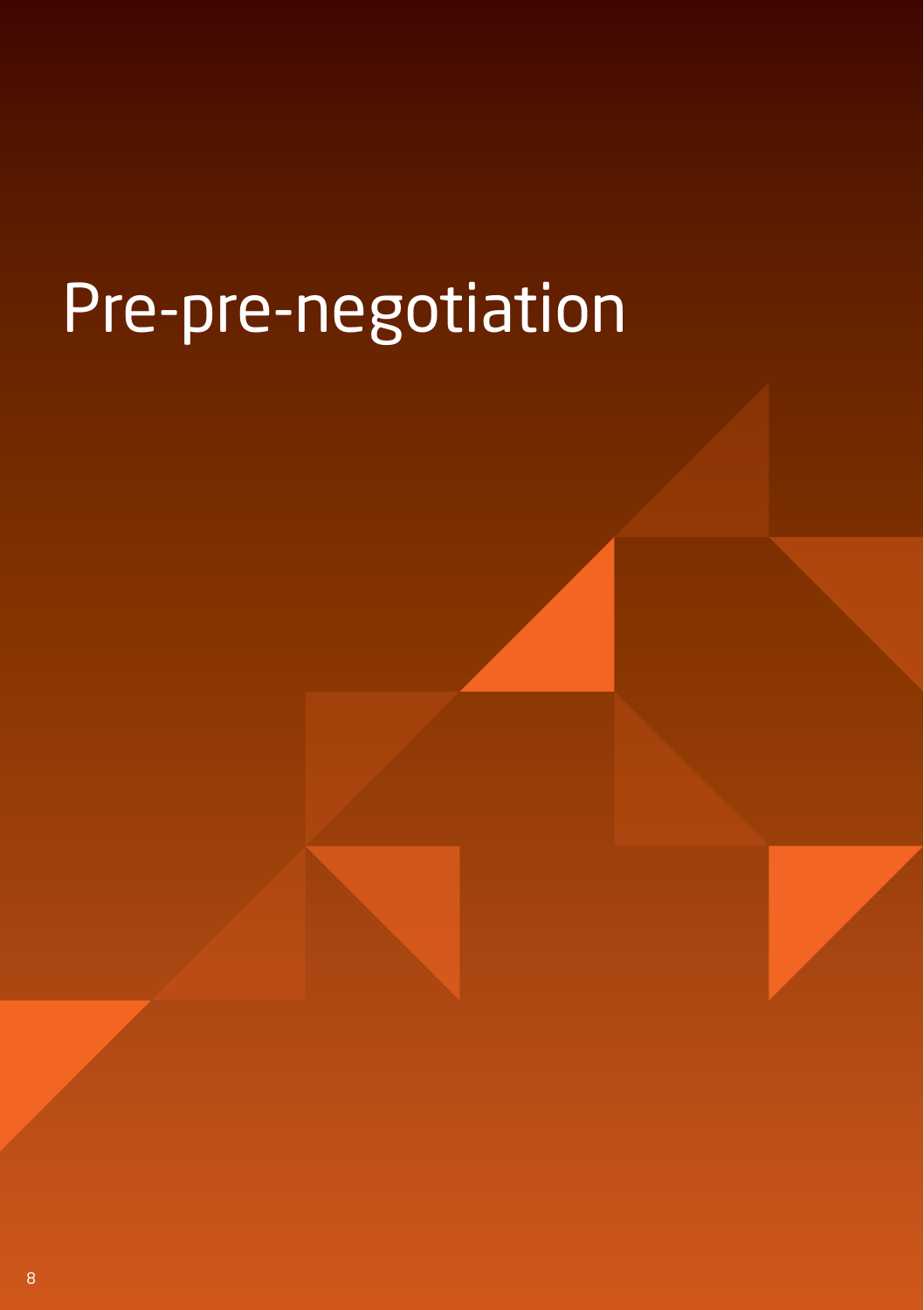# Pre-pre-negotiation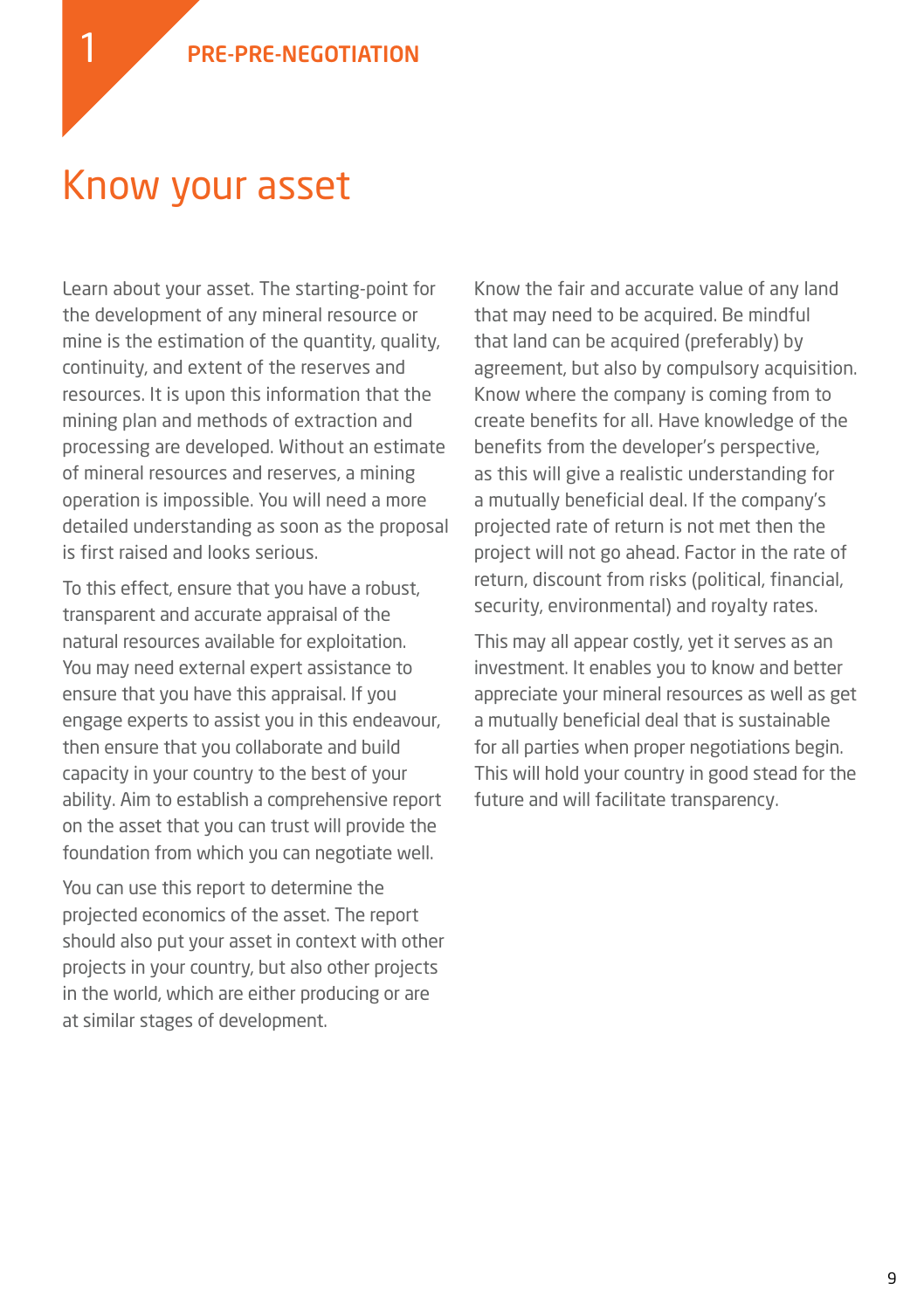#### Know your asset

Learn about your asset. The starting-point for the development of any mineral resource or mine is the estimation of the quantity, quality, continuity, and extent of the reserves and resources. It is upon this information that the mining plan and methods of extraction and processing are developed. Without an estimate of mineral resources and reserves, a mining operation is impossible. You will need a more detailed understanding as soon as the proposal is first raised and looks serious.

To this effect, ensure that you have a robust, transparent and accurate appraisal of the natural resources available for exploitation. You may need external expert assistance to ensure that you have this appraisal. If you engage experts to assist you in this endeavour, then ensure that you collaborate and build capacity in your country to the best of your ability. Aim to establish a comprehensive report on the asset that you can trust will provide the foundation from which you can negotiate well.

You can use this report to determine the projected economics of the asset. The report should also put your asset in context with other projects in your country, but also other projects in the world, which are either producing or are at similar stages of development.

Know the fair and accurate value of any land that may need to be acquired. Be mindful that land can be acquired (preferably) by agreement, but also by compulsory acquisition. Know where the company is coming from to create benefits for all. Have knowledge of the benefits from the developer's perspective, as this will give a realistic understanding for a mutually beneficial deal. If the company's projected rate of return is not met then the project will not go ahead. Factor in the rate of return, discount from risks (political, financial, security, environmental) and royalty rates.

This may all appear costly, yet it serves as an investment. It enables you to know and better appreciate your mineral resources as well as get a mutually beneficial deal that is sustainable for all parties when proper negotiations begin. This will hold your country in good stead for the future and will facilitate transparency.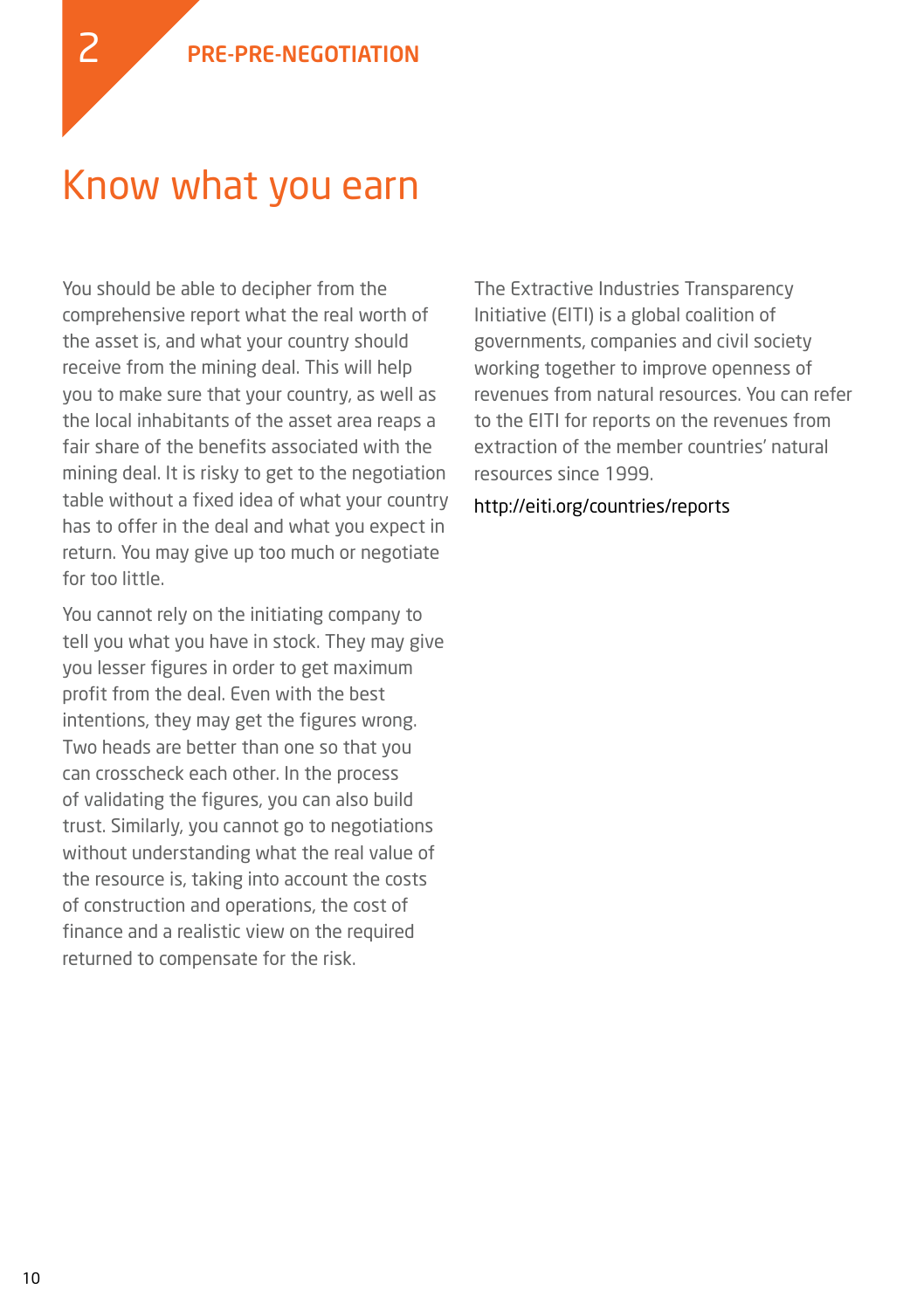#### Know what you earn

You should be able to decipher from the comprehensive report what the real worth of the asset is, and what your country should receive from the mining deal. This will help you to make sure that your country, as well as the local inhabitants of the asset area reaps a fair share of the benefits associated with the mining deal. It is risky to get to the negotiation table without a fixed idea of what your country has to offer in the deal and what you expect in return. You may give up too much or negotiate for too little.

You cannot rely on the initiating company to tell you what you have in stock. They may give you lesser figures in order to get maximum profit from the deal. Even with the best intentions, they may get the figures wrong. Two heads are better than one so that you can crosscheck each other. In the process of validating the figures, you can also build trust. Similarly, you cannot go to negotiations without understanding what the real value of the resource is, taking into account the costs of construction and operations, the cost of finance and a realistic view on the required returned to compensate for the risk.

The Extractive Industries Transparency Initiative (EITI) is a global coalition of governments, companies and civil society working together to improve openness of revenues from natural resources. You can refer to the EITI for reports on the revenues from extraction of the member countries' natural resources since 1999.

http://eiti.org/countries/reports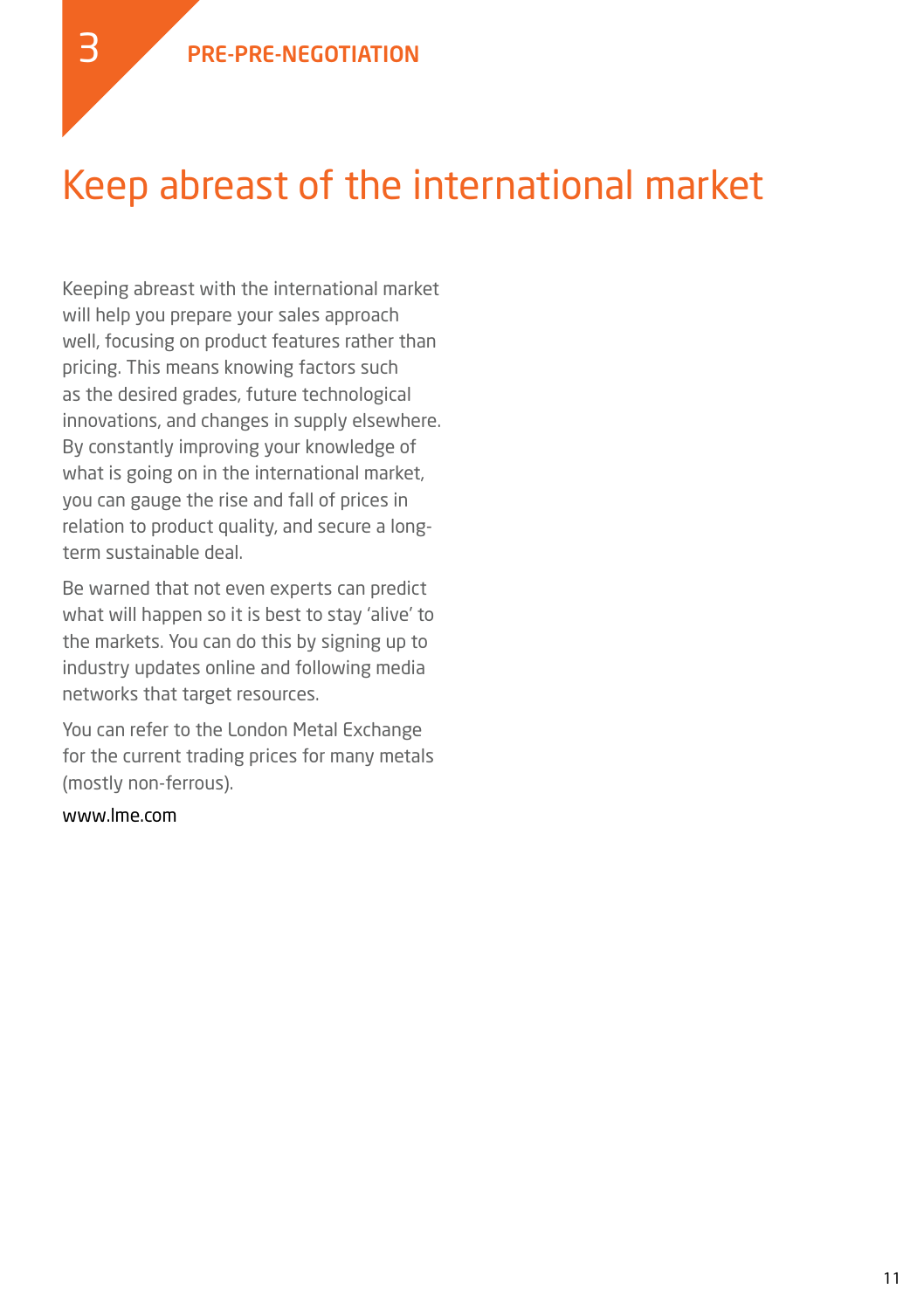## Keep abreast of the international market

Keeping abreast with the international market will help you prepare your sales approach well, focusing on product features rather than pricing. This means knowing factors such as the desired grades, future technological innovations, and changes in supply elsewhere. By constantly improving your knowledge of what is going on in the international market, you can gauge the rise and fall of prices in relation to product quality, and secure a longterm sustainable deal.

Be warned that not even experts can predict what will happen so it is best to stay 'alive' to the markets. You can do this by signing up to industry updates online and following media networks that target resources.

You can refer to the London Metal Exchange for the current trading prices for many metals (mostly non-ferrous).

#### www.lme.com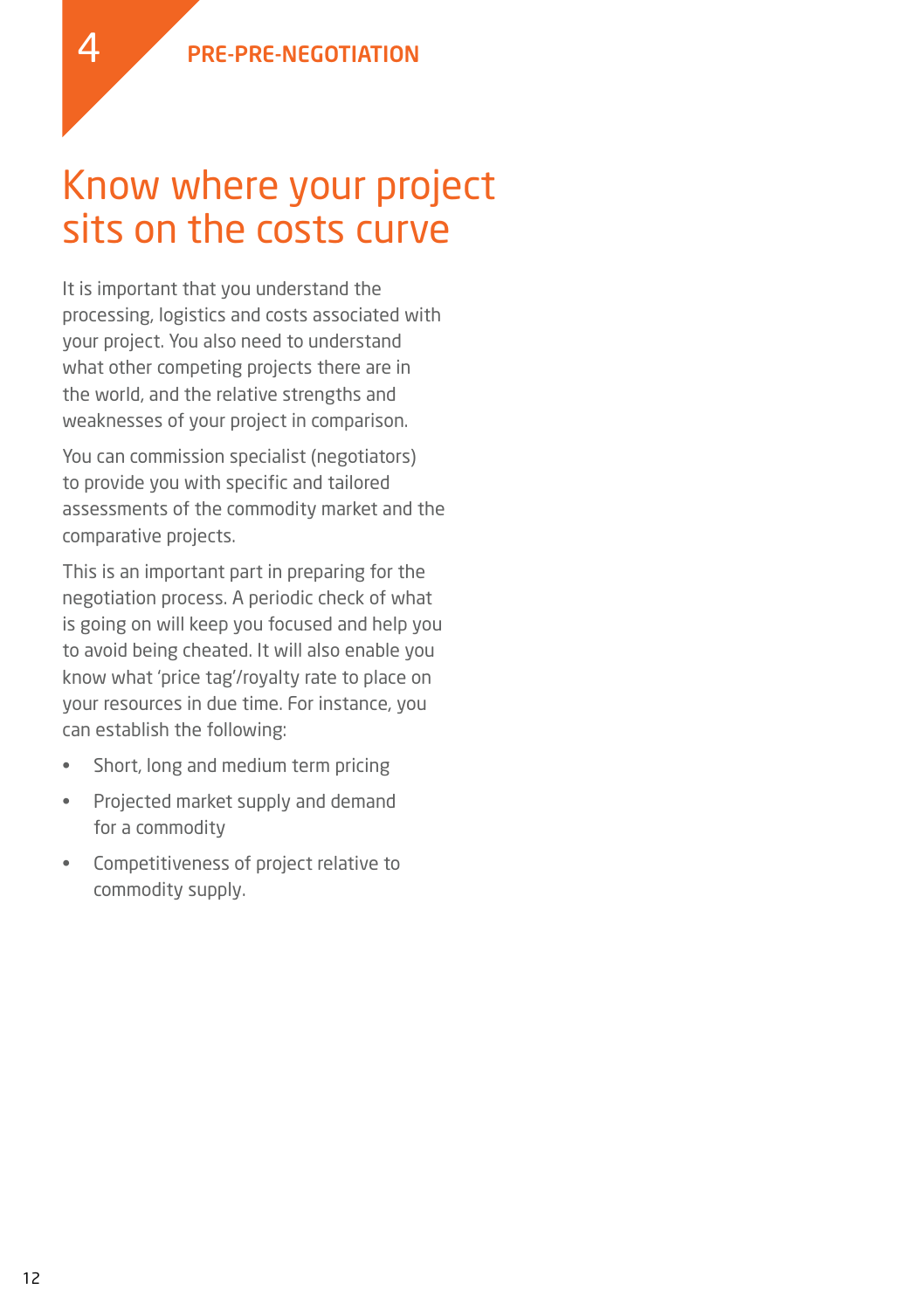### Know where your project sits on the costs curve

It is important that you understand the processing, logistics and costs associated with your project. You also need to understand what other competing projects there are in the world, and the relative strengths and weaknesses of your project in comparison.

You can commission specialist (negotiators) to provide you with specific and tailored assessments of the commodity market and the comparative projects.

This is an important part in preparing for the negotiation process. A periodic check of what is going on will keep you focused and help you to avoid being cheated. It will also enable you know what 'price tag'/royalty rate to place on your resources in due time. For instance, you can establish the following:

- • Short, long and medium term pricing
- • Projected market supply and demand for a commodity
- • Competitiveness of project relative to commodity supply.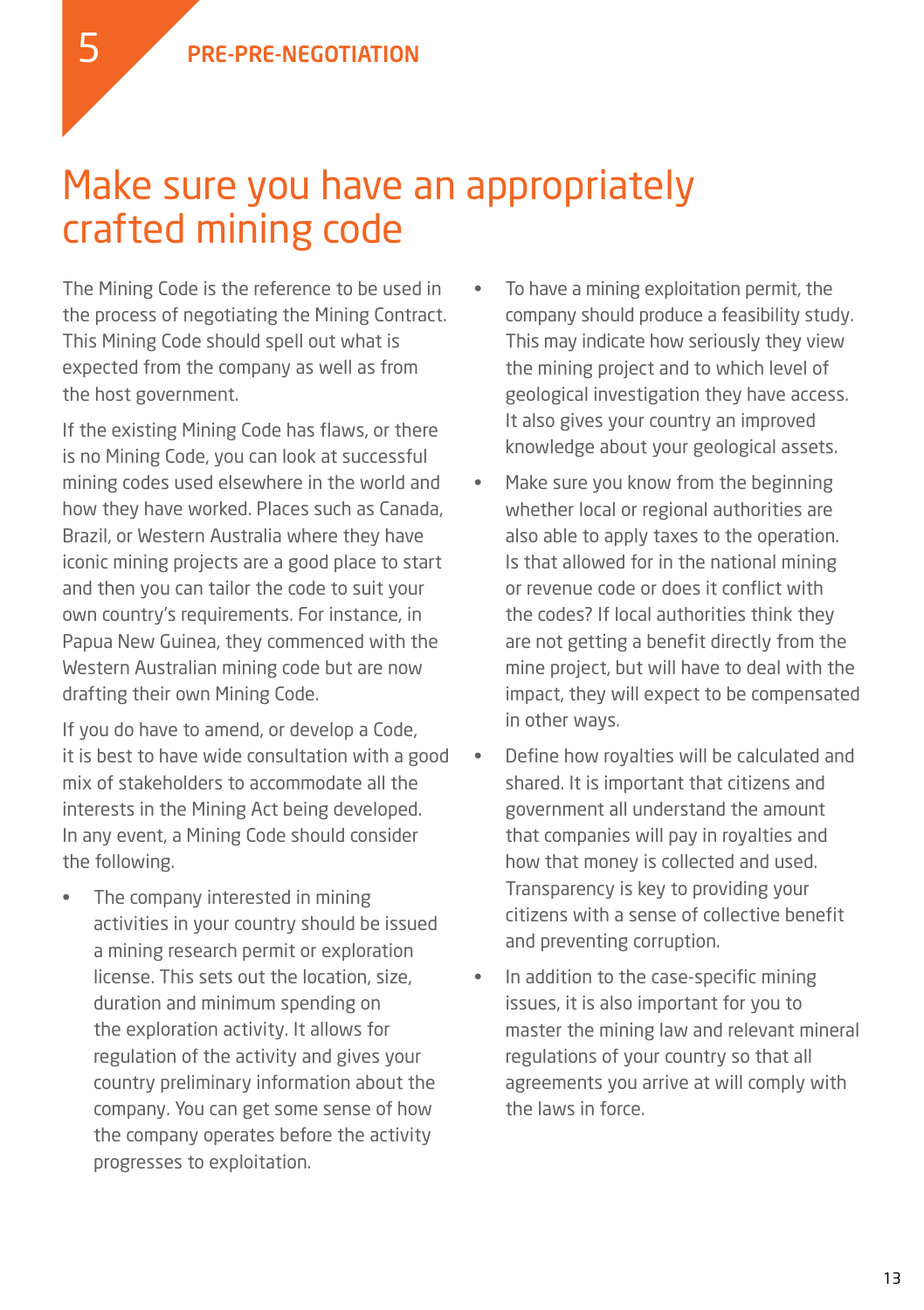### Make sure you have an appropriately crafted mining code

The Mining Code is the reference to be used in the process of negotiating the Mining Contract. This Mining Code should spell out what is expected from the company as well as from the host government.

If the existing Mining Code has flaws, or there is no Mining Code, you can look at successful mining codes used elsewhere in the world and how they have worked. Places such as Canada, Brazil, or Western Australia where they have iconic mining projects are a good place to start and then you can tailor the code to suit your own country's requirements. For instance, in Papua New Guinea, they commenced with the Western Australian mining code but are now drafting their own Mining Code.

If you do have to amend, or develop a Code, it is best to have wide consultation with a good mix of stakeholders to accommodate all the interests in the Mining Act being developed. In any event, a Mining Code should consider the following.

The company interested in mining activities in your country should be issued a mining research permit or exploration license. This sets out the location, size, duration and minimum spending on the exploration activity. It allows for regulation of the activity and gives your country preliminary information about the company. You can get some sense of how the company operates before the activity progresses to exploitation.

- • To have a mining exploitation permit, the company should produce a feasibility study. This may indicate how seriously they view the mining project and to which level of geological investigation they have access. It also gives your country an improved knowledge about your geological assets.
- Make sure you know from the beginning whether local or regional authorities are also able to apply taxes to the operation. Is that allowed for in the national mining or revenue code or does it conflict with the codes? If local authorities think they are not getting a benefit directly from the mine project, but will have to deal with the impact, they will expect to be compensated in other ways.
- Define how royalties will be calculated and shared. It is important that citizens and government all understand the amount that companies will pay in royalties and how that money is collected and used. Transparency is key to providing your citizens with a sense of collective benefit and preventing corruption.
- • In addition to the case-specific mining issues, it is also important for you to master the mining law and relevant mineral regulations of your country so that all agreements you arrive at will comply with the laws in force.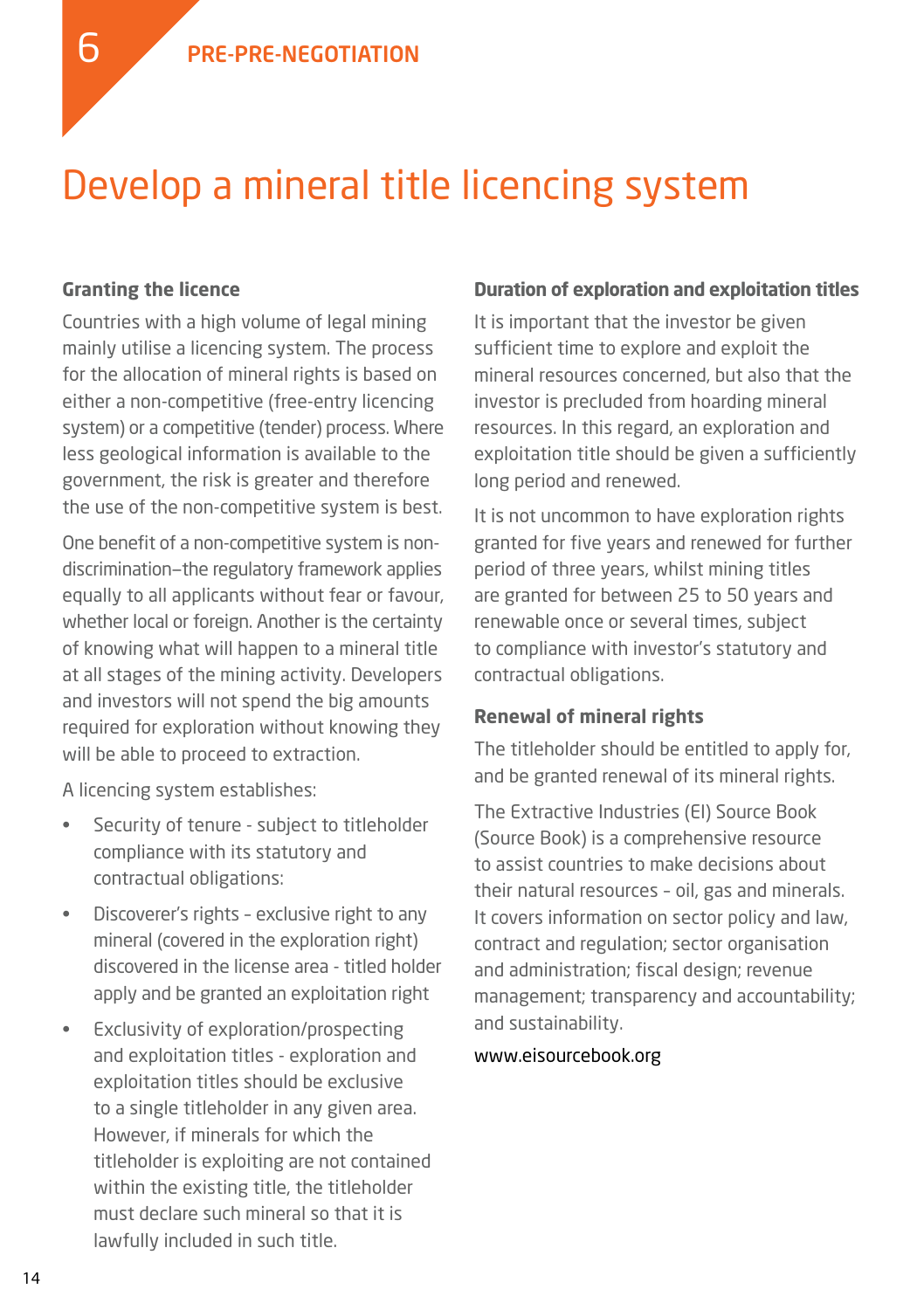### Develop a mineral title licencing system

#### **Granting the licence**

6

Countries with a high volume of legal mining mainly utilise a licencing system. The process for the allocation of mineral rights is based on either a non-competitive (free-entry licencing system) or a competitive (tender) process. Where less geological information is available to the government, the risk is greater and therefore the use of the non-competitive system is best.

One benefit of a non-competitive system is nondiscrimination—the regulatory framework applies equally to all applicants without fear or favour, whether local or foreign. Another is the certainty of knowing what will happen to a mineral title at all stages of the mining activity. Developers and investors will not spend the big amounts required for exploration without knowing they will be able to proceed to extraction.

A licencing system establishes:

- Security of tenure subiect to titleholder compliance with its statutory and contractual obligations:
- • Discoverer's rights exclusive right to any mineral (covered in the exploration right) discovered in the license area - titled holder apply and be granted an exploitation right
- Exclusivity of exploration/prospecting and exploitation titles - exploration and exploitation titles should be exclusive to a single titleholder in any given area. However, if minerals for which the titleholder is exploiting are not contained within the existing title, the titleholder must declare such mineral so that it is lawfully included in such title.

#### **Duration of exploration and exploitation titles**

It is important that the investor be given sufficient time to explore and exploit the mineral resources concerned, but also that the investor is precluded from hoarding mineral resources. In this regard, an exploration and exploitation title should be given a sufficiently long period and renewed.

It is not uncommon to have exploration rights granted for five years and renewed for further period of three years, whilst mining titles are granted for between 25 to 50 years and renewable once or several times, subject to compliance with investor's statutory and contractual obligations.

#### **Renewal of mineral rights**

The titleholder should be entitled to apply for, and be granted renewal of its mineral rights.

The Extractive Industries (EI) Source Book (Source Book) is a comprehensive resource to assist countries to make decisions about their natural resources – oil, gas and minerals. It covers information on sector policy and law, contract and regulation; sector organisation and administration; fiscal design; revenue management; transparency and accountability; and sustainability.

#### www.eisourcebook.org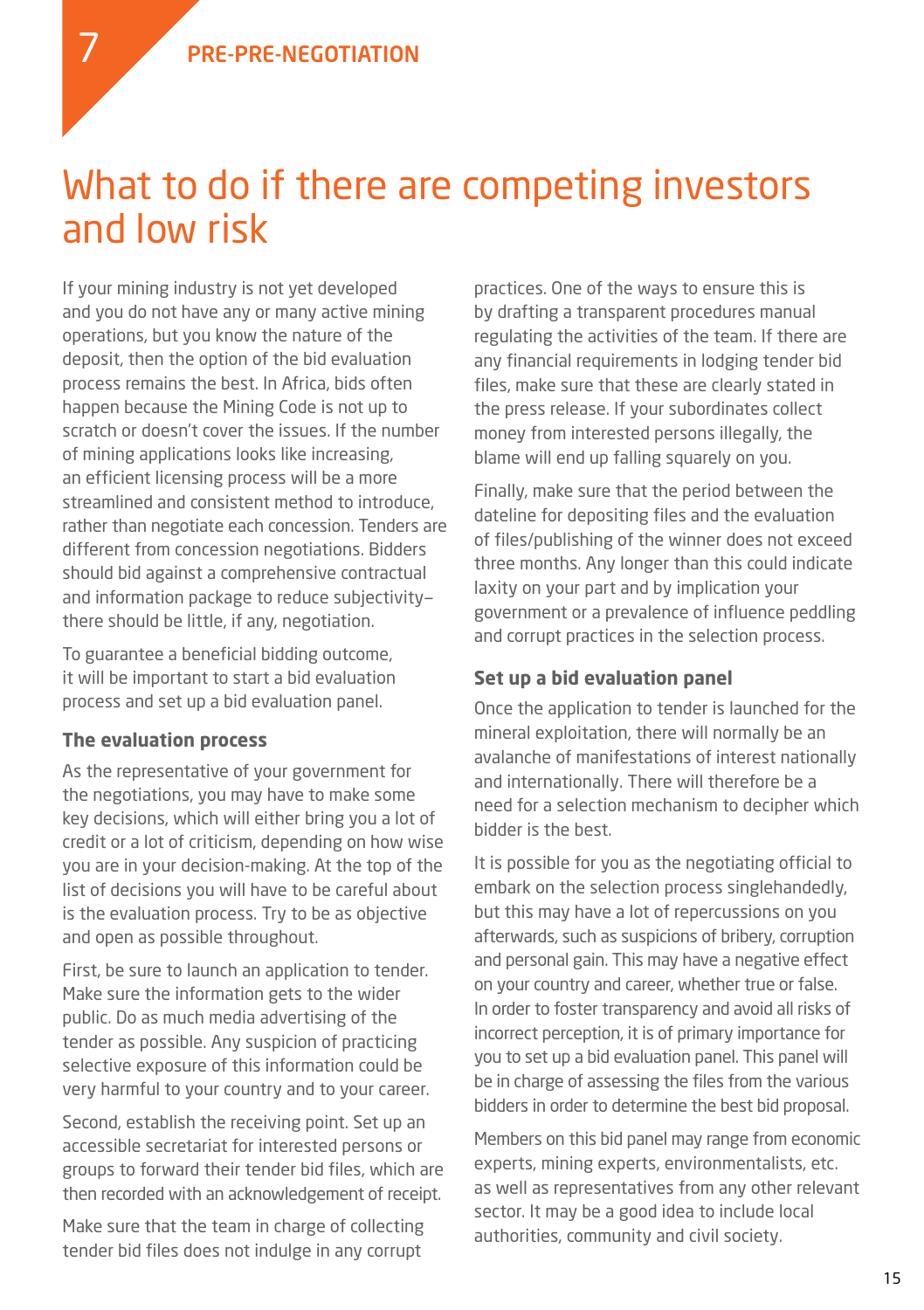

If your mining industry is not yet developed and you do not have any or many active mining operations, but you know the nature of the deposit, then the option of the bid evaluation process remains the best. In Africa, bids often happen because the Mining Code is not up to scratch or doesn't cover the issues. If the number of mining applications looks like increasing, an efficient licensing process will be a more streamlined and consistent method to introduce, rather than negotiate each concession. Tenders are different from concession negotiations. Bidders should bid against a comprehensive contractual and information package to reduce subjectivity there should be little, if any, negotiation.

To guarantee a beneficial bidding outcome, it will be important to start a bid evaluation process and set up a bid evaluation panel.

#### **The evaluation process**

As the representative of your government for the negotiations, you may have to make some key decisions, which will either bring you a lot of credit or a lot of criticism, depending on how wise you are in your decision-making. At the top of the list of decisions you will have to be careful about is the evaluation process. Try to be as objective and open as possible throughout.

First, be sure to launch an application to tender. Make sure the information gets to the wider public. Do as much media advertising of the tender as possible. Any suspicion of practicing selective exposure of this information could be very harmful to your country and to your career.

Second, establish the receiving point. Set up an accessible secretariat for interested persons or groups to forward their tender bid files, which are then recorded with an acknowledgement of receipt.

Make sure that the team in charge of collecting tender bid files does not indulge in any corrupt

practices. One of the ways to ensure this is by drafting a transparent procedures manual regulating the activities of the team. If there are any financial requirements in lodging tender bid files, make sure that these are clearly stated in the press release. If your subordinates collect money from interested persons illegally, the blame will end up falling squarely on you.

Finally, make sure that the period between the dateline for depositing files and the evaluation of files/publishing of the winner does not exceed three months. Any longer than this could indicate laxity on your part and by implication your government or a prevalence of influence peddling and corrupt practices in the selection process.

#### **Set up a bid evaluation panel**

Once the application to tender is launched for the mineral exploitation, there will normally be an avalanche of manifestations of interest nationally and internationally. There will therefore be a need for a selection mechanism to decipher which bidder is the best.

It is possible for you as the negotiating official to embark on the selection process singlehandedly, but this may have a lot of repercussions on you afterwards, such as suspicions of bribery, corruption and personal gain. This may have a negative effect on your country and career, whether true or false. In order to foster transparency and avoid all risks of incorrect perception, it is of primary importance for you to set up a bid evaluation panel. This panel will be in charge of assessing the files from the various bidders in order to determine the best bid proposal.

Members on this bid panel may range from economic experts, mining experts, environmentalists, etc. as well as representatives from any other relevant sector. It may be a good idea to include local authorities, community and civil society.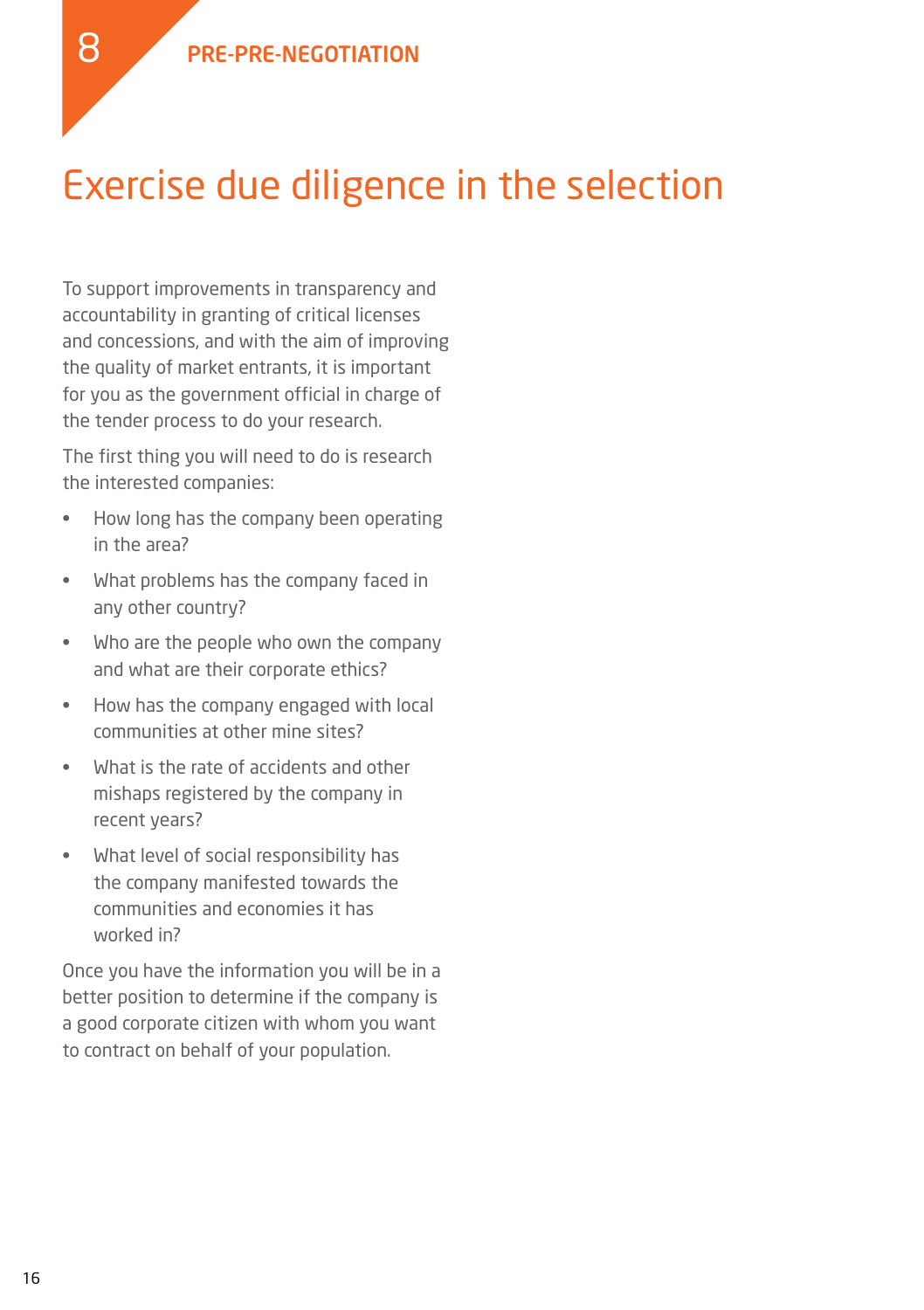## Exercise due diligence in the selection

To support improvements in transparency and accountability in granting of critical licenses and concessions, and with the aim of improving the quality of market entrants, it is important for you as the government official in charge of the tender process to do your research.

The first thing you will need to do is research the interested companies:

- • How long has the company been operating in the area?
- What problems has the company faced in any other country?
- Who are the people who own the company and what are their corporate ethics?
- • How has the company engaged with local communities at other mine sites?
- • What is the rate of accidents and other mishaps registered by the company in recent years?
- What level of social responsibility has the company manifested towards the communities and economies it has worked in?

Once you have the information you will be in a better position to determine if the company is a good corporate citizen with whom you want to contract on behalf of your population.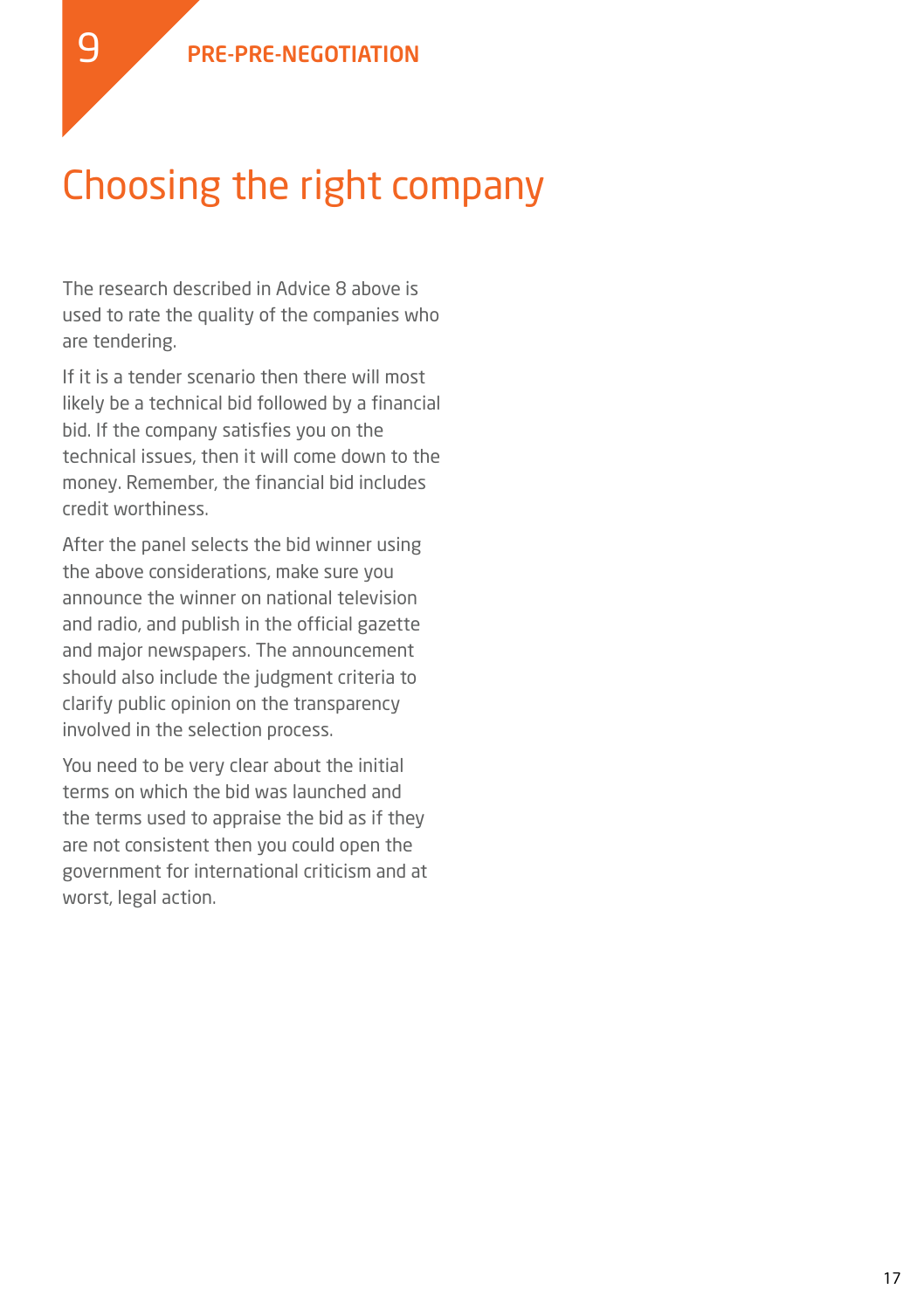## Choosing the right company

The research described in Advice 8 above is used to rate the quality of the companies who are tendering.

If it is a tender scenario then there will most likely be a technical bid followed by a financial bid. If the company satisfies you on the technical issues, then it will come down to the money. Remember, the financial bid includes credit worthiness.

After the panel selects the bid winner using the above considerations, make sure you announce the winner on national television and radio, and publish in the official gazette and major newspapers. The announcement should also include the judgment criteria to clarify public opinion on the transparency involved in the selection process.

You need to be very clear about the initial terms on which the bid was launched and the terms used to appraise the bid as if they are not consistent then you could open the government for international criticism and at worst, legal action.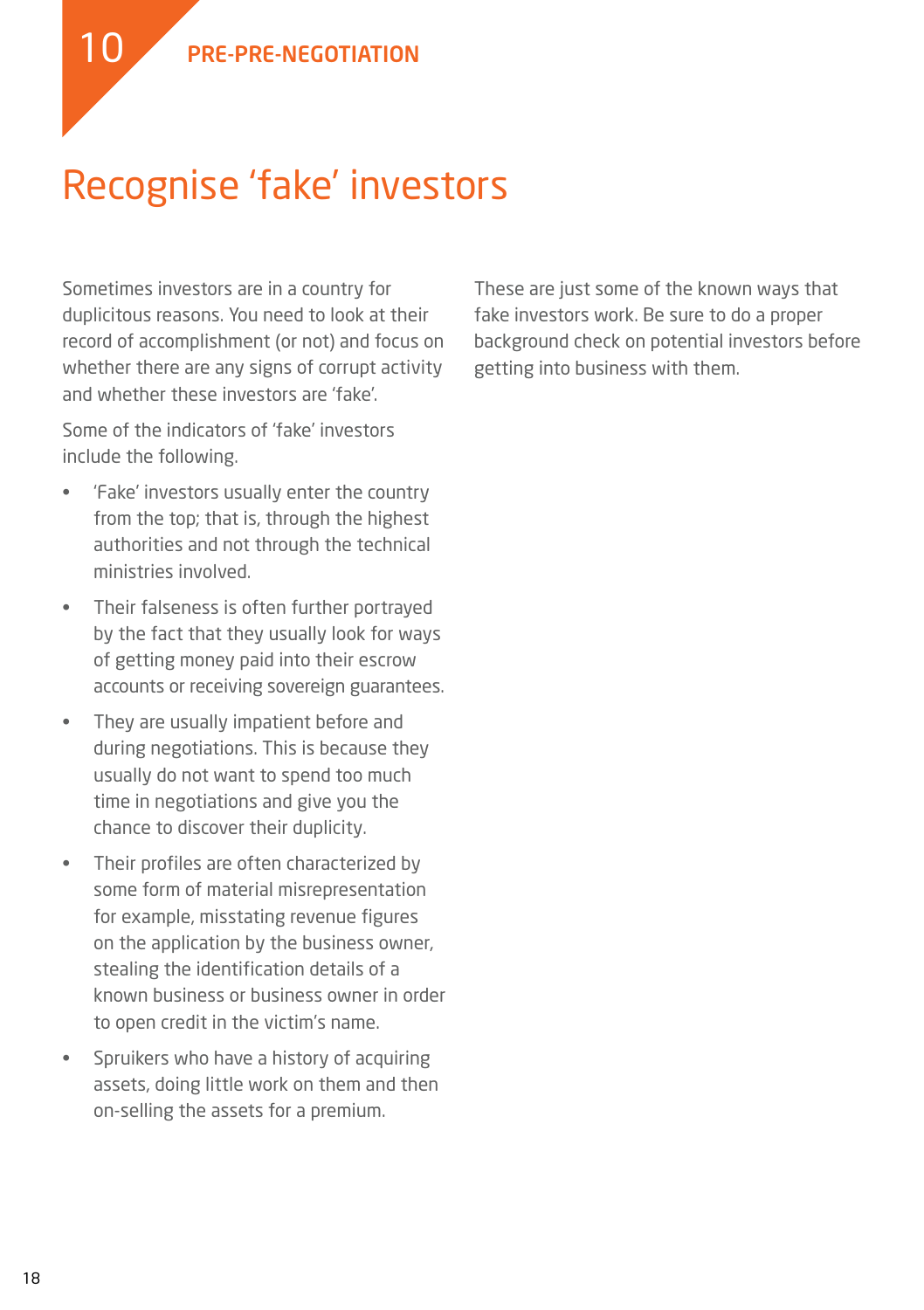

Sometimes investors are in a country for duplicitous reasons. You need to look at their record of accomplishment (or not) and focus on whether there are any signs of corrupt activity and whether these investors are 'fake'.

Some of the indicators of 'fake' investors include the following.

- • 'Fake' investors usually enter the country from the top; that is, through the highest authorities and not through the technical ministries involved.
- Their falseness is often further portrayed by the fact that they usually look for ways of getting money paid into their escrow accounts or receiving sovereign guarantees.
- • They are usually impatient before and during negotiations. This is because they usually do not want to spend too much time in negotiations and give you the chance to discover their duplicity.
- • Their profiles are often characterized by some form of material misrepresentation for example, misstating revenue figures on the application by the business owner, stealing the identification details of a known business or business owner in order to open credit in the victim's name.
- • Spruikers who have a history of acquiring assets, doing little work on them and then on-selling the assets for a premium.

These are just some of the known ways that fake investors work. Be sure to do a proper background check on potential investors before getting into business with them.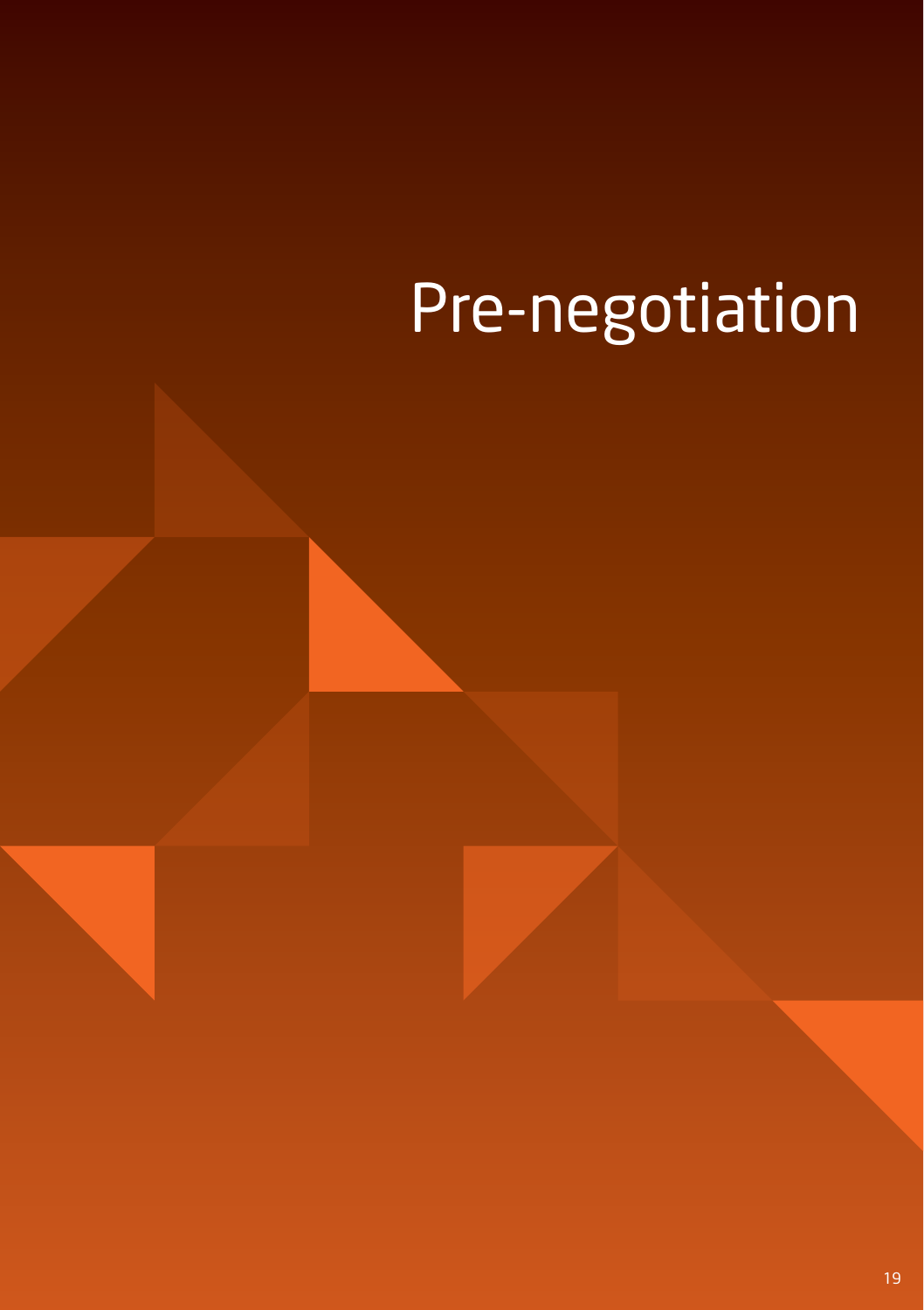# Pre-negotiation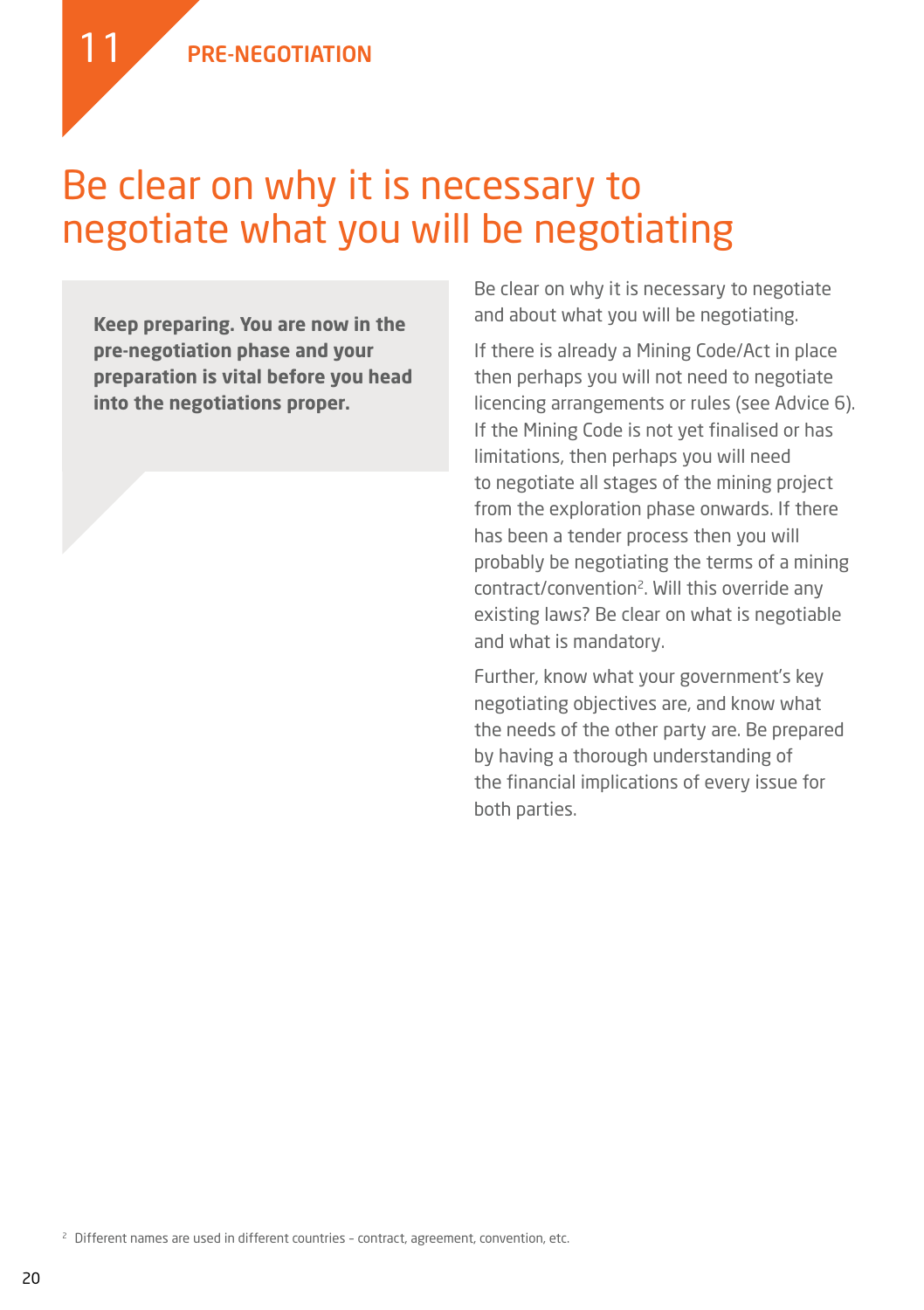11

#### Be clear on why it is necessary to negotiate what you will be negotiating

**Keep preparing. You are now in the pre-negotiation phase and your preparation is vital before you head into the negotiations proper.** 

Be clear on why it is necessary to negotiate and about what you will be negotiating.

If there is already a Mining Code/Act in place then perhaps you will not need to negotiate licencing arrangements or rules (see Advice 6). If the Mining Code is not yet finalised or has limitations, then perhaps you will need to negotiate all stages of the mining project from the exploration phase onwards. If there has been a tender process then you will probably be negotiating the terms of a mining contract/convention<sup>2</sup>. Will this override any existing laws? Be clear on what is negotiable and what is mandatory.

Further, know what your government's key negotiating objectives are, and know what the needs of the other party are. Be prepared by having a thorough understanding of the financial implications of every issue for both parties.

<sup>2</sup> Different names are used in different countries - contract, agreement, convention, etc.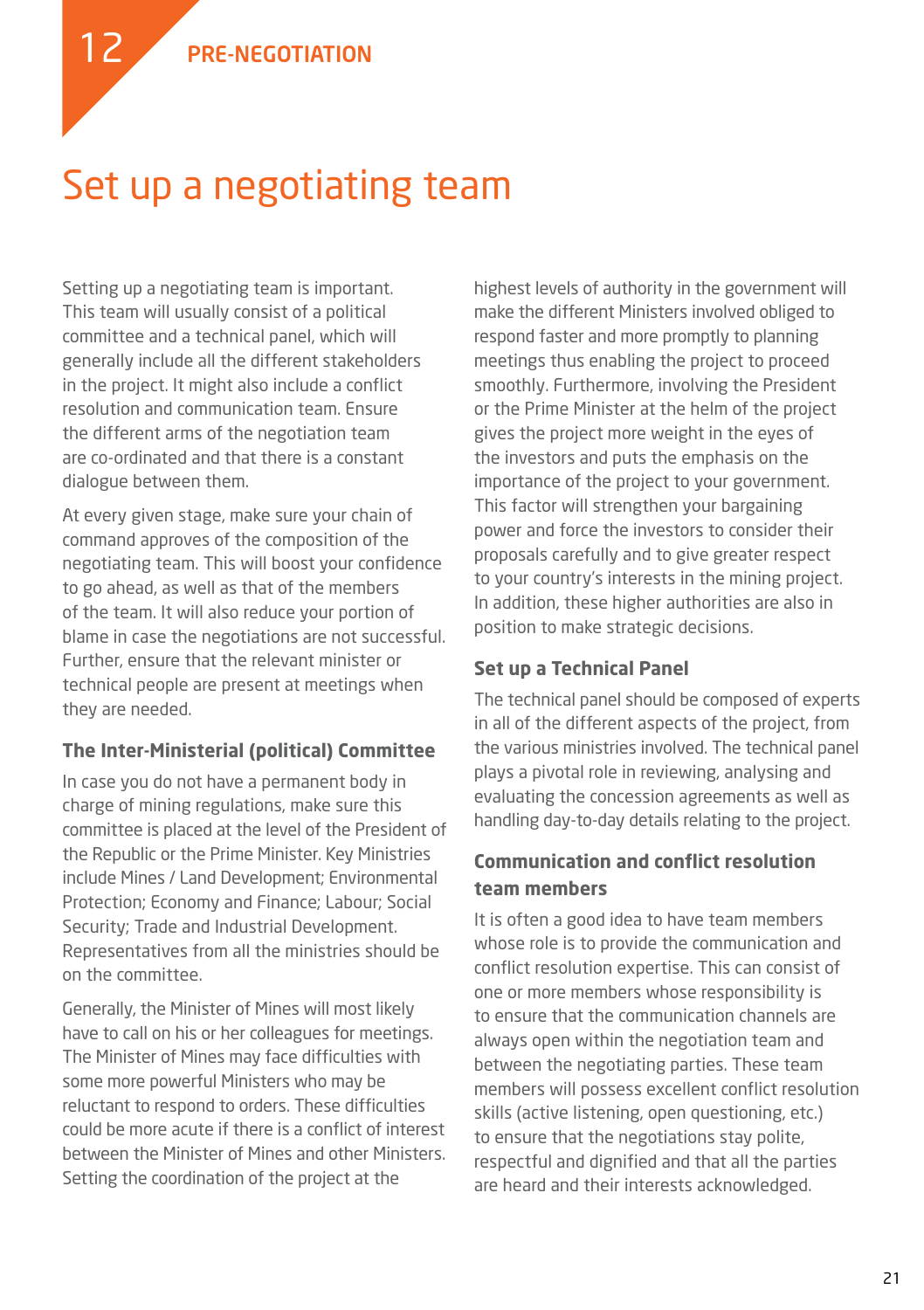12

### Set up a negotiating team

Setting up a negotiating team is important. This team will usually consist of a political committee and a technical panel, which will generally include all the different stakeholders in the project. It might also include a conflict resolution and communication team. Ensure the different arms of the negotiation team are co-ordinated and that there is a constant dialogue between them.

At every given stage, make sure your chain of command approves of the composition of the negotiating team. This will boost your confidence to go ahead, as well as that of the members of the team. It will also reduce your portion of blame in case the negotiations are not successful. Further, ensure that the relevant minister or technical people are present at meetings when they are needed.

#### **The Inter-Ministerial (political) Committee**

In case you do not have a permanent body in charge of mining regulations, make sure this committee is placed at the level of the President of the Republic or the Prime Minister. Key Ministries include Mines / Land Development; Environmental Protection; Economy and Finance; Labour; Social Security; Trade and Industrial Development. Representatives from all the ministries should be on the committee.

Generally, the Minister of Mines will most likely have to call on his or her colleagues for meetings. The Minister of Mines may face difficulties with some more powerful Ministers who may be reluctant to respond to orders. These difficulties could be more acute if there is a conflict of interest between the Minister of Mines and other Ministers. Setting the coordination of the project at the

highest levels of authority in the government will make the different Ministers involved obliged to respond faster and more promptly to planning meetings thus enabling the project to proceed smoothly. Furthermore, involving the President or the Prime Minister at the helm of the project gives the project more weight in the eyes of the investors and puts the emphasis on the importance of the project to your government. This factor will strengthen your bargaining power and force the investors to consider their proposals carefully and to give greater respect to your country's interests in the mining project. In addition, these higher authorities are also in position to make strategic decisions.

#### **Set up a Technical Panel**

The technical panel should be composed of experts in all of the different aspects of the project, from the various ministries involved. The technical panel plays a pivotal role in reviewing, analysing and evaluating the concession agreements as well as handling day-to-day details relating to the project.

#### **Communication and conflict resolution team members**

It is often a good idea to have team members whose role is to provide the communication and conflict resolution expertise. This can consist of one or more members whose responsibility is to ensure that the communication channels are always open within the negotiation team and between the negotiating parties. These team members will possess excellent conflict resolution skills (active listening, open questioning, etc.) to ensure that the negotiations stay polite, respectful and dignified and that all the parties are heard and their interests acknowledged.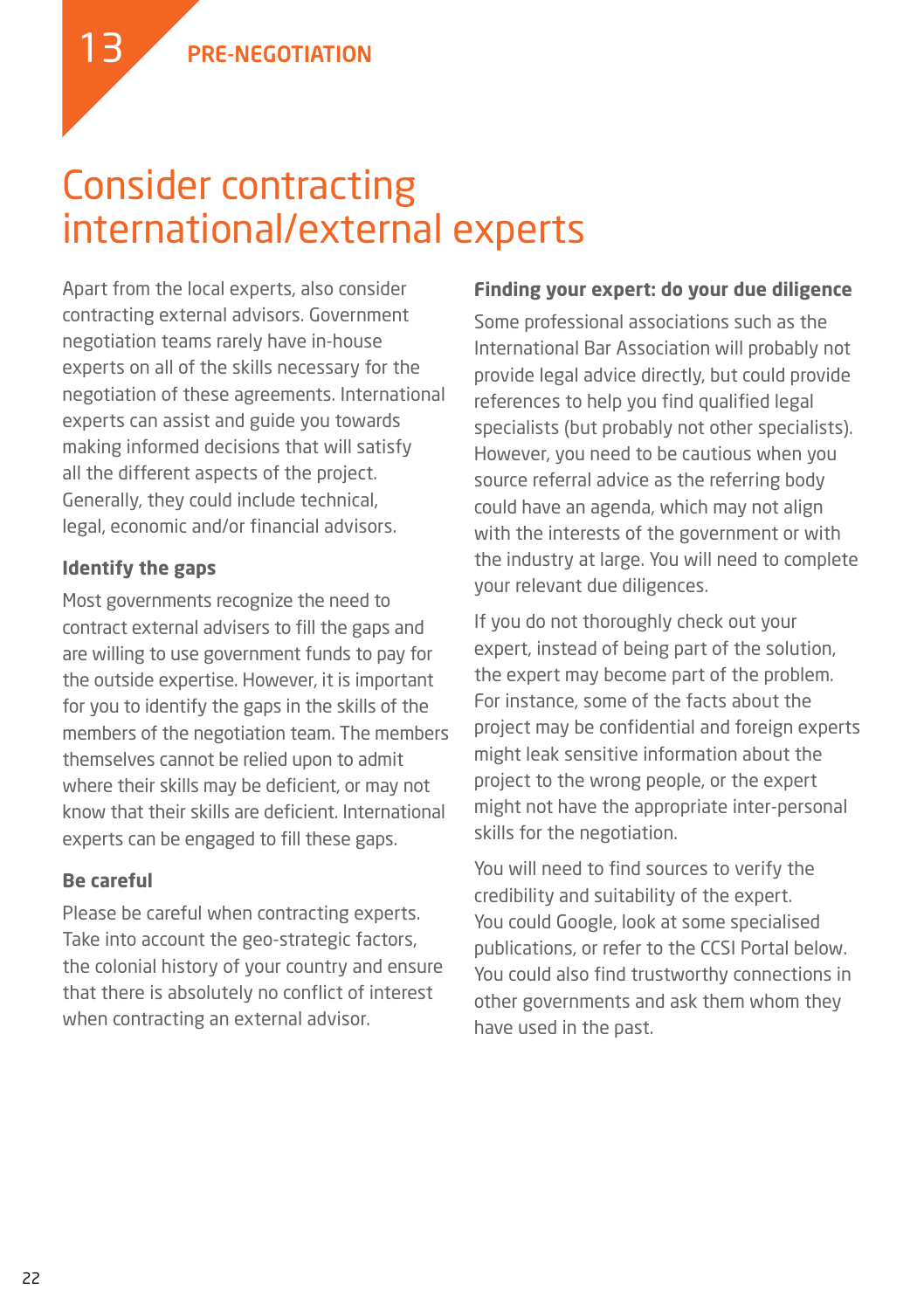### Consider contracting international/external experts

Apart from the local experts, also consider contracting external advisors. Government negotiation teams rarely have in-house experts on all of the skills necessary for the negotiation of these agreements. International experts can assist and guide you towards making informed decisions that will satisfy all the different aspects of the project. Generally, they could include technical, legal, economic and/or financial advisors.

#### **Identify the gaps**

13

Most governments recognize the need to contract external advisers to fill the gaps and are willing to use government funds to pay for the outside expertise. However, it is important for you to identify the gaps in the skills of the members of the negotiation team. The members themselves cannot be relied upon to admit where their skills may be deficient, or may not know that their skills are deficient. International experts can be engaged to fill these gaps.

#### **Be careful**

Please be careful when contracting experts. Take into account the geo-strategic factors, the colonial history of your country and ensure that there is absolutely no conflict of interest when contracting an external advisor.

#### **Finding your expert: do your due diligence**

Some professional associations such as the International Bar Association will probably not provide legal advice directly, but could provide references to help you find qualified legal specialists (but probably not other specialists). However, you need to be cautious when you source referral advice as the referring body could have an agenda, which may not align with the interests of the government or with the industry at large. You will need to complete your relevant due diligences.

If you do not thoroughly check out your expert, instead of being part of the solution, the expert may become part of the problem. For instance, some of the facts about the project may be confidential and foreign experts might leak sensitive information about the project to the wrong people, or the expert might not have the appropriate inter-personal skills for the negotiation.

You will need to find sources to verify the credibility and suitability of the expert. You could Google, look at some specialised publications, or refer to the CCSI Portal below. You could also find trustworthy connections in other governments and ask them whom they have used in the past.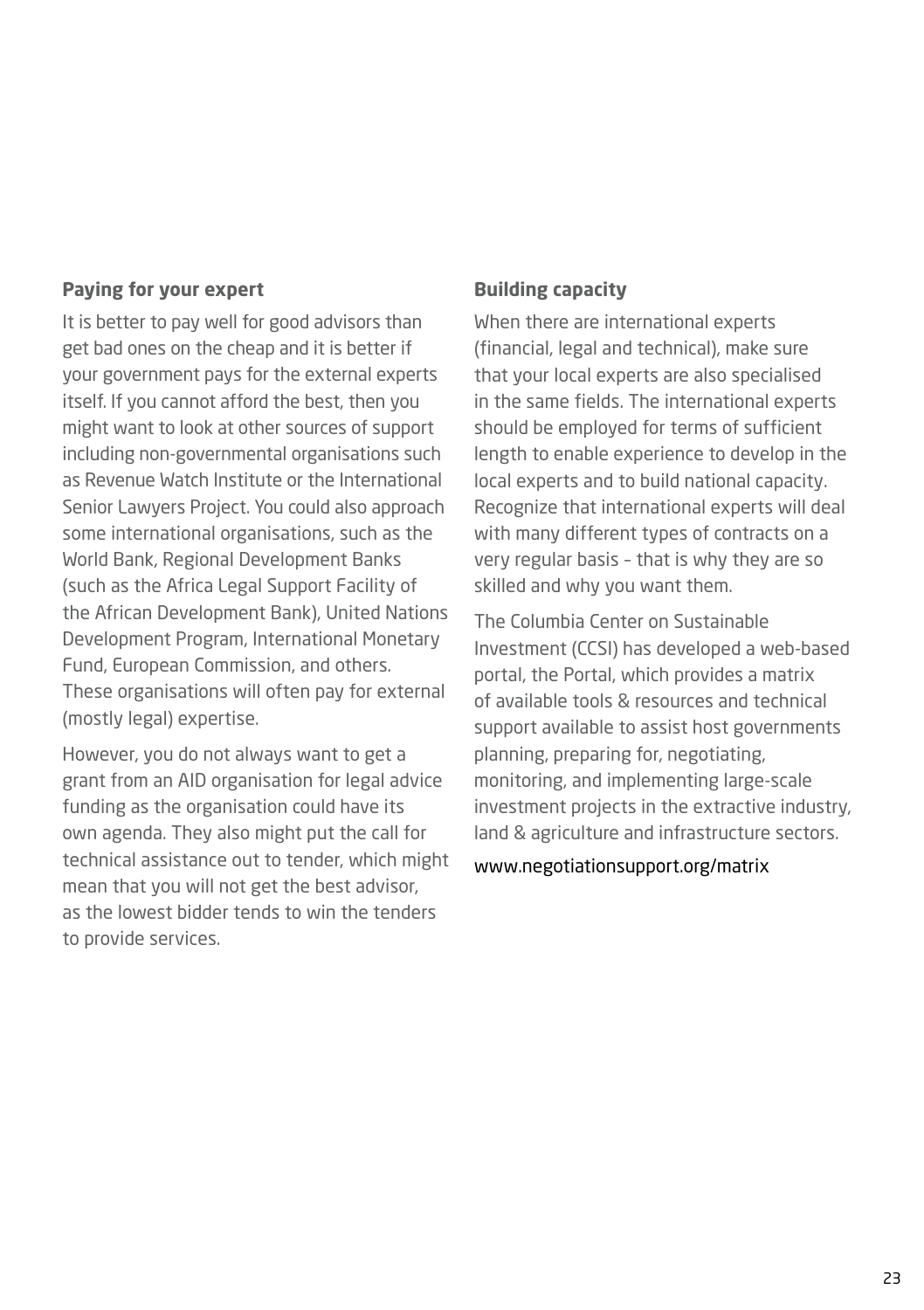#### **Paying for your expert**

It is better to pay well for good advisors than get bad ones on the cheap and it is better if your government pays for the external experts itself. If you cannot afford the best, then you might want to look at other sources of support including non-governmental organisations such as Revenue Watch Institute or the International Senior Lawyers Project. You could also approach some international organisations, such as the World Bank, Regional Development Banks (such as the Africa Legal Support Facility of the African Development Bank), United Nations Development Program, International Monetary Fund, European Commission, and others. These organisations will often pay for external (mostly legal) expertise.

However, you do not always want to get a grant from an AID organisation for legal advice funding as the organisation could have its own agenda. They also might put the call for technical assistance out to tender, which might mean that you will not get the best advisor, as the lowest bidder tends to win the tenders to provide services.

#### **Building capacity**

When there are international experts (financial, legal and technical), make sure that your local experts are also specialised in the same fields. The international experts should be employed for terms of sufficient length to enable experience to develop in the local experts and to build national capacity. Recognize that international experts will deal with many different types of contracts on a very regular basis – that is why they are so skilled and why you want them.

The Columbia Center on Sustainable Investment (CCSI) has developed a web-based portal, the Portal, which provides a matrix of available tools & resources and technical support available to assist host governments planning, preparing for, negotiating, monitoring, and implementing large-scale investment projects in the extractive industry, land & agriculture and infrastructure sectors.

#### www.negotiationsupport.org/matrix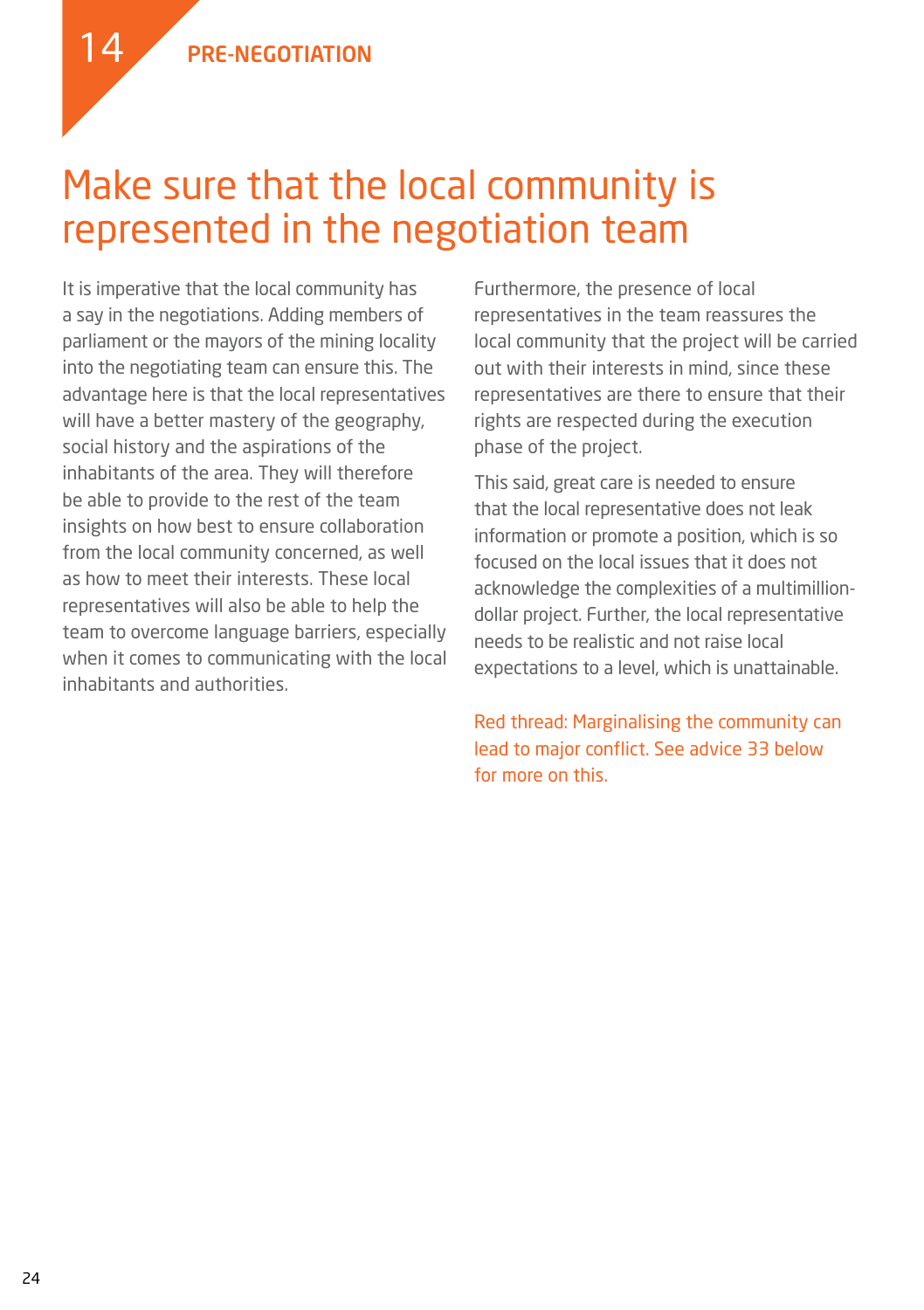14



It is imperative that the local community has a say in the negotiations. Adding members of parliament or the mayors of the mining locality into the negotiating team can ensure this. The advantage here is that the local representatives will have a better mastery of the geography, social history and the aspirations of the inhabitants of the area. They will therefore be able to provide to the rest of the team insights on how best to ensure collaboration from the local community concerned, as well as how to meet their interests. These local representatives will also be able to help the team to overcome language barriers, especially when it comes to communicating with the local inhabitants and authorities.

Furthermore, the presence of local representatives in the team reassures the local community that the project will be carried out with their interests in mind, since these representatives are there to ensure that their rights are respected during the execution phase of the project.

This said, great care is needed to ensure that the local representative does not leak information or promote a position, which is so focused on the local issues that it does not acknowledge the complexities of a multimilliondollar project. Further, the local representative needs to be realistic and not raise local expectations to a level, which is unattainable.

Red thread: Marginalising the community can lead to major conflict. See advice 33 below for more on this.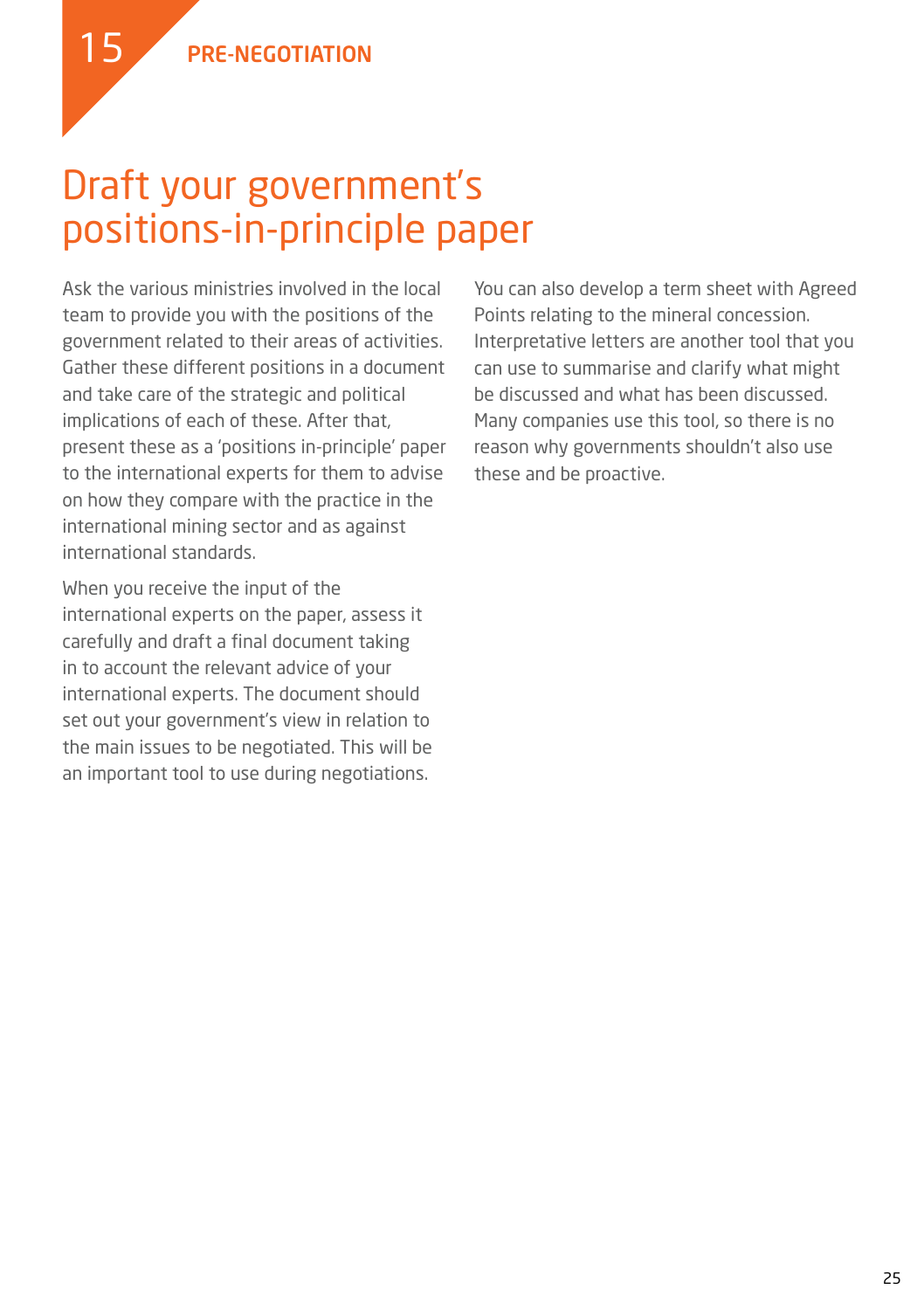### Draft your government's positions-in-principle paper

Ask the various ministries involved in the local team to provide you with the positions of the government related to their areas of activities. Gather these different positions in a document and take care of the strategic and political implications of each of these. After that, present these as a 'positions in-principle' paper to the international experts for them to advise on how they compare with the practice in the international mining sector and as against international standards.

When you receive the input of the international experts on the paper, assess it carefully and draft a final document taking in to account the relevant advice of your international experts. The document should set out your government's view in relation to the main issues to be negotiated. This will be an important tool to use during negotiations.

You can also develop a term sheet with Agreed Points relating to the mineral concession. Interpretative letters are another tool that you can use to summarise and clarify what might be discussed and what has been discussed. Many companies use this tool, so there is no reason why governments shouldn't also use these and be proactive.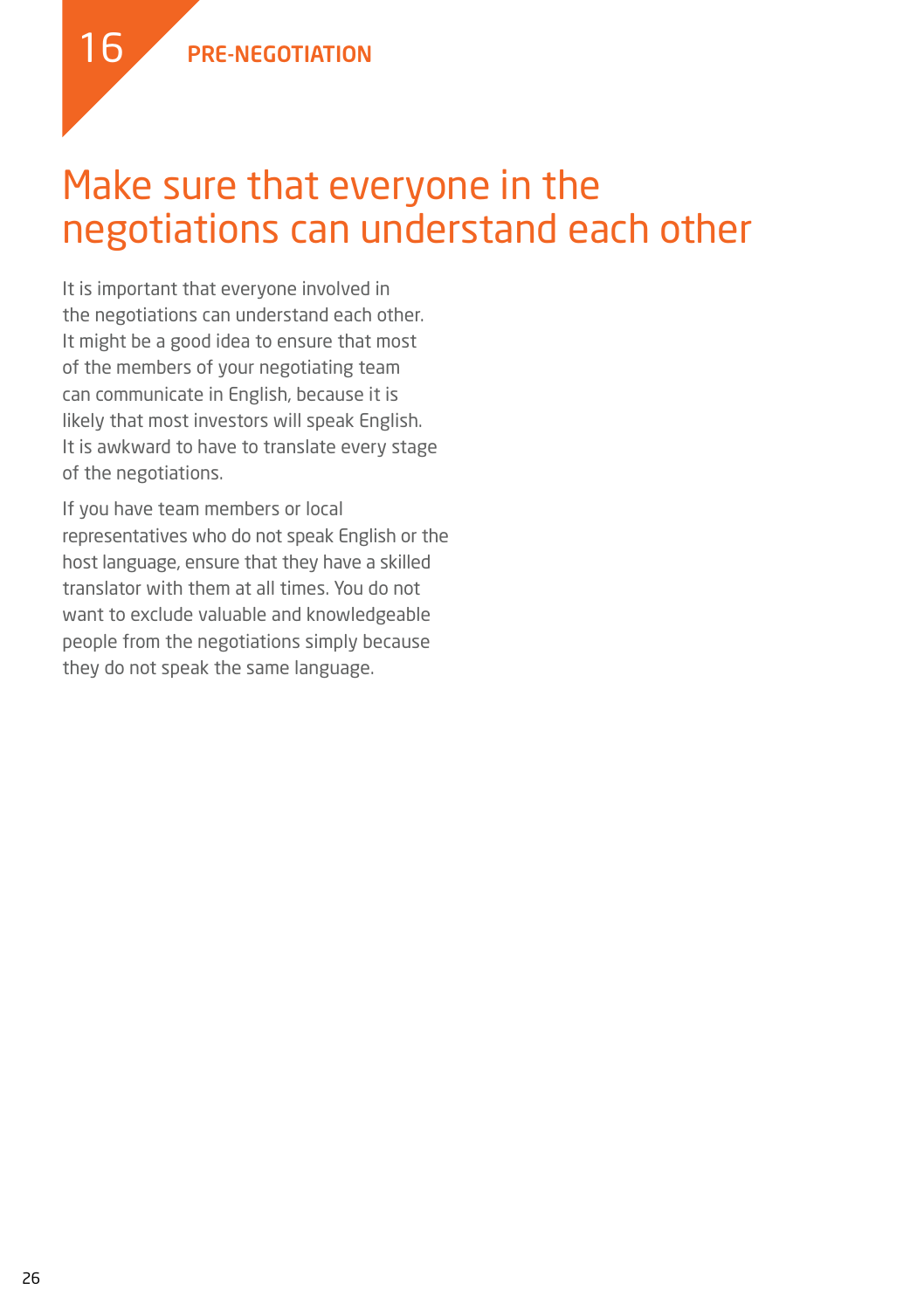### Make sure that everyone in the negotiations can understand each other

It is important that everyone involved in the negotiations can understand each other. It might be a good idea to ensure that most of the members of your negotiating team can communicate in English, because it is likely that most investors will speak English. It is awkward to have to translate every stage of the negotiations.

If you have team members or local representatives who do not speak English or the host language, ensure that they have a skilled translator with them at all times. You do not want to exclude valuable and knowledgeable people from the negotiations simply because they do not speak the same language.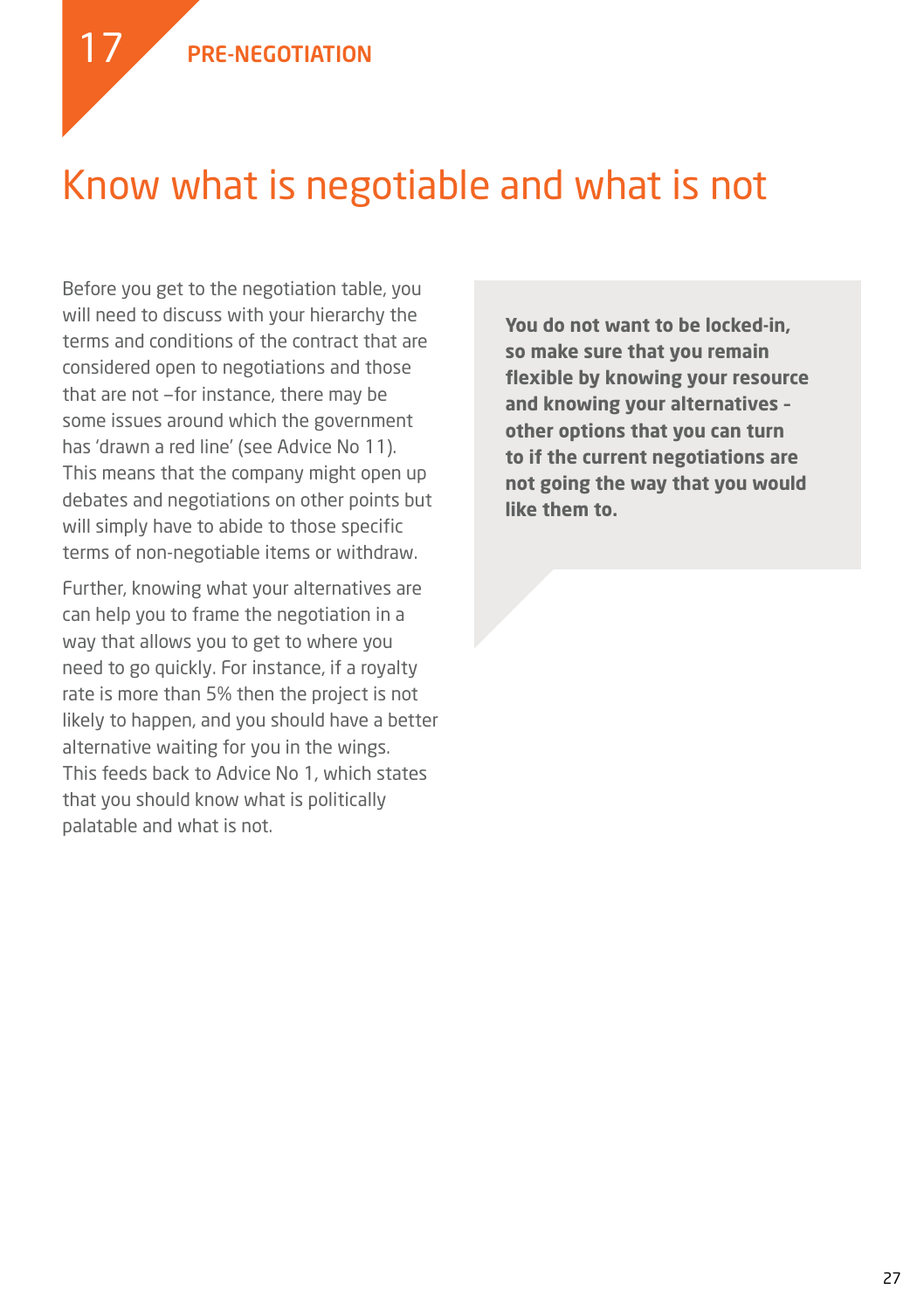### Know what is negotiable and what is not

Before you get to the negotiation table, you will need to discuss with your hierarchy the terms and conditions of the contract that are considered open to negotiations and those that are not —for instance, there may be some issues around which the government has 'drawn a red line' (see Advice No 11). This means that the company might open up debates and negotiations on other points but will simply have to abide to those specific terms of non-negotiable items or withdraw.

Further, knowing what your alternatives are can help you to frame the negotiation in a way that allows you to get to where you need to go quickly. For instance, if a royalty rate is more than 5% then the project is not likely to happen, and you should have a better alternative waiting for you in the wings. This feeds back to Advice No 1, which states that you should know what is politically palatable and what is not.

**You do not want to be locked-in, so make sure that you remain flexible by knowing your resource and knowing your alternatives – other options that you can turn to if the current negotiations are not going the way that you would like them to.**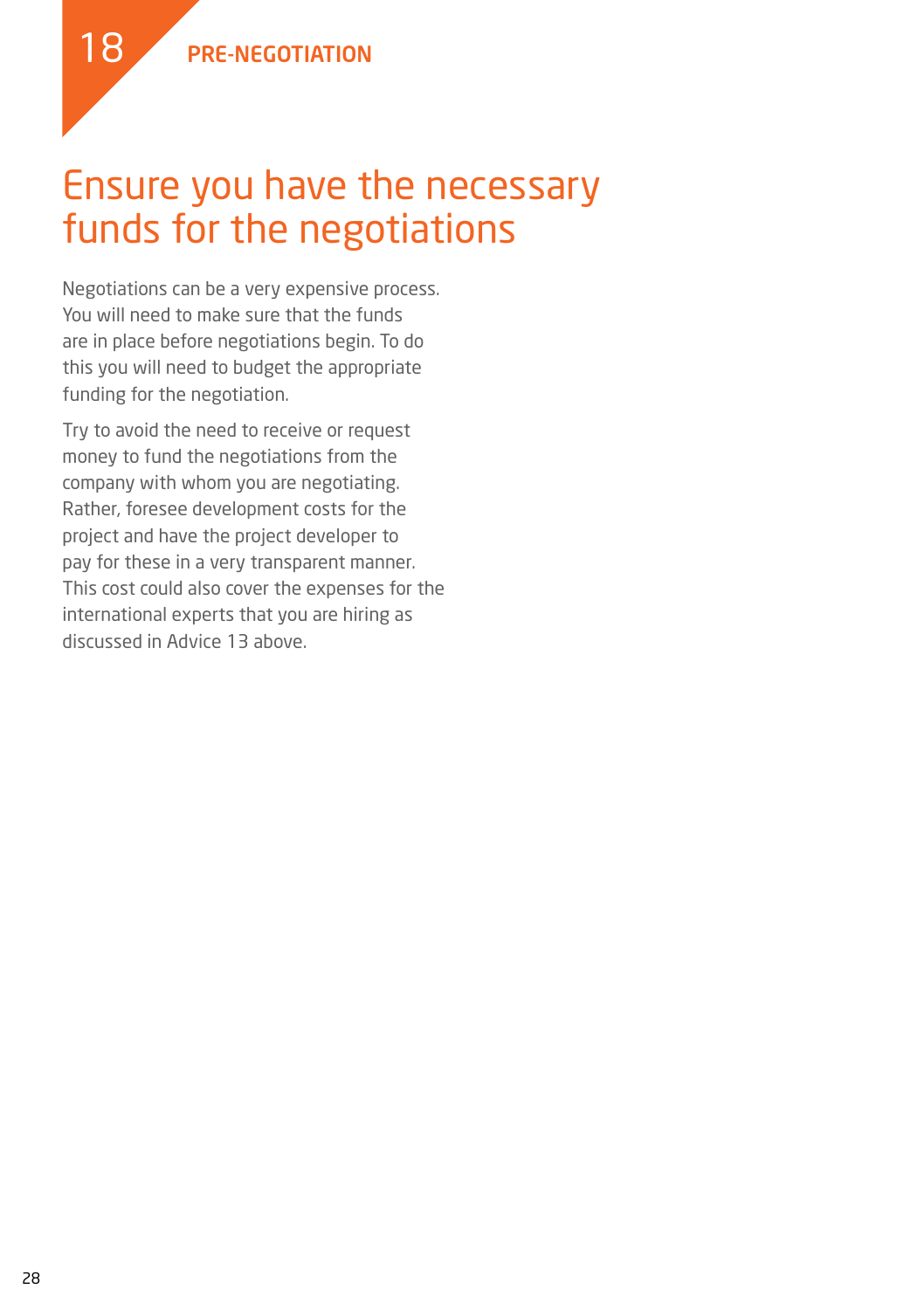

#### Ensure you have the necessary funds for the negotiations

Negotiations can be a very expensive process. You will need to make sure that the funds are in place before negotiations begin. To do this you will need to budget the appropriate funding for the negotiation.

Try to avoid the need to receive or request money to fund the negotiations from the company with whom you are negotiating. Rather, foresee development costs for the project and have the project developer to pay for these in a very transparent manner. This cost could also cover the expenses for the international experts that you are hiring as discussed in Advice 13 above.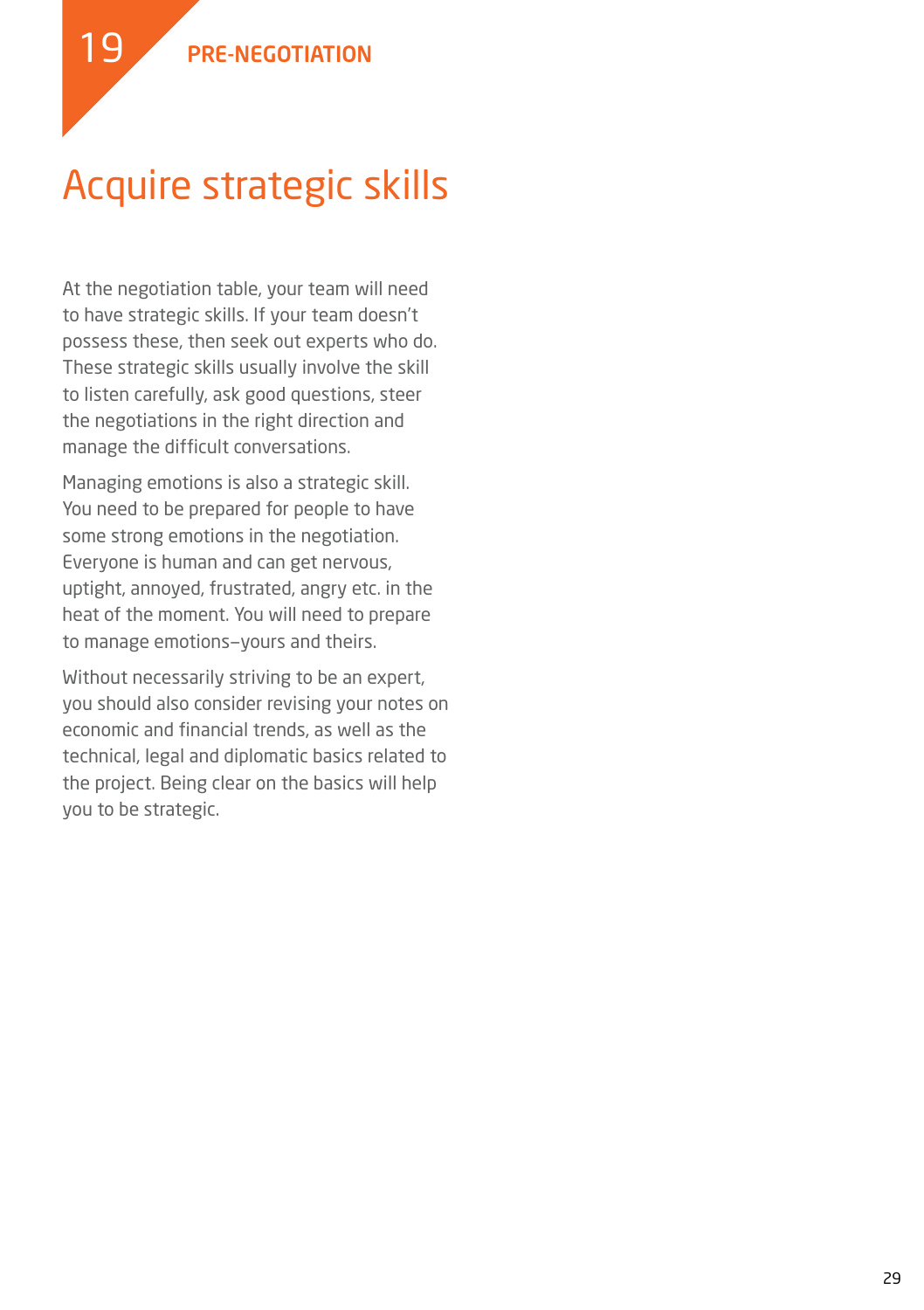

## Acquire strategic skills

At the negotiation table, your team will need to have strategic skills. If your team doesn't possess these, then seek out experts who do. These strategic skills usually involve the skill to listen carefully, ask good questions, steer the negotiations in the right direction and manage the difficult conversations.

Managing emotions is also a strategic skill. You need to be prepared for people to have some strong emotions in the negotiation. Everyone is human and can get nervous, uptight, annoyed, frustrated, angry etc. in the heat of the moment. You will need to prepare to manage emotions—yours and theirs.

Without necessarily striving to be an expert, you should also consider revising your notes on economic and financial trends, as well as the technical, legal and diplomatic basics related to the project. Being clear on the basics will help you to be strategic.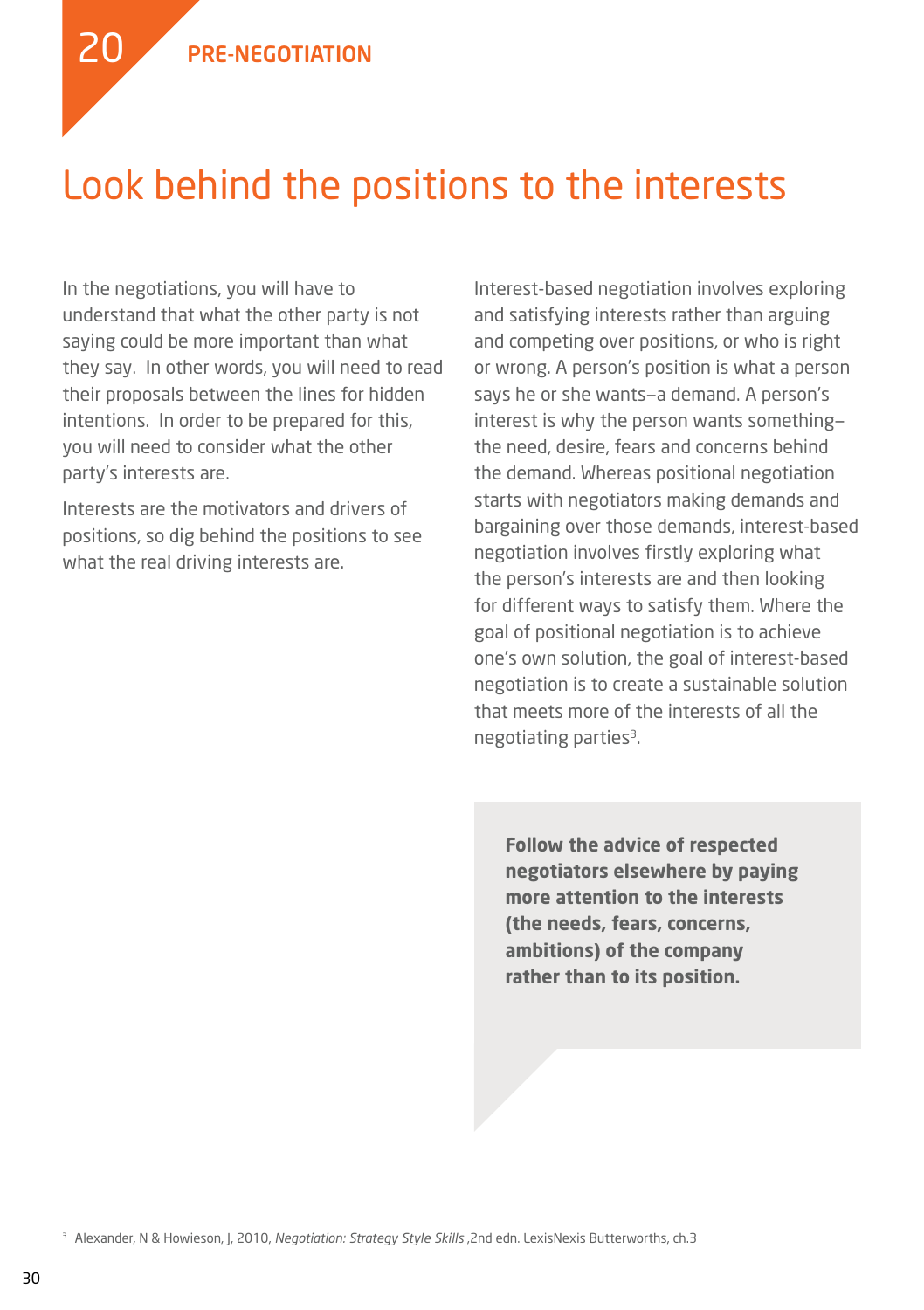

#### Look behind the positions to the interests

In the negotiations, you will have to understand that what the other party is not saying could be more important than what they say. In other words, you will need to read their proposals between the lines for hidden intentions. In order to be prepared for this, you will need to consider what the other party's interests are.

Interests are the motivators and drivers of positions, so dig behind the positions to see what the real driving interests are.

Interest-based negotiation involves exploring and satisfying interests rather than arguing and competing over positions, or who is right or wrong. A person's position is what a person says he or she wants—a demand. A person's interest is why the person wants something the need, desire, fears and concerns behind the demand. Whereas positional negotiation starts with negotiators making demands and bargaining over those demands, interest-based negotiation involves firstly exploring what the person's interests are and then looking for different ways to satisfy them. Where the goal of positional negotiation is to achieve one's own solution, the goal of interest-based negotiation is to create a sustainable solution that meets more of the interests of all the negotiating parties<sup>3</sup>.

**Follow the advice of respected negotiators elsewhere by paying more attention to the interests (the needs, fears, concerns, ambitions) of the company rather than to its position.**

<sup>3</sup> Alexander, N & Howieson, J, 2010, *Negotiation: Strategy Style Skills* , 2nd edn. LexisNexis Butterworths, ch.3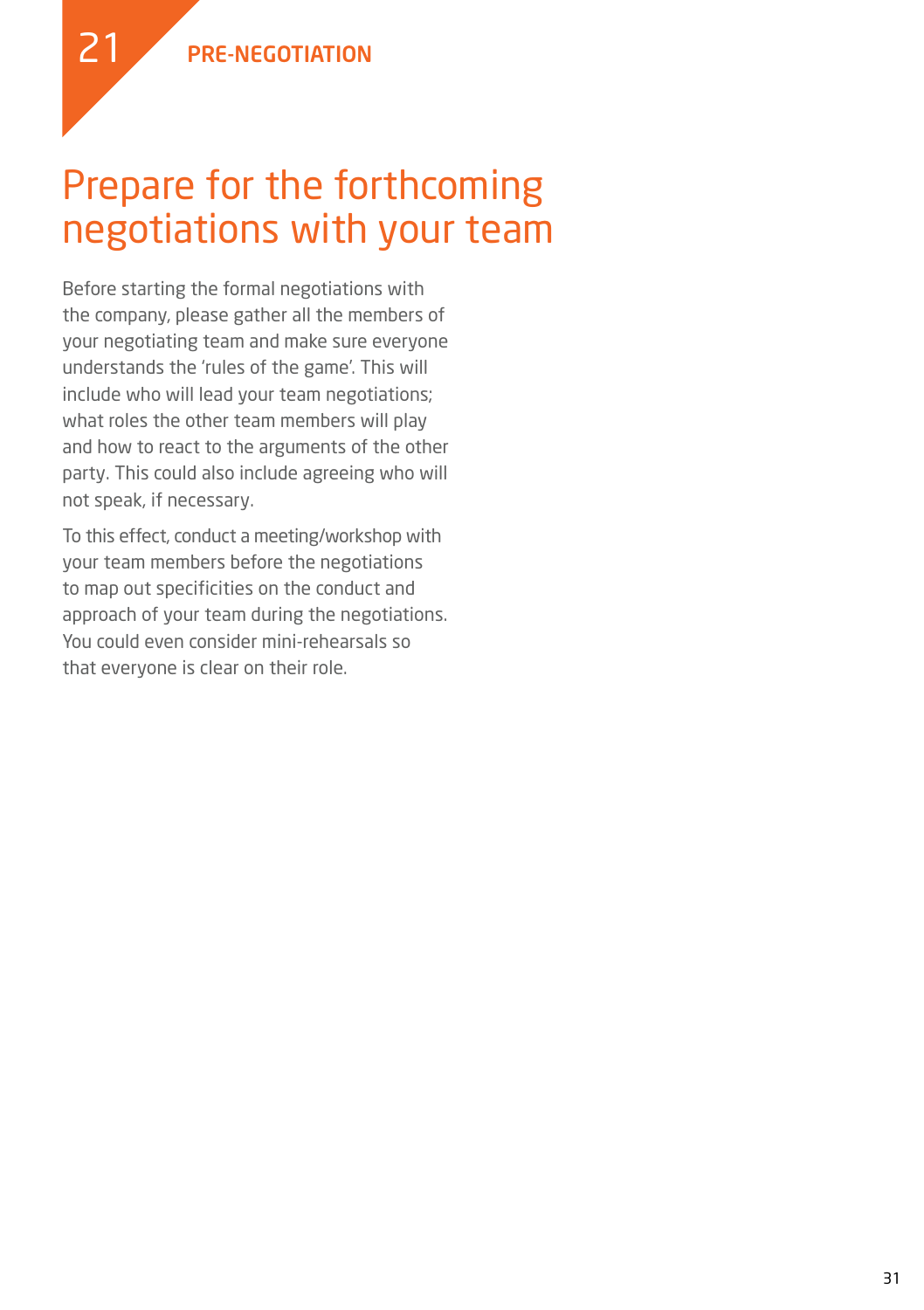

### Prepare for the forthcoming negotiations with your team

Before starting the formal negotiations with the company, please gather all the members of your negotiating team and make sure everyone understands the 'rules of the game'. This will include who will lead your team negotiations; what roles the other team members will play and how to react to the arguments of the other party. This could also include agreeing who will not speak, if necessary.

To this effect, conduct a meeting/workshop with your team members before the negotiations to map out specificities on the conduct and approach of your team during the negotiations. You could even consider mini-rehearsals so that everyone is clear on their role.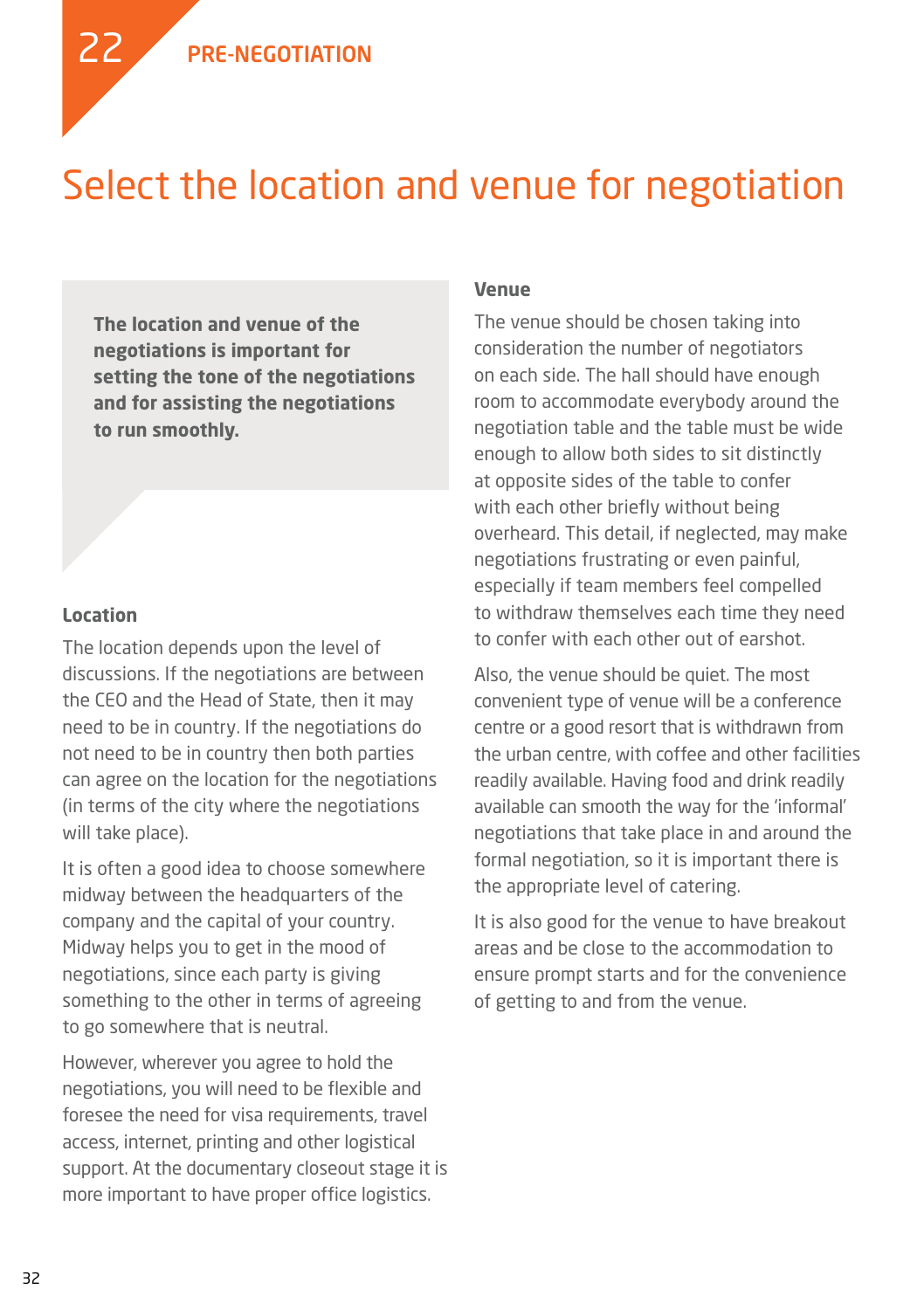

### Select the location and venue for negotiation

**The location and venue of the negotiations is important for setting the tone of the negotiations and for assisting the negotiations to run smoothly.**

#### **Location**

The location depends upon the level of discussions. If the negotiations are between the CEO and the Head of State, then it may need to be in country. If the negotiations do not need to be in country then both parties can agree on the location for the negotiations (in terms of the city where the negotiations will take place).

It is often a good idea to choose somewhere midway between the headquarters of the company and the capital of your country. Midway helps you to get in the mood of negotiations, since each party is giving something to the other in terms of agreeing to go somewhere that is neutral.

However, wherever you agree to hold the negotiations, you will need to be flexible and foresee the need for visa requirements, travel access, internet, printing and other logistical support. At the documentary closeout stage it is more important to have proper office logistics.

#### **Venue**

The venue should be chosen taking into consideration the number of negotiators on each side. The hall should have enough room to accommodate everybody around the negotiation table and the table must be wide enough to allow both sides to sit distinctly at opposite sides of the table to confer with each other briefly without being overheard. This detail, if neglected, may make negotiations frustrating or even painful, especially if team members feel compelled to withdraw themselves each time they need to confer with each other out of earshot.

Also, the venue should be quiet. The most convenient type of venue will be a conference centre or a good resort that is withdrawn from the urban centre, with coffee and other facilities readily available. Having food and drink readily available can smooth the way for the 'informal' negotiations that take place in and around the formal negotiation, so it is important there is the appropriate level of catering.

It is also good for the venue to have breakout areas and be close to the accommodation to ensure prompt starts and for the convenience of getting to and from the venue.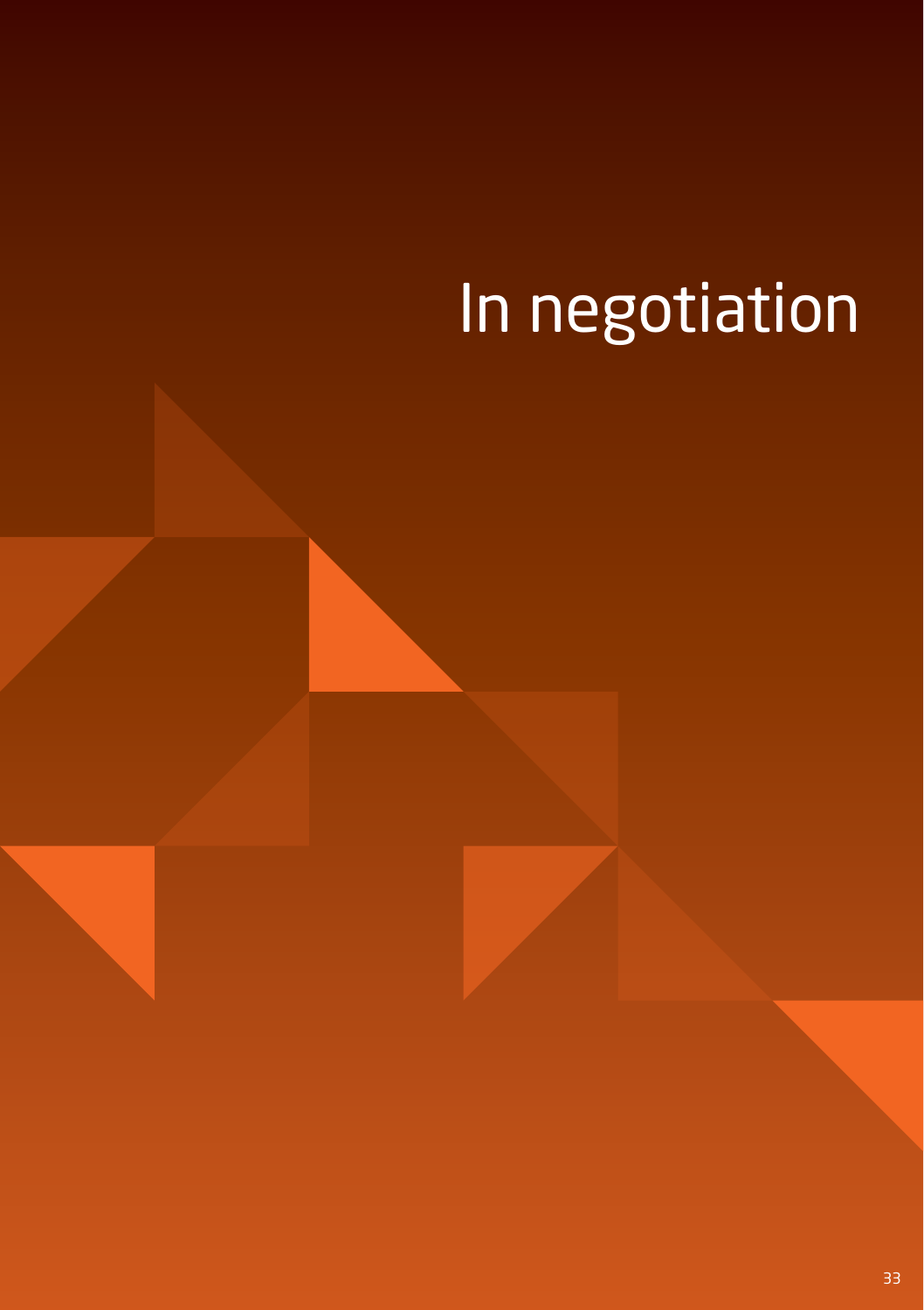# In negotiation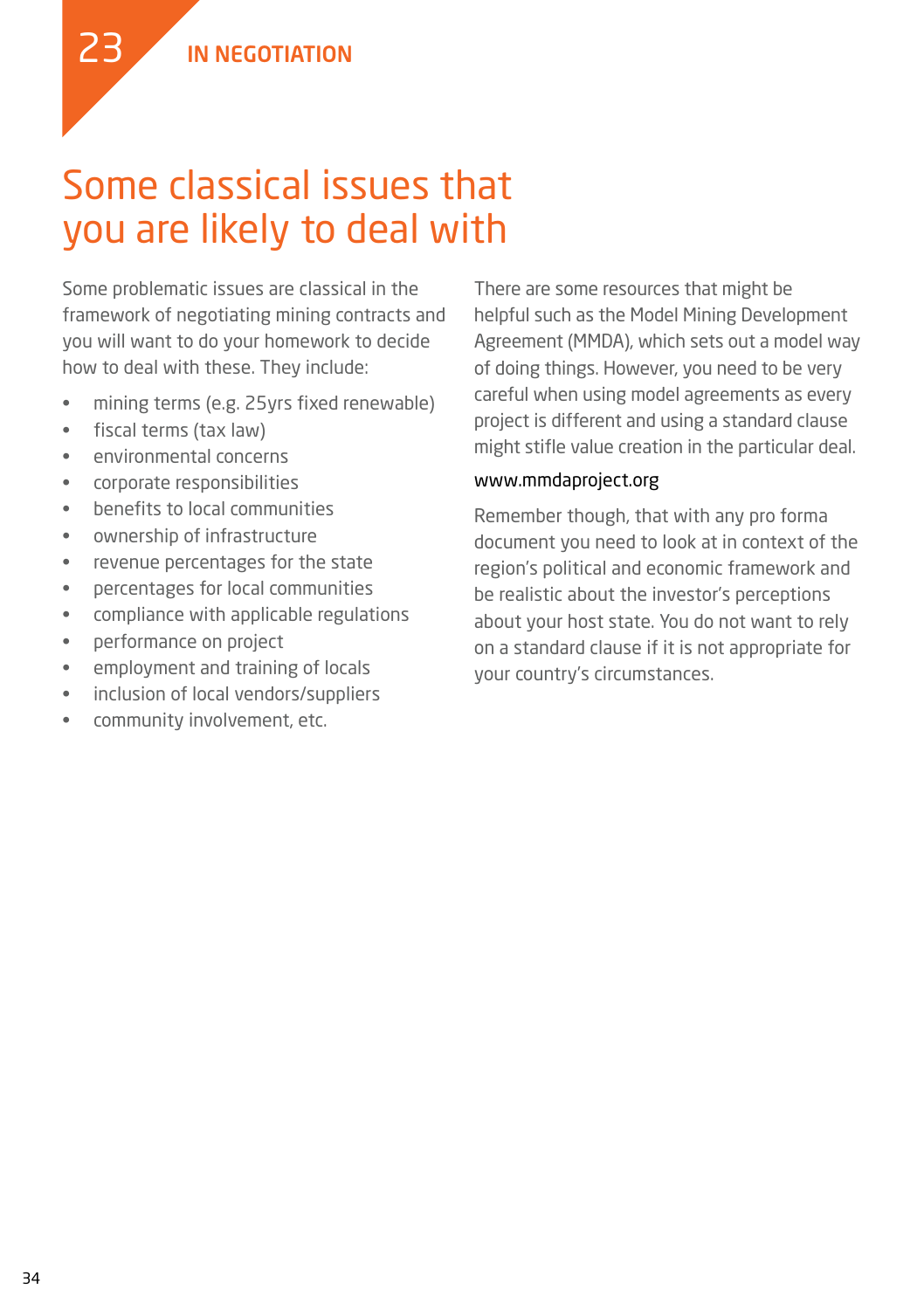### Some classical issues that you are likely to deal with

Some problematic issues are classical in the framework of negotiating mining contracts and you will want to do your homework to decide how to deal with these. They include:

- • mining terms (e.g. 25yrs fixed renewable)
- • fiscal terms (tax law)

23

- • environmental concerns
- • corporate responsibilities
- • benefits to local communities
- • ownership of infrastructure
- • revenue percentages for the state
- • percentages for local communities
- • compliance with applicable regulations
- • performance on project
- • employment and training of locals
- • inclusion of local vendors/suppliers
- community involvement, etc.

There are some resources that might be helpful such as the Model Mining Development Agreement (MMDA), which sets out a model way of doing things. However, you need to be very careful when using model agreements as every project is different and using a standard clause might stifle value creation in the particular deal.

#### www.mmdaproject.org

Remember though, that with any pro forma document you need to look at in context of the region's political and economic framework and be realistic about the investor's perceptions about your host state. You do not want to rely on a standard clause if it is not appropriate for your country's circumstances.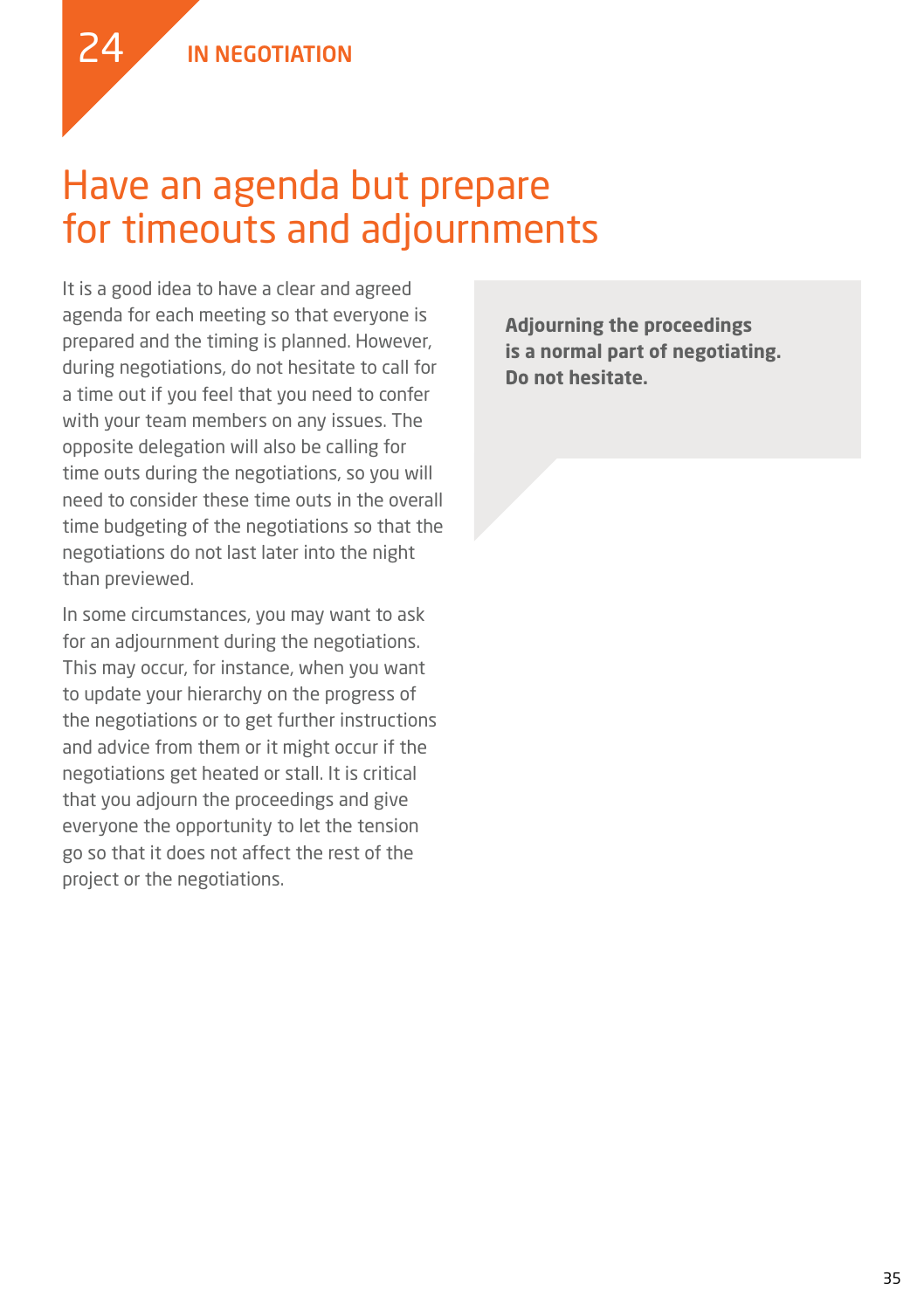24

### Have an agenda but prepare for timeouts and adjournments

It is a good idea to have a clear and agreed agenda for each meeting so that everyone is prepared and the timing is planned. However, during negotiations, do not hesitate to call for a time out if you feel that you need to confer with your team members on any issues. The opposite delegation will also be calling for time outs during the negotiations, so you will need to consider these time outs in the overall time budgeting of the negotiations so that the negotiations do not last later into the night than previewed.

In some circumstances, you may want to ask for an adjournment during the negotiations. This may occur, for instance, when you want to update your hierarchy on the progress of the negotiations or to get further instructions and advice from them or it might occur if the negotiations get heated or stall. It is critical that you adjourn the proceedings and give everyone the opportunity to let the tension go so that it does not affect the rest of the project or the negotiations.

**Adjourning the proceedings is a normal part of negotiating. Do not hesitate.**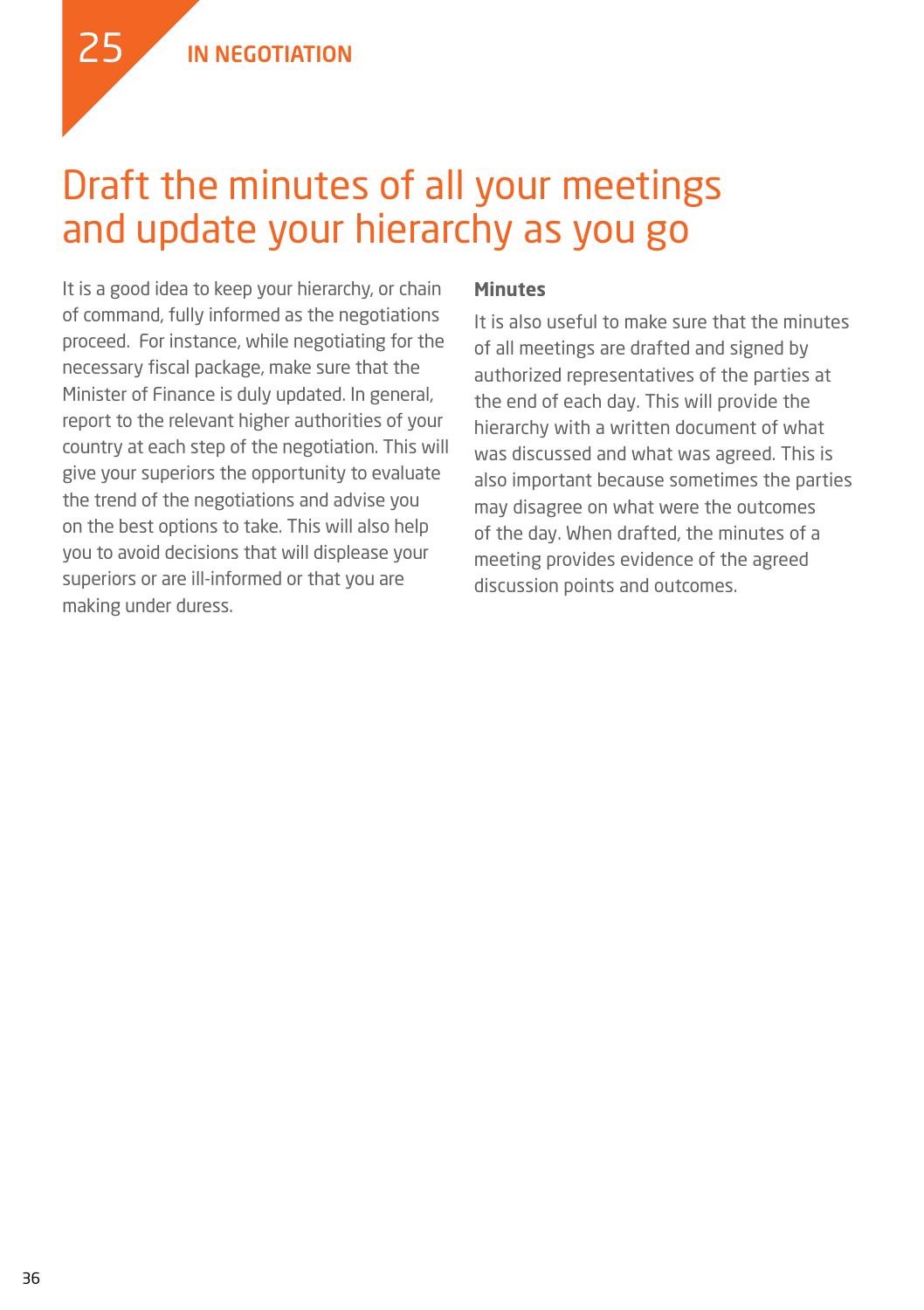

### Draft the minutes of all your meetings and update your hierarchy as you go

It is a good idea to keep your hierarchy, or chain of command, fully informed as the negotiations proceed. For instance, while negotiating for the necessary fiscal package, make sure that the Minister of Finance is duly updated. In general, report to the relevant higher authorities of your country at each step of the negotiation. This will give your superiors the opportunity to evaluate the trend of the negotiations and advise you on the best options to take. This will also help you to avoid decisions that will displease your superiors or are ill-informed or that you are making under duress.

#### **Minutes**

It is also useful to make sure that the minutes of all meetings are drafted and signed by authorized representatives of the parties at the end of each day. This will provide the hierarchy with a written document of what was discussed and what was agreed. This is also important because sometimes the parties may disagree on what were the outcomes of the day. When drafted, the minutes of a meeting provides evidence of the agreed discussion points and outcomes.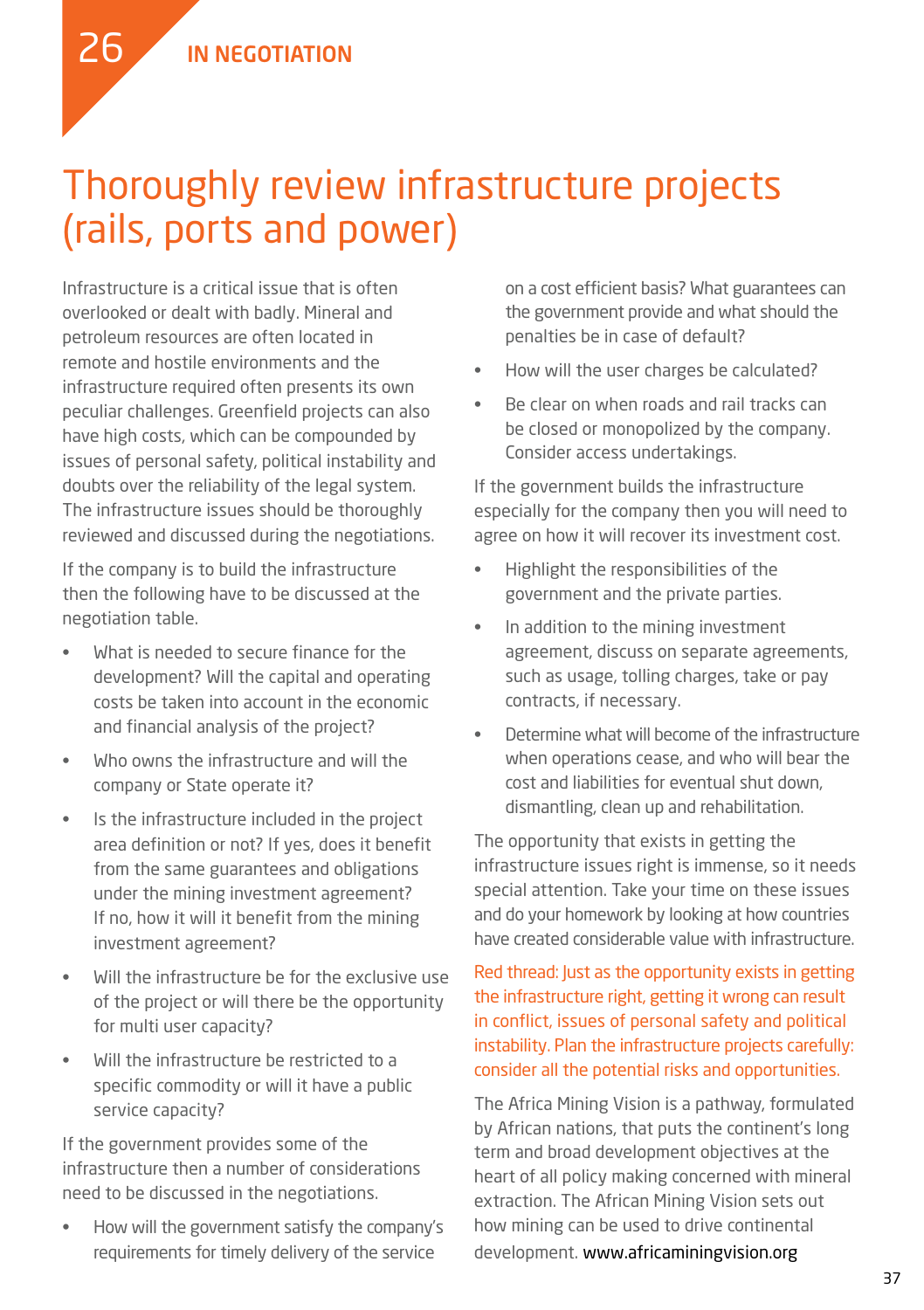

Infrastructure is a critical issue that is often overlooked or dealt with badly. Mineral and petroleum resources are often located in remote and hostile environments and the infrastructure required often presents its own peculiar challenges. Greenfield projects can also have high costs, which can be compounded by issues of personal safety, political instability and doubts over the reliability of the legal system. The infrastructure issues should be thoroughly reviewed and discussed during the negotiations.

If the company is to build the infrastructure then the following have to be discussed at the negotiation table.

- What is needed to secure finance for the development? Will the capital and operating costs be taken into account in the economic and financial analysis of the project?
- Who owns the infrastructure and will the company or State operate it?
- Is the infrastructure included in the project area definition or not? If yes, does it benefit from the same guarantees and obligations under the mining investment agreement? If no, how it will it benefit from the mining investment agreement?
- Will the infrastructure be for the exclusive use of the project or will there be the opportunity for multi user capacity?
- Will the infrastructure be restricted to a specific commodity or will it have a public service capacity?

If the government provides some of the infrastructure then a number of considerations need to be discussed in the negotiations.

How will the government satisfy the company's requirements for timely delivery of the service

on a cost efficient basis? What guarantees can the government provide and what should the penalties be in case of default?

- How will the user charges be calculated?
- Be clear on when roads and rail tracks can be closed or monopolized by the company. Consider access undertakings.

If the government builds the infrastructure especially for the company then you will need to agree on how it will recover its investment cost.

- Highlight the responsibilities of the government and the private parties.
- • In addition to the mining investment agreement, discuss on separate agreements, such as usage, tolling charges, take or pay contracts, if necessary.
- Determine what will become of the infrastructure when operations cease, and who will bear the cost and liabilities for eventual shut down, dismantling, clean up and rehabilitation.

The opportunity that exists in getting the infrastructure issues right is immense, so it needs special attention. Take your time on these issues and do your homework by looking at how countries have created considerable value with infrastructure.

Red thread: Just as the opportunity exists in getting the infrastructure right, getting it wrong can result in conflict, issues of personal safety and political instability. Plan the infrastructure projects carefully: consider all the potential risks and opportunities.

The Africa Mining Vision is a pathway, formulated by African nations, that puts the continent's long term and broad development objectives at the heart of all policy making concerned with mineral extraction. The African Mining Vision sets out how mining can be used to drive continental development. www.africaminingvision.org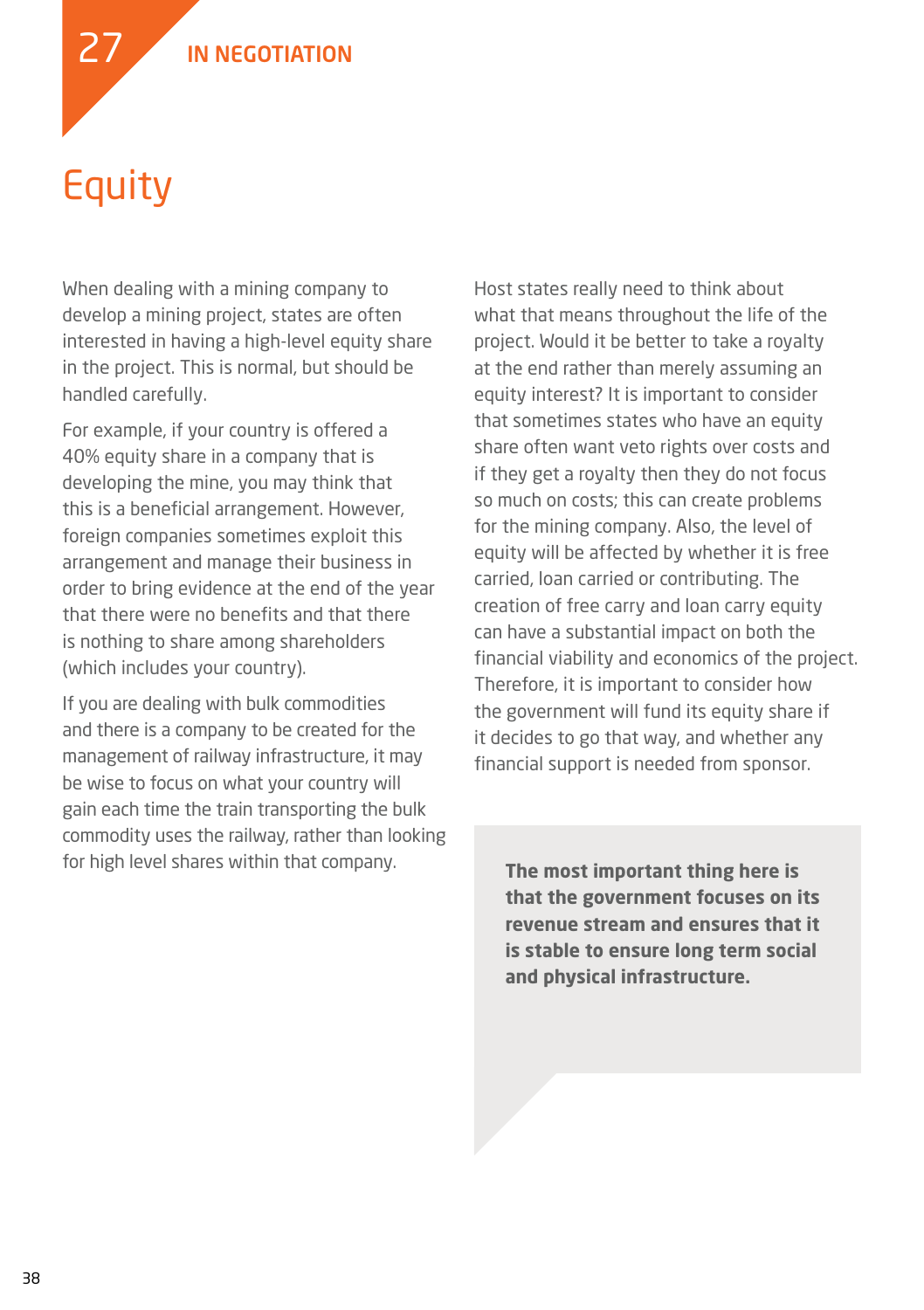In NEGOTIATION

## Equity

27

When dealing with a mining company to develop a mining project, states are often interested in having a high-level equity share in the project. This is normal, but should be handled carefully.

For example, if your country is offered a 40% equity share in a company that is developing the mine, you may think that this is a beneficial arrangement. However, foreign companies sometimes exploit this arrangement and manage their business in order to bring evidence at the end of the year that there were no benefits and that there is nothing to share among shareholders (which includes your country).

If you are dealing with bulk commodities and there is a company to be created for the management of railway infrastructure, it may be wise to focus on what your country will gain each time the train transporting the bulk commodity uses the railway, rather than looking for high level shares within that company.

Host states really need to think about what that means throughout the life of the project. Would it be better to take a royalty at the end rather than merely assuming an equity interest? It is important to consider that sometimes states who have an equity share often want veto rights over costs and if they get a royalty then they do not focus so much on costs; this can create problems for the mining company. Also, the level of equity will be affected by whether it is free carried, loan carried or contributing. The creation of free carry and loan carry equity can have a substantial impact on both the financial viability and economics of the project. Therefore, it is important to consider how the government will fund its equity share if it decides to go that way, and whether any financial support is needed from sponsor.

**The most important thing here is that the government focuses on its revenue stream and ensures that it is stable to ensure long term social and physical infrastructure.**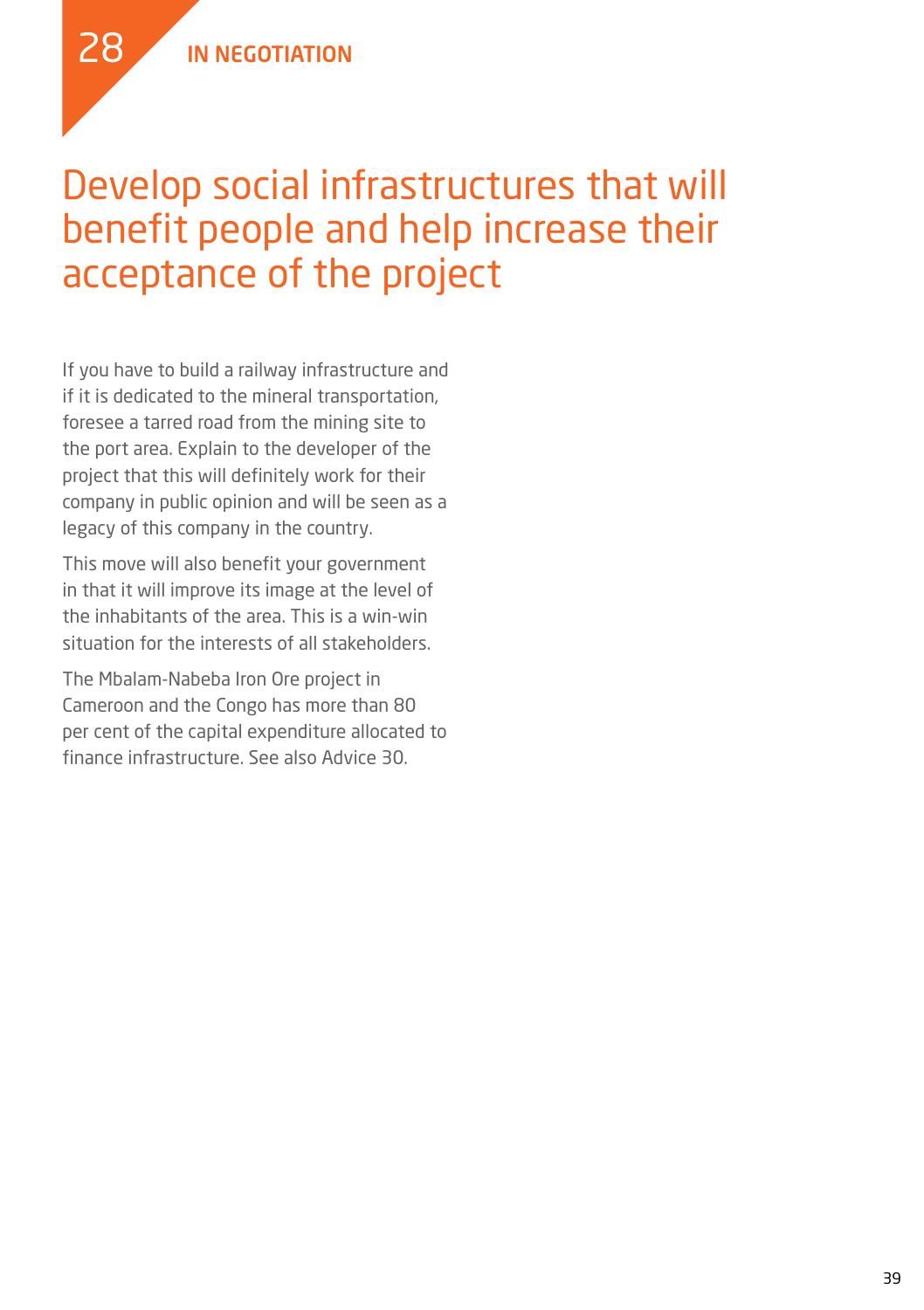### Develop social infrastructures that will benefit people and help increase their acceptance of the project

If you have to build a railway infrastructure and if it is dedicated to the mineral transportation, foresee a tarred road from the mining site to the port area. Explain to the developer of the project that this will definitely work for their company in public opinion and will be seen as a legacy of this company in the country.

This move will also benefit your government in that it will improve its image at the level of the inhabitants of the area. This is a win-win situation for the interests of all stakeholders.

The Mbalam-Nabeba Iron Ore project in Cameroon and the Congo has more than 80 per cent of the capital expenditure allocated to finance infrastructure. See also Advice 30.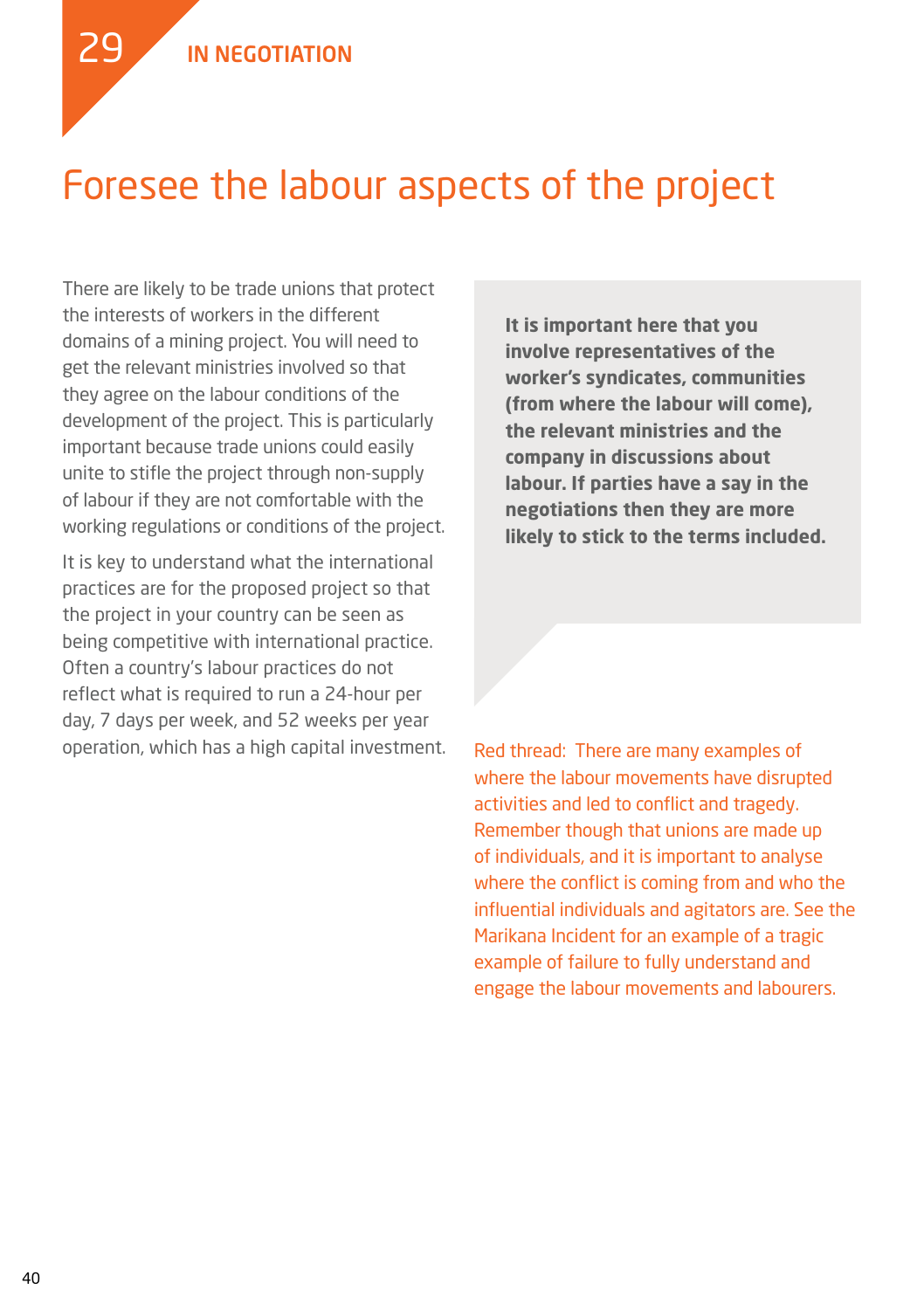29

### Foresee the labour aspects of the project

There are likely to be trade unions that protect the interests of workers in the different domains of a mining project. You will need to get the relevant ministries involved so that they agree on the labour conditions of the development of the project. This is particularly important because trade unions could easily unite to stifle the project through non-supply of labour if they are not comfortable with the working regulations or conditions of the project.

It is key to understand what the international practices are for the proposed project so that the project in your country can be seen as being competitive with international practice. Often a country's labour practices do not reflect what is required to run a 24-hour per day, 7 days per week, and 52 weeks per year operation, which has a high capital investment. **It is important here that you involve representatives of the worker's syndicates, communities (from where the labour will come), the relevant ministries and the company in discussions about labour. If parties have a say in the negotiations then they are more likely to stick to the terms included.** 

Red thread: There are many examples of where the labour movements have disrupted activities and led to conflict and tragedy. Remember though that unions are made up of individuals, and it is important to analyse where the conflict is coming from and who the influential individuals and agitators are. See the Marikana Incident for an example of a tragic example of failure to fully understand and engage the labour movements and labourers.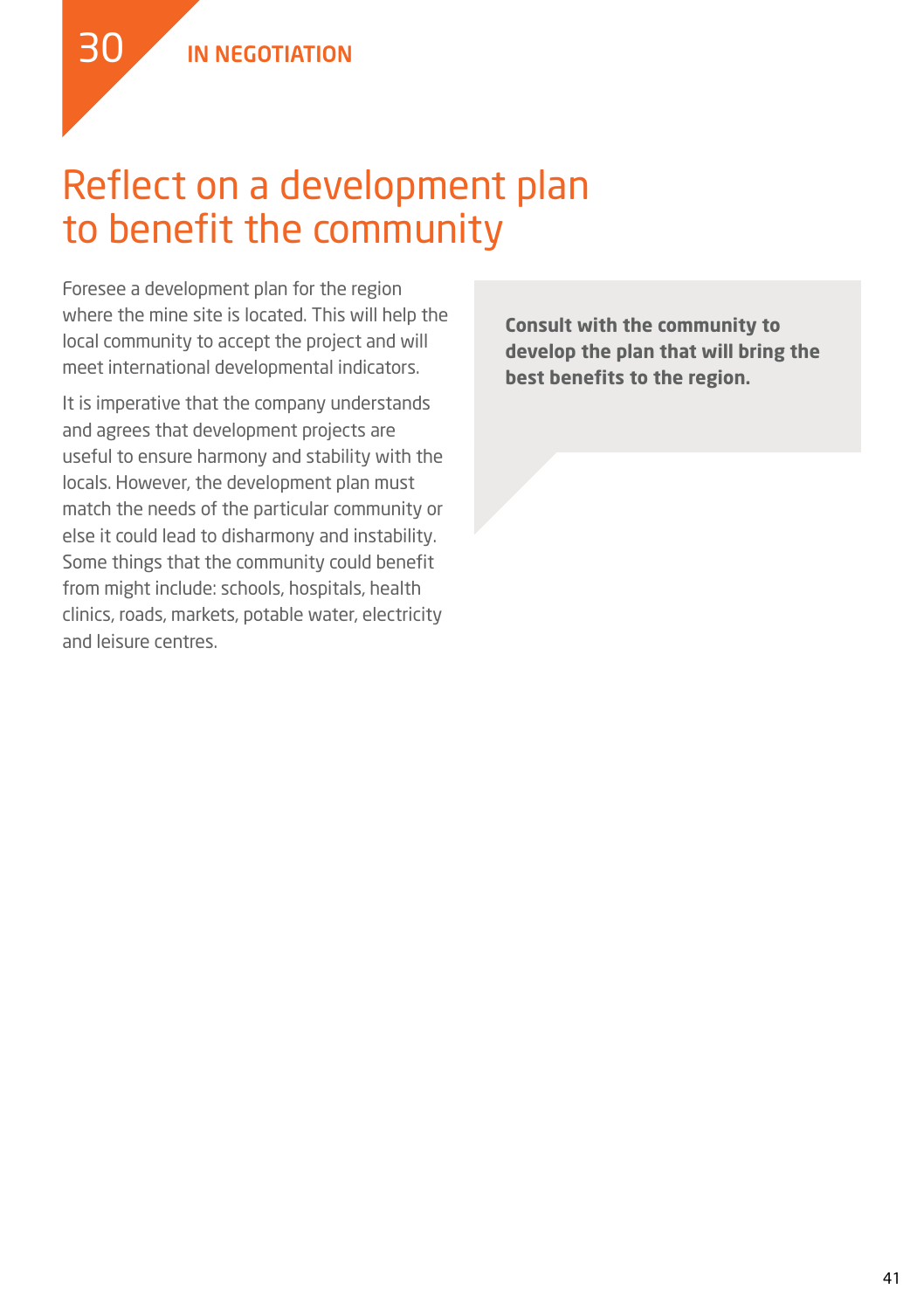### Reflect on a development plan to benefit the community

Foresee a development plan for the region where the mine site is located. This will help the local community to accept the project and will meet international developmental indicators.

It is imperative that the company understands and agrees that development projects are useful to ensure harmony and stability with the locals. However, the development plan must match the needs of the particular community or else it could lead to disharmony and instability. Some things that the community could benefit from might include: schools, hospitals, health clinics, roads, markets, potable water, electricity and leisure centres.

**Consult with the community to develop the plan that will bring the best benefits to the region.**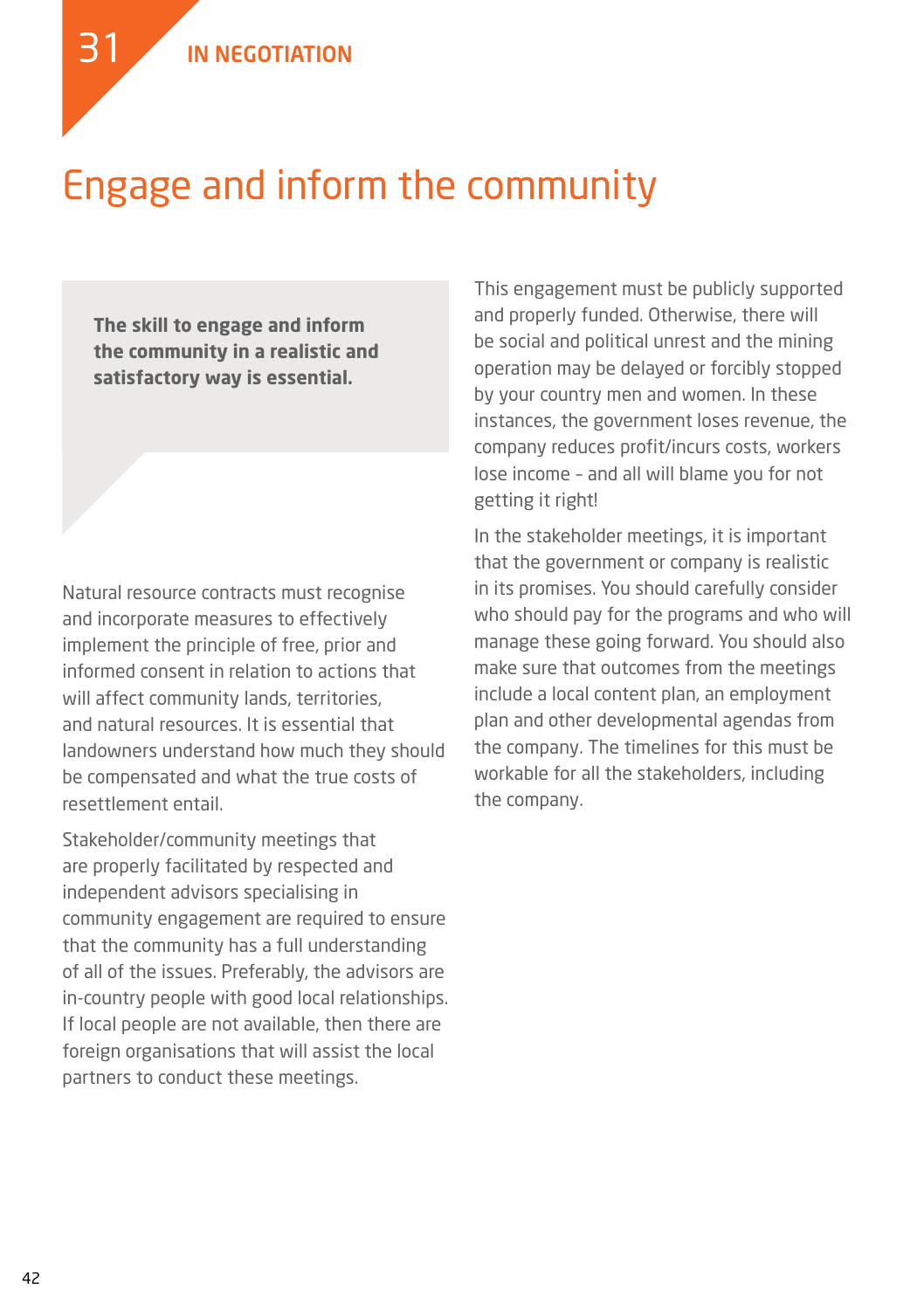### Engage and inform the community

**The skill to engage and inform the community in a realistic and satisfactory way is essential.** 

Natural resource contracts must recognise and incorporate measures to effectively implement the principle of free, prior and informed consent in relation to actions that will affect community lands, territories, and natural resources. It is essential that landowners understand how much they should be compensated and what the true costs of resettlement entail.

Stakeholder/community meetings that are properly facilitated by respected and independent advisors specialising in community engagement are required to ensure that the community has a full understanding of all of the issues. Preferably, the advisors are in-country people with good local relationships. If local people are not available, then there are foreign organisations that will assist the local partners to conduct these meetings.

This engagement must be publicly supported and properly funded. Otherwise, there will be social and political unrest and the mining operation may be delayed or forcibly stopped by your country men and women. In these instances, the government loses revenue, the company reduces profit/incurs costs, workers lose income – and all will blame you for not getting it right!

In the stakeholder meetings, it is important that the government or company is realistic in its promises. You should carefully consider who should pay for the programs and who will manage these going forward. You should also make sure that outcomes from the meetings include a local content plan, an employment plan and other developmental agendas from the company. The timelines for this must be workable for all the stakeholders, including the company.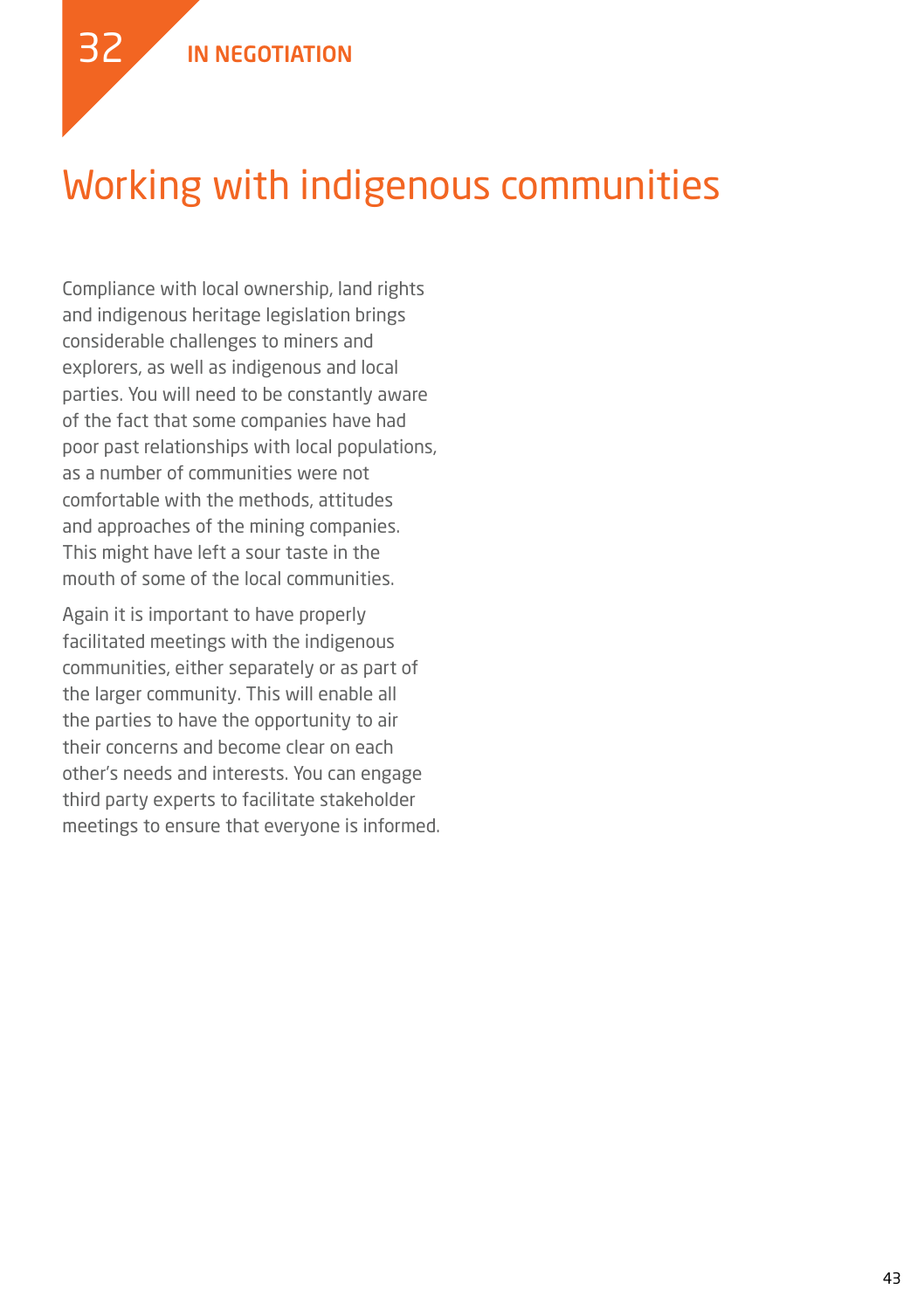

### Working with indigenous communities

Compliance with local ownership, land rights and indigenous heritage legislation brings considerable challenges to miners and explorers, as well as indigenous and local parties. You will need to be constantly aware of the fact that some companies have had poor past relationships with local populations, as a number of communities were not comfortable with the methods, attitudes and approaches of the mining companies. This might have left a sour taste in the mouth of some of the local communities.

Again it is important to have properly facilitated meetings with the indigenous communities, either separately or as part of the larger community. This will enable all the parties to have the opportunity to air their concerns and become clear on each other's needs and interests. You can engage third party experts to facilitate stakeholder meetings to ensure that everyone is informed.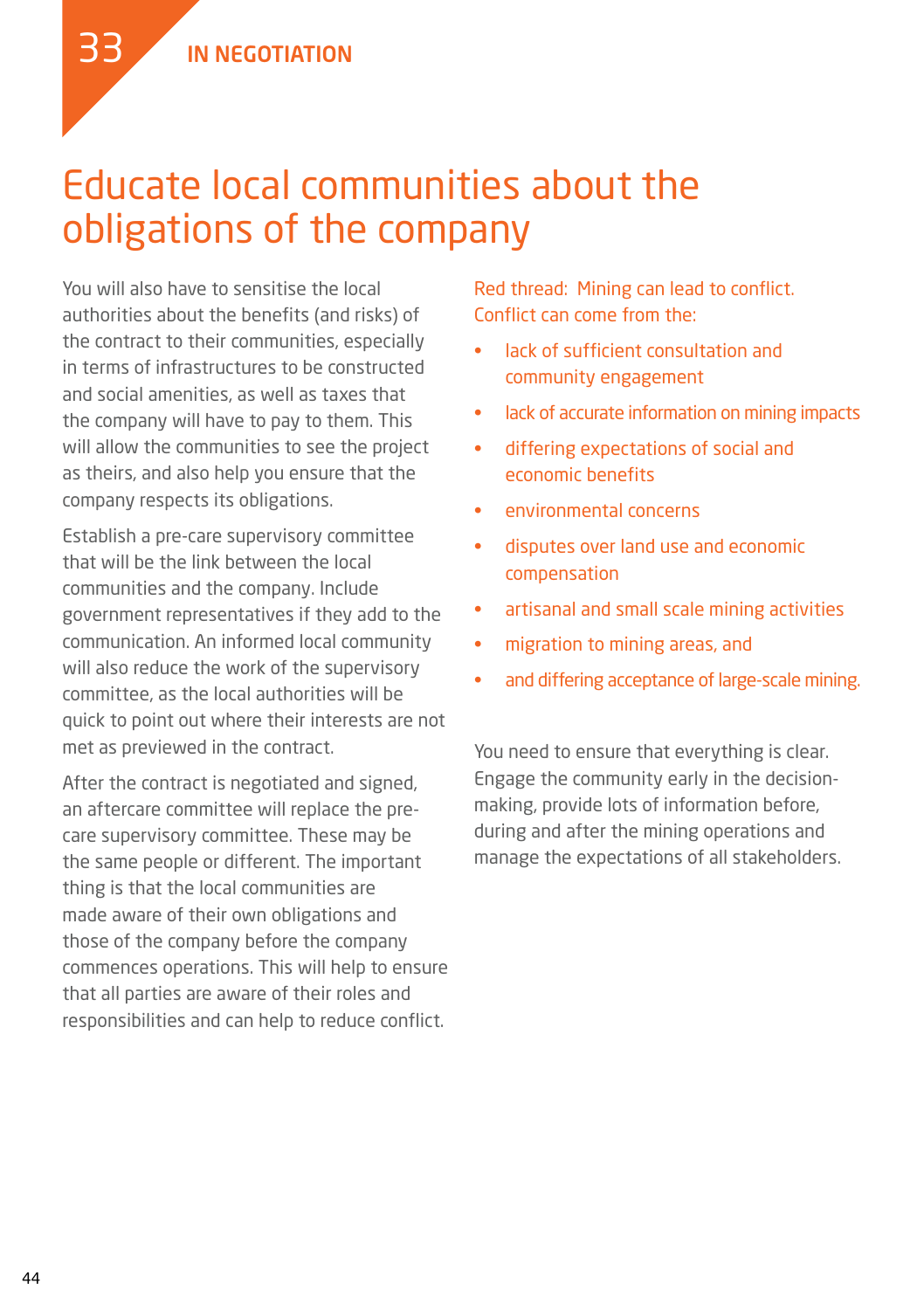### Educate local communities about the obligations of the company

You will also have to sensitise the local authorities about the benefits (and risks) of the contract to their communities, especially in terms of infrastructures to be constructed and social amenities, as well as taxes that the company will have to pay to them. This will allow the communities to see the project as theirs, and also help you ensure that the company respects its obligations.

Establish a pre-care supervisory committee that will be the link between the local communities and the company. Include government representatives if they add to the communication. An informed local community will also reduce the work of the supervisory committee, as the local authorities will be quick to point out where their interests are not met as previewed in the contract.

After the contract is negotiated and signed, an aftercare committee will replace the precare supervisory committee. These may be the same people or different. The important thing is that the local communities are made aware of their own obligations and those of the company before the company commences operations. This will help to ensure that all parties are aware of their roles and responsibilities and can help to reduce conflict.

Red thread: Mining can lead to conflict. Conflict can come from the:

- lack of sufficient consultation and community engagement
- lack of accurate information on mining impacts
- • differing expectations of social and economic benefits
- environmental concerns
- disputes over land use and economic compensation
- • artisanal and small scale mining activities
- • migration to mining areas, and
- and differing acceptance of large-scale mining.

You need to ensure that everything is clear. Engage the community early in the decisionmaking, provide lots of information before, during and after the mining operations and manage the expectations of all stakeholders.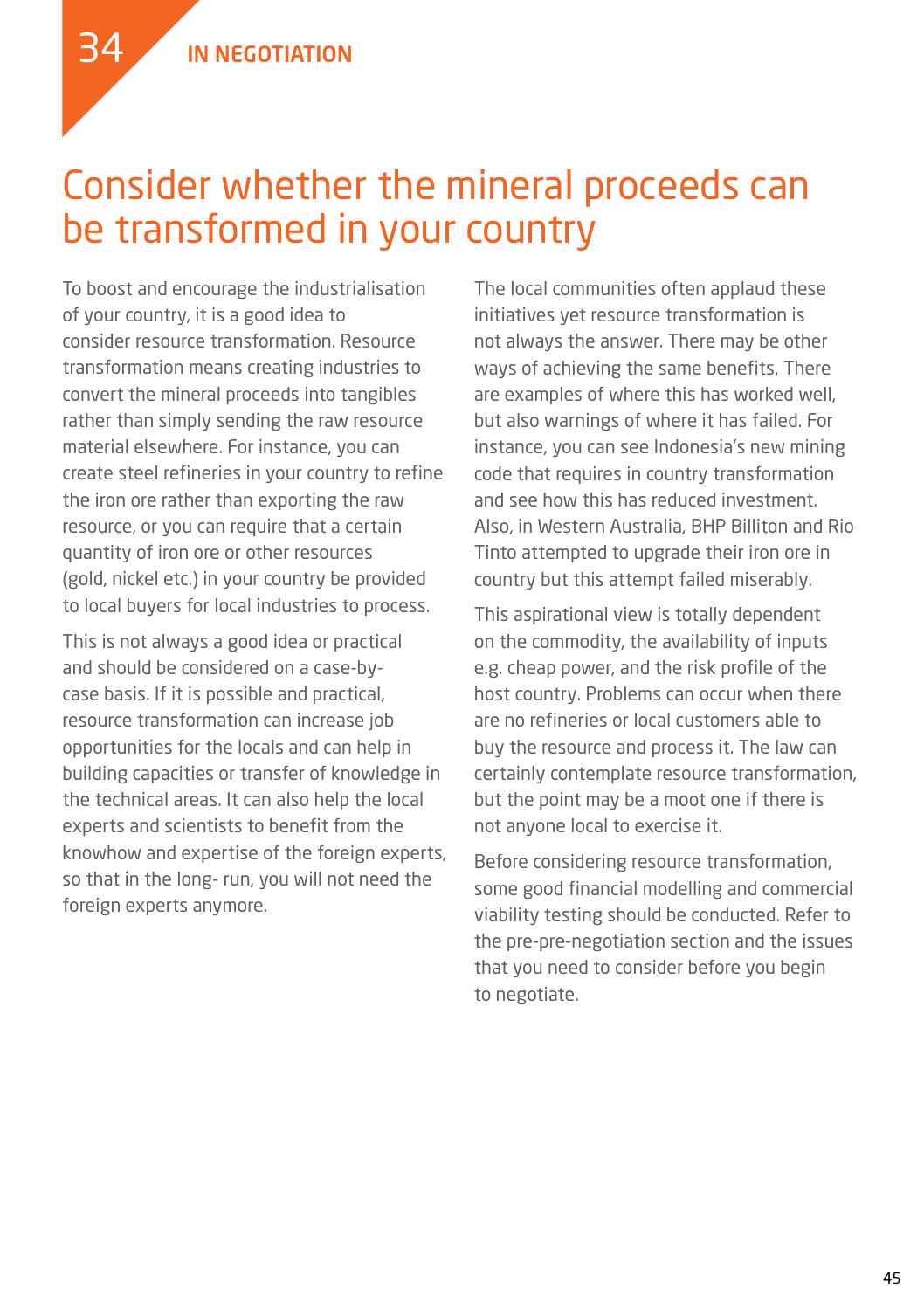

### Consider whether the mineral proceeds can be transformed in your country

To boost and encourage the industrialisation of your country, it is a good idea to consider resource transformation. Resource transformation means creating industries to convert the mineral proceeds into tangibles rather than simply sending the raw resource material elsewhere. For instance, you can create steel refineries in your country to refine the iron ore rather than exporting the raw resource, or you can require that a certain quantity of iron ore or other resources (gold, nickel etc.) in your country be provided to local buyers for local industries to process.

This is not always a good idea or practical and should be considered on a case-bycase basis. If it is possible and practical, resource transformation can increase job opportunities for the locals and can help in building capacities or transfer of knowledge in the technical areas. It can also help the local experts and scientists to benefit from the knowhow and expertise of the foreign experts, so that in the long- run, you will not need the foreign experts anymore.

The local communities often applaud these initiatives yet resource transformation is not always the answer. There may be other ways of achieving the same benefits. There are examples of where this has worked well, but also warnings of where it has failed. For instance, you can see Indonesia's new mining code that requires in country transformation and see how this has reduced investment. Also, in Western Australia, BHP Billiton and Rio Tinto attempted to upgrade their iron ore in country but this attempt failed miserably.

This aspirational view is totally dependent on the commodity, the availability of inputs e.g. cheap power, and the risk profile of the host country. Problems can occur when there are no refineries or local customers able to buy the resource and process it. The law can certainly contemplate resource transformation, but the point may be a moot one if there is not anyone local to exercise it.

Before considering resource transformation, some good financial modelling and commercial viability testing should be conducted. Refer to the pre-pre-negotiation section and the issues that you need to consider before you begin to negotiate.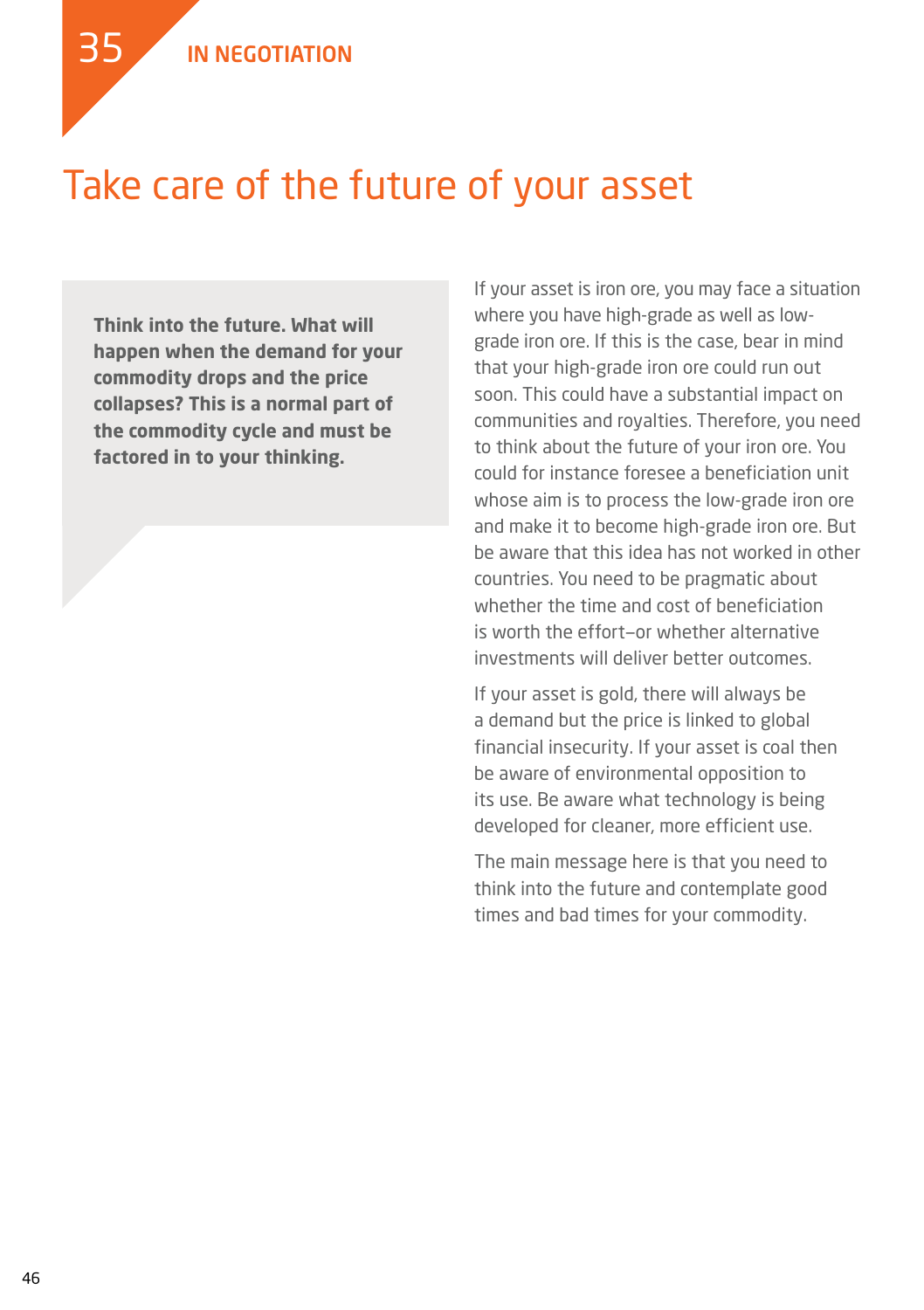35

### Take care of the future of your asset

**Think into the future. What will happen when the demand for your commodity drops and the price collapses? This is a normal part of the commodity cycle and must be factored in to your thinking.**

If your asset is iron ore, you may face a situation where you have high-grade as well as lowgrade iron ore. If this is the case, bear in mind that your high-grade iron ore could run out soon. This could have a substantial impact on communities and royalties. Therefore, you need to think about the future of your iron ore. You could for instance foresee a beneficiation unit whose aim is to process the low-grade iron ore and make it to become high-grade iron ore. But be aware that this idea has not worked in other countries. You need to be pragmatic about whether the time and cost of beneficiation is worth the effort—or whether alternative investments will deliver better outcomes.

If your asset is gold, there will always be a demand but the price is linked to global financial insecurity. If your asset is coal then be aware of environmental opposition to its use. Be aware what technology is being developed for cleaner, more efficient use.

The main message here is that you need to think into the future and contemplate good times and bad times for your commodity.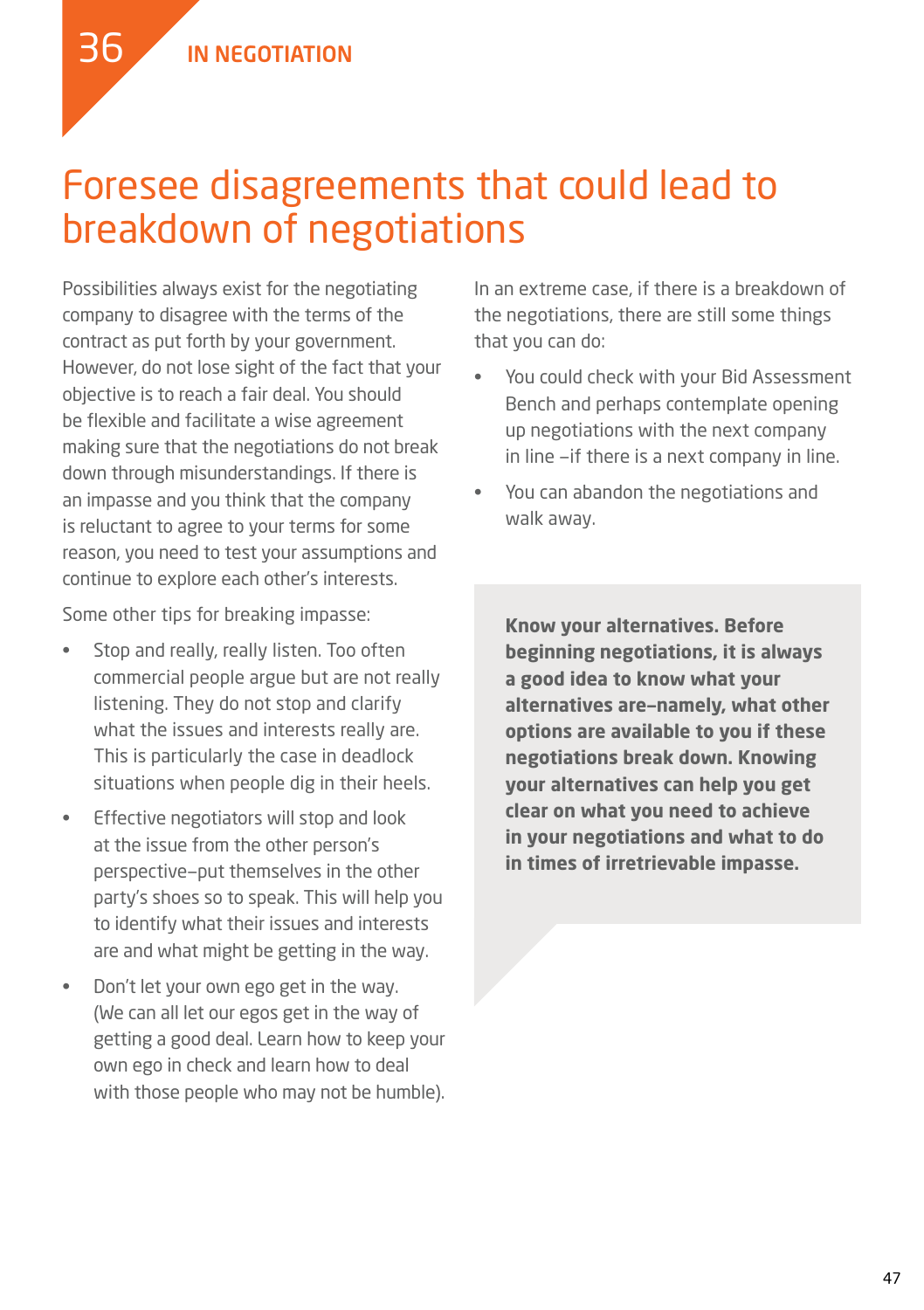### Foresee disagreements that could lead to breakdown of negotiations

Possibilities always exist for the negotiating company to disagree with the terms of the contract as put forth by your government. However, do not lose sight of the fact that your objective is to reach a fair deal. You should be flexible and facilitate a wise agreement making sure that the negotiations do not break down through misunderstandings. If there is an impasse and you think that the company is reluctant to agree to your terms for some reason, you need to test your assumptions and continue to explore each other's interests.

Some other tips for breaking impasse:

- Stop and really, really listen. Too often commercial people argue but are not really listening. They do not stop and clarify what the issues and interests really are. This is particularly the case in deadlock situations when people dig in their heels.
- Effective negotiators will stop and look at the issue from the other person's perspective—put themselves in the other party's shoes so to speak. This will help you to identify what their issues and interests are and what might be getting in the way.
- Don't let your own ego get in the way. (We can all let our egos get in the way of getting a good deal. Learn how to keep your own ego in check and learn how to deal with those people who may not be humble).

In an extreme case, if there is a breakdown of the negotiations, there are still some things that you can do:

- You could check with your Bid Assessment Bench and perhaps contemplate opening up negotiations with the next company in line —if there is a next company in line.
- You can abandon the negotiations and walk away.

**Know your alternatives. Before beginning negotiations, it is always a good idea to know what your alternatives are—namely, what other options are available to you if these negotiations break down. Knowing your alternatives can help you get clear on what you need to achieve in your negotiations and what to do in times of irretrievable impasse.**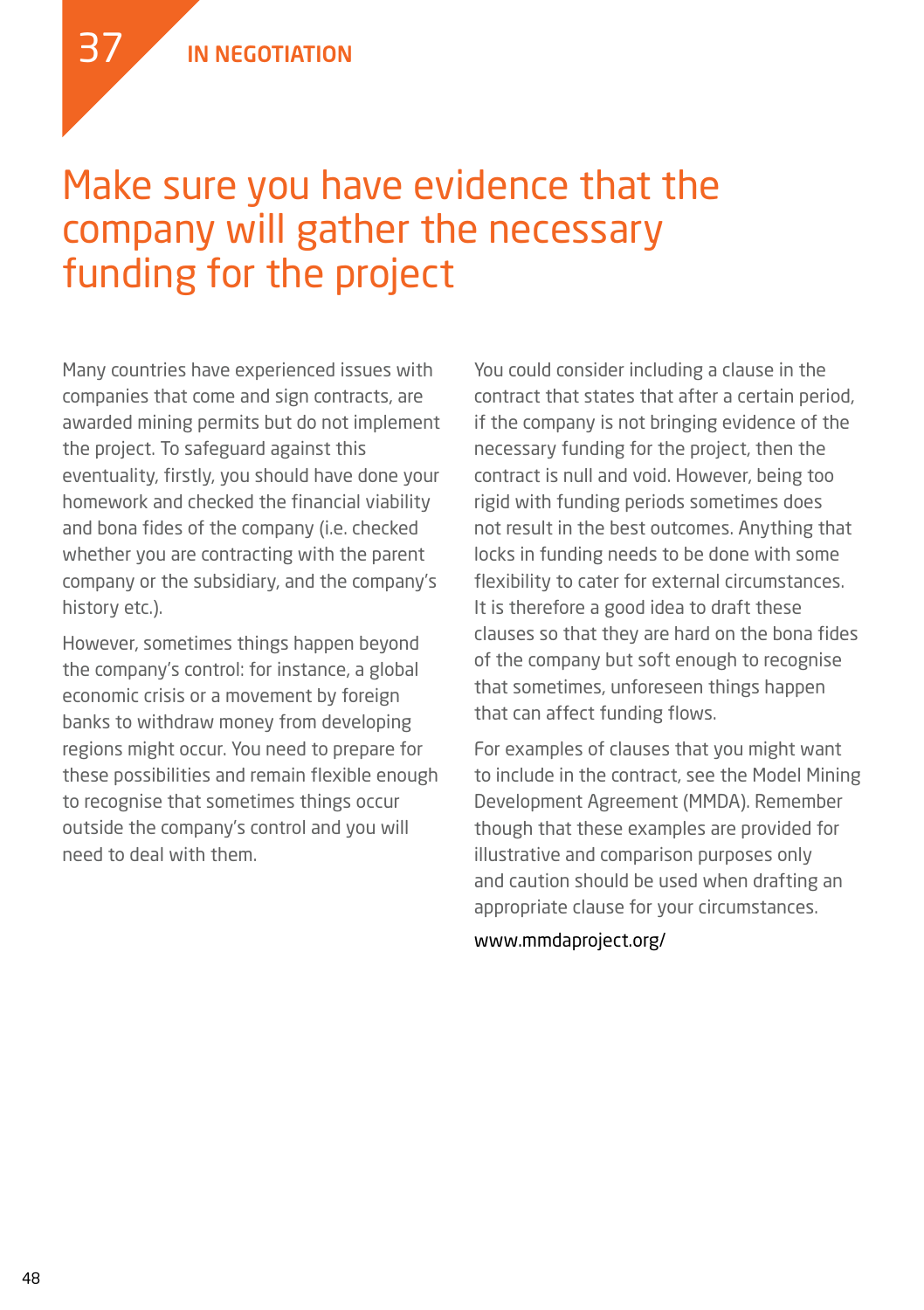37

### Make sure you have evidence that the company will gather the necessary funding for the project

Many countries have experienced issues with companies that come and sign contracts, are awarded mining permits but do not implement the project. To safeguard against this eventuality, firstly, you should have done your homework and checked the financial viability and bona fides of the company (i.e. checked whether you are contracting with the parent company or the subsidiary, and the company's history etc.).

However, sometimes things happen beyond the company's control: for instance, a global economic crisis or a movement by foreign banks to withdraw money from developing regions might occur. You need to prepare for these possibilities and remain flexible enough to recognise that sometimes things occur outside the company's control and you will need to deal with them.

You could consider including a clause in the contract that states that after a certain period, if the company is not bringing evidence of the necessary funding for the project, then the contract is null and void. However, being too rigid with funding periods sometimes does not result in the best outcomes. Anything that locks in funding needs to be done with some flexibility to cater for external circumstances. It is therefore a good idea to draft these clauses so that they are hard on the bona fides of the company but soft enough to recognise that sometimes, unforeseen things happen that can affect funding flows.

For examples of clauses that you might want to include in the contract, see the Model Mining Development Agreement (MMDA). Remember though that these examples are provided for illustrative and comparison purposes only and caution should be used when drafting an appropriate clause for your circumstances.

www.mmdaproject.org/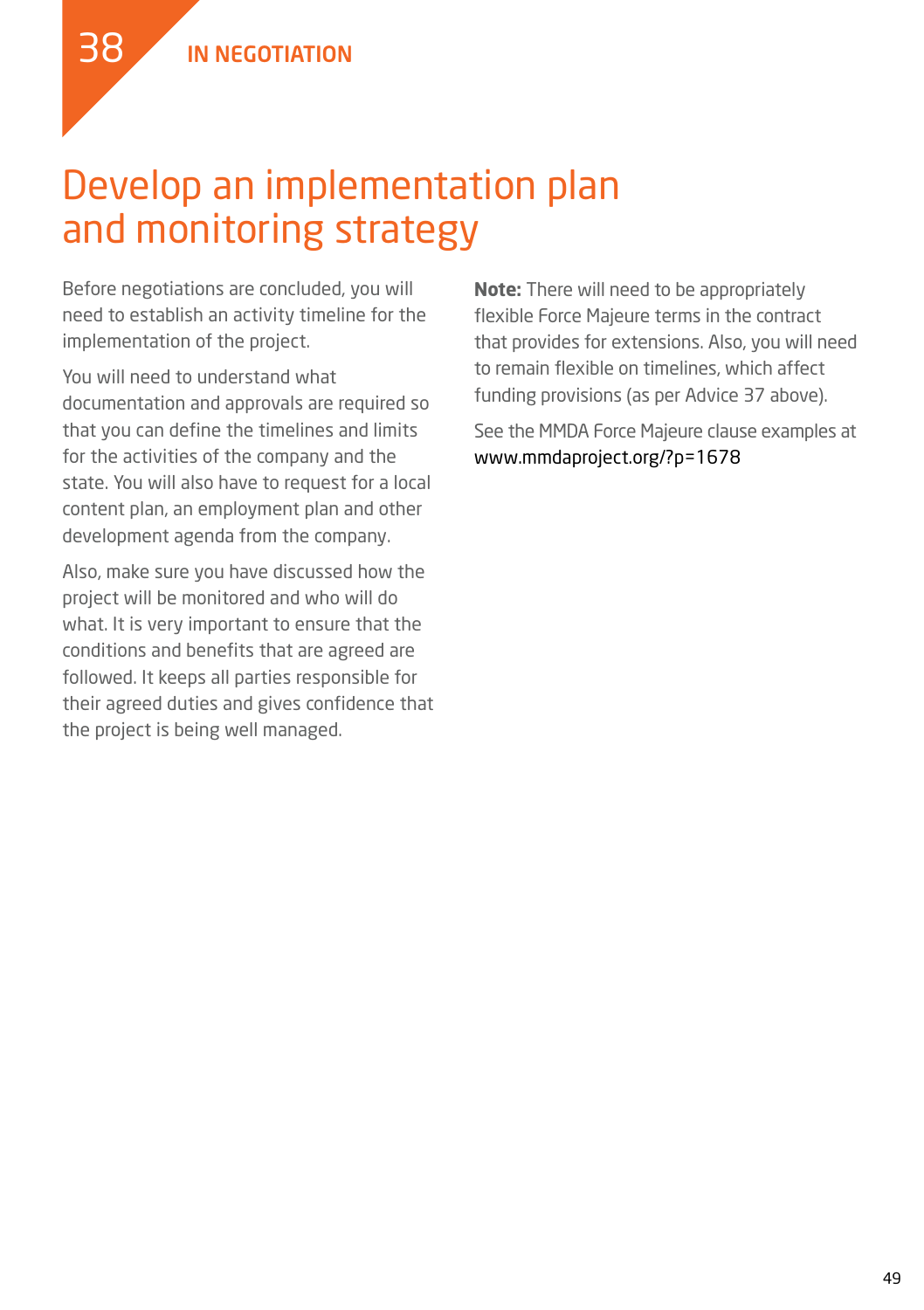

### Develop an implementation plan and monitoring strategy

Before negotiations are concluded, you will need to establish an activity timeline for the implementation of the project.

You will need to understand what documentation and approvals are required so that you can define the timelines and limits for the activities of the company and the state. You will also have to request for a local content plan, an employment plan and other development agenda from the company.

Also, make sure you have discussed how the project will be monitored and who will do what. It is very important to ensure that the conditions and benefits that are agreed are followed. It keeps all parties responsible for their agreed duties and gives confidence that the project is being well managed.

**Note:** There will need to be appropriately flexible Force Majeure terms in the contract that provides for extensions. Also, you will need to remain flexible on timelines, which affect funding provisions (as per Advice 37 above).

See the MMDA Force Majeure clause examples at www.mmdaproject.org/?p=1678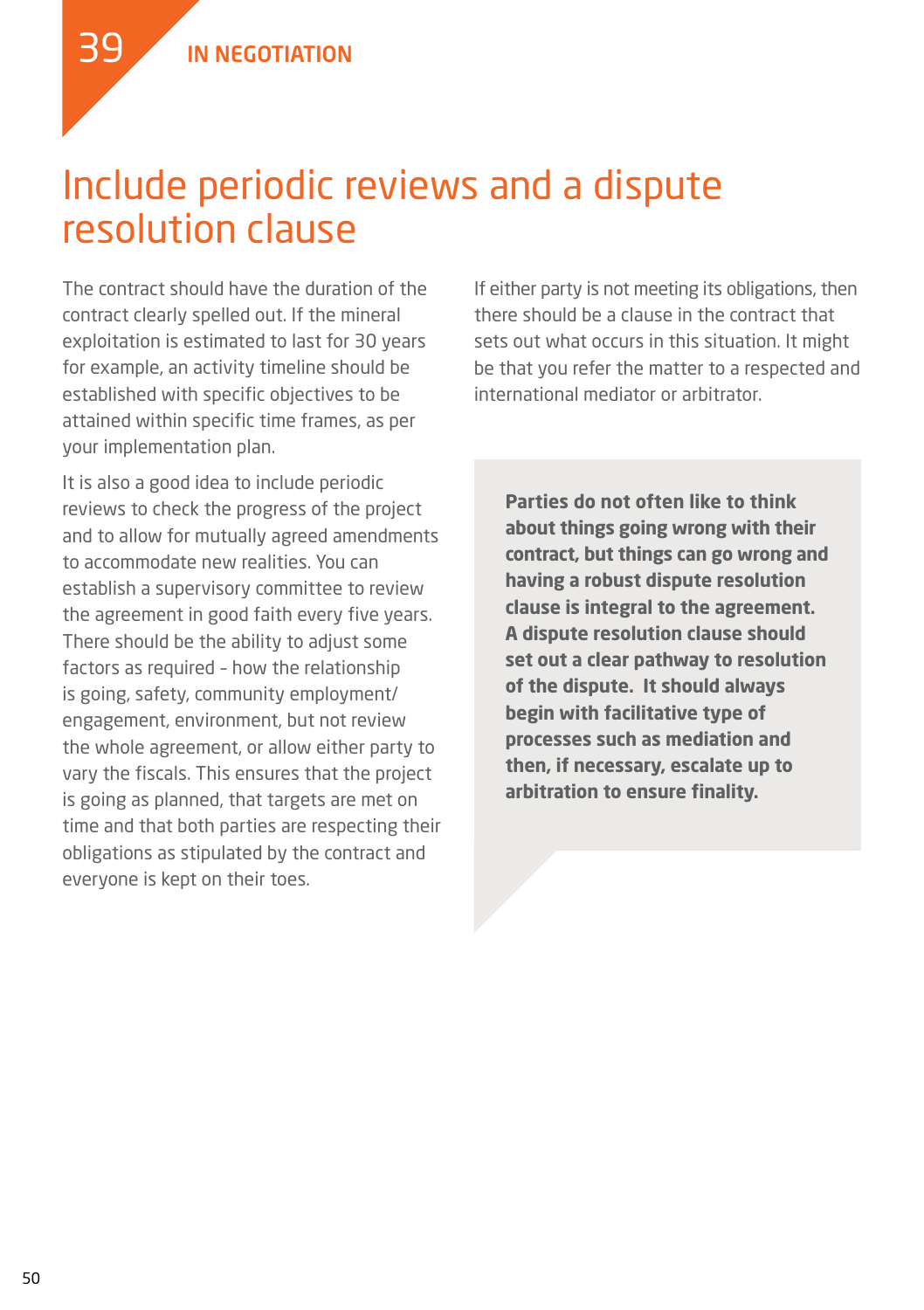

### Include periodic reviews and a dispute resolution clause

The contract should have the duration of the contract clearly spelled out. If the mineral exploitation is estimated to last for 30 years for example, an activity timeline should be established with specific objectives to be attained within specific time frames, as per your implementation plan.

It is also a good idea to include periodic reviews to check the progress of the project and to allow for mutually agreed amendments to accommodate new realities. You can establish a supervisory committee to review the agreement in good faith every five years. There should be the ability to adjust some factors as required – how the relationship is going, safety, community employment/ engagement, environment, but not review the whole agreement, or allow either party to vary the fiscals. This ensures that the project is going as planned, that targets are met on time and that both parties are respecting their obligations as stipulated by the contract and everyone is kept on their toes.

If either party is not meeting its obligations, then there should be a clause in the contract that sets out what occurs in this situation. It might be that you refer the matter to a respected and international mediator or arbitrator.

**Parties do not often like to think about things going wrong with their contract, but things can go wrong and having a robust dispute resolution clause is integral to the agreement. A dispute resolution clause should set out a clear pathway to resolution of the dispute. It should always begin with facilitative type of processes such as mediation and then, if necessary, escalate up to arbitration to ensure finality.**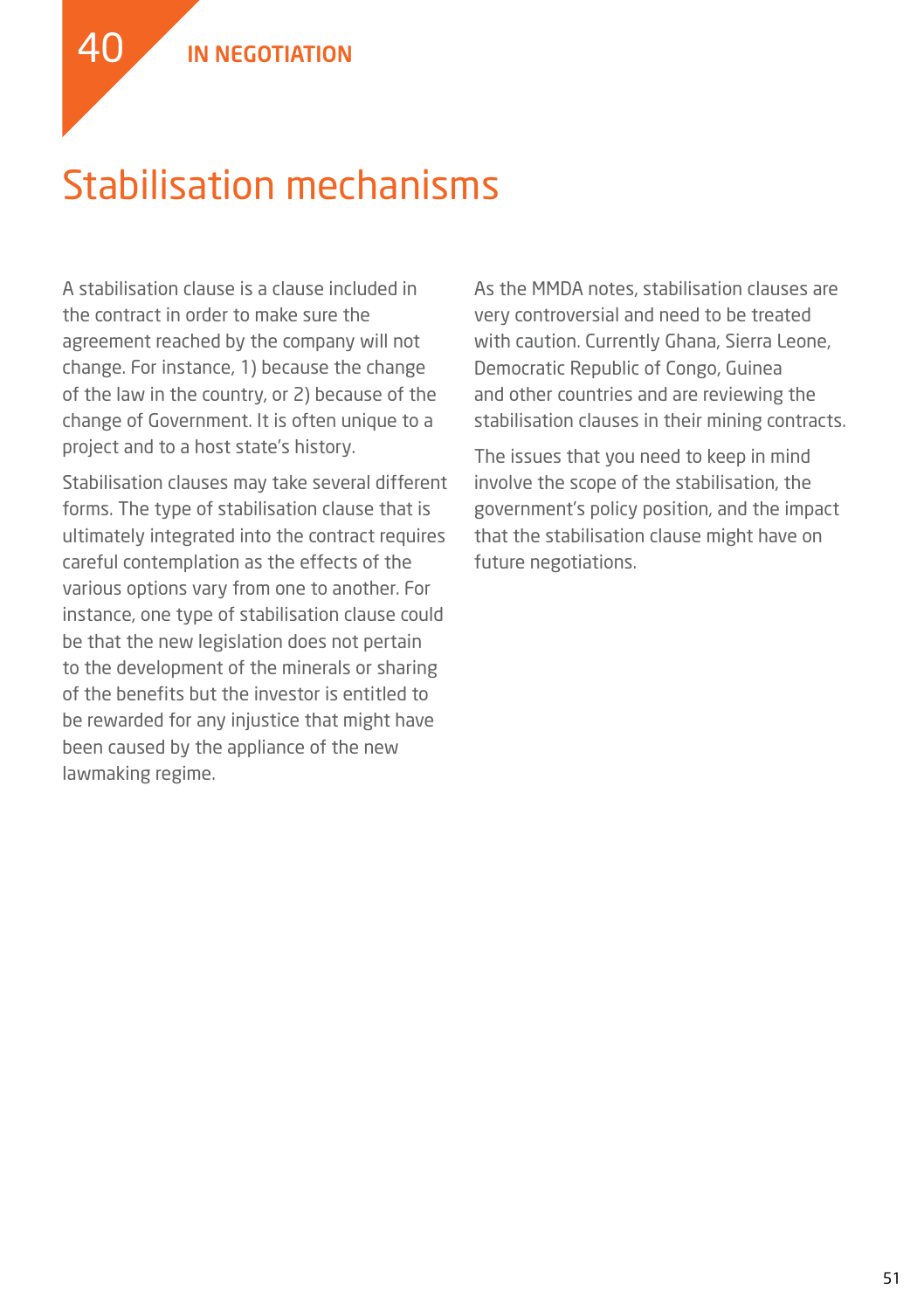### Stabilisation mechanisms

A stabilisation clause is a clause included in the contract in order to make sure the agreement reached by the company will not change. For instance, 1) because the change of the law in the country, or 2) because of the change of Government. It is often unique to a project and to a host state's history.

Stabilisation clauses may take several different forms. The type of stabilisation clause that is ultimately integrated into the contract requires careful contemplation as the effects of the various options vary from one to another. For instance, one type of stabilisation clause could be that the new legislation does not pertain to the development of the minerals or sharing of the benefits but the investor is entitled to be rewarded for any injustice that might have been caused by the appliance of the new lawmaking regime.

As the MMDA notes, stabilisation clauses are very controversial and need to be treated with caution. Currently Ghana, Sierra Leone, Democratic Republic of Congo, Guinea and other countries and are reviewing the stabilisation clauses in their mining contracts.

The issues that you need to keep in mind involve the scope of the stabilisation, the government's policy position, and the impact that the stabilisation clause might have on future negotiations.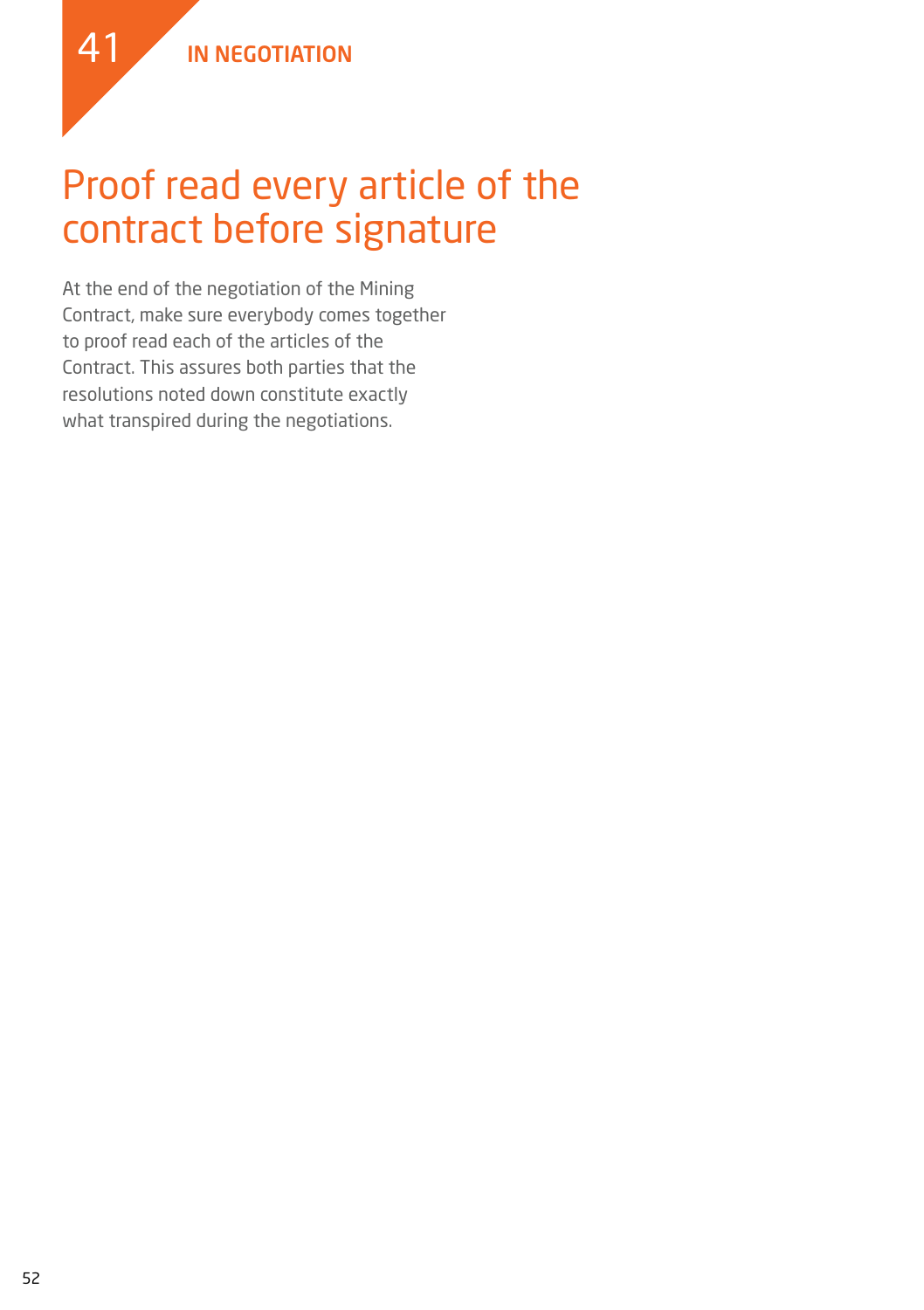41

### Proof read every article of the contract before signature

At the end of the negotiation of the Mining Contract, make sure everybody comes together to proof read each of the articles of the Contract. This assures both parties that the resolutions noted down constitute exactly what transpired during the negotiations.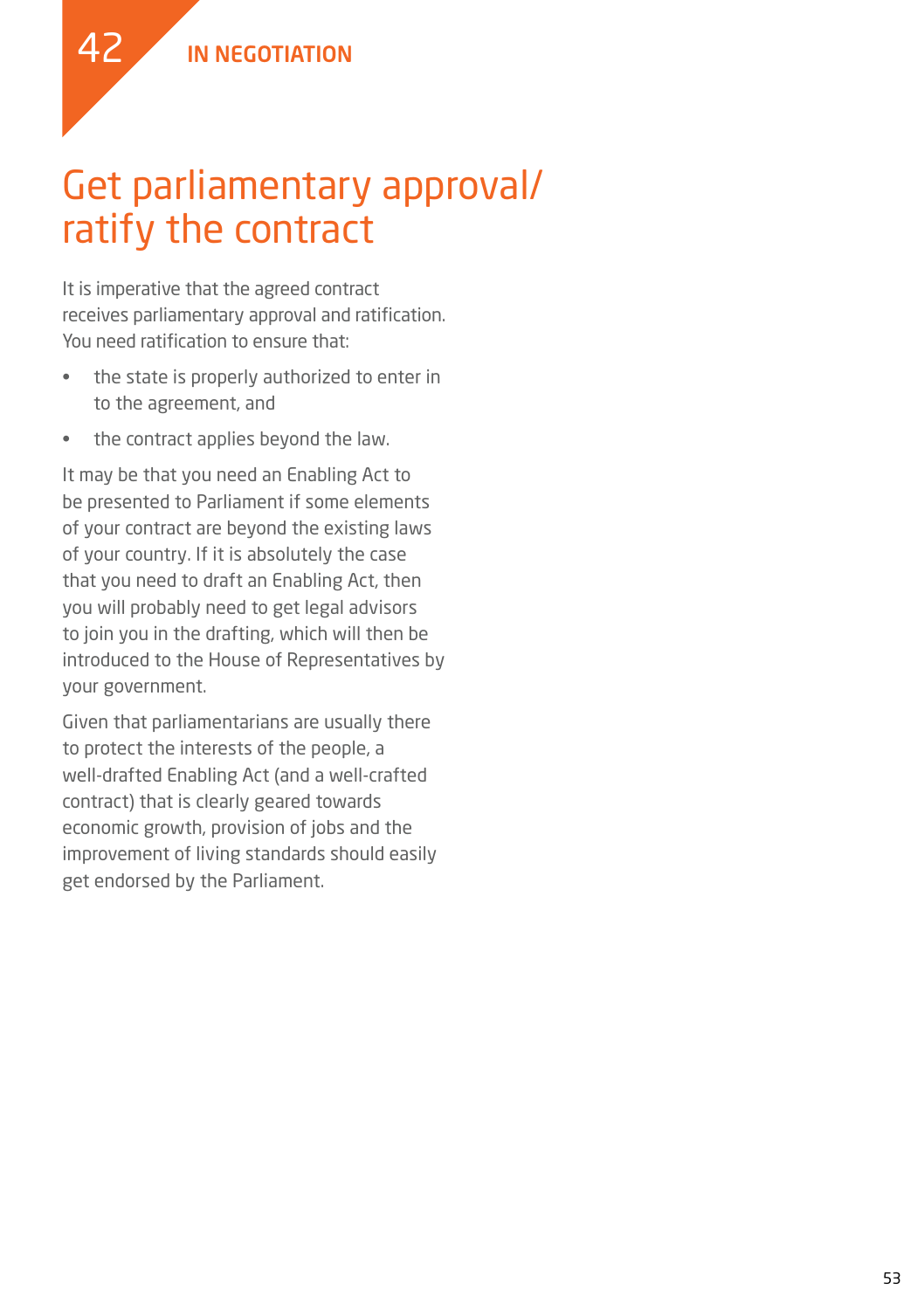

### Get parliamentary approval/ ratify the contract

It is imperative that the agreed contract receives parliamentary approval and ratification. You need ratification to ensure that:

- • the state is properly authorized to enter in to the agreement, and
- the contract applies beyond the law.

It may be that you need an Enabling Act to be presented to Parliament if some elements of your contract are beyond the existing laws of your country. If it is absolutely the case that you need to draft an Enabling Act, then you will probably need to get legal advisors to join you in the drafting, which will then be introduced to the House of Representatives by your government.

Given that parliamentarians are usually there to protect the interests of the people, a well-drafted Enabling Act (and a well-crafted contract) that is clearly geared towards economic growth, provision of jobs and the improvement of living standards should easily get endorsed by the Parliament.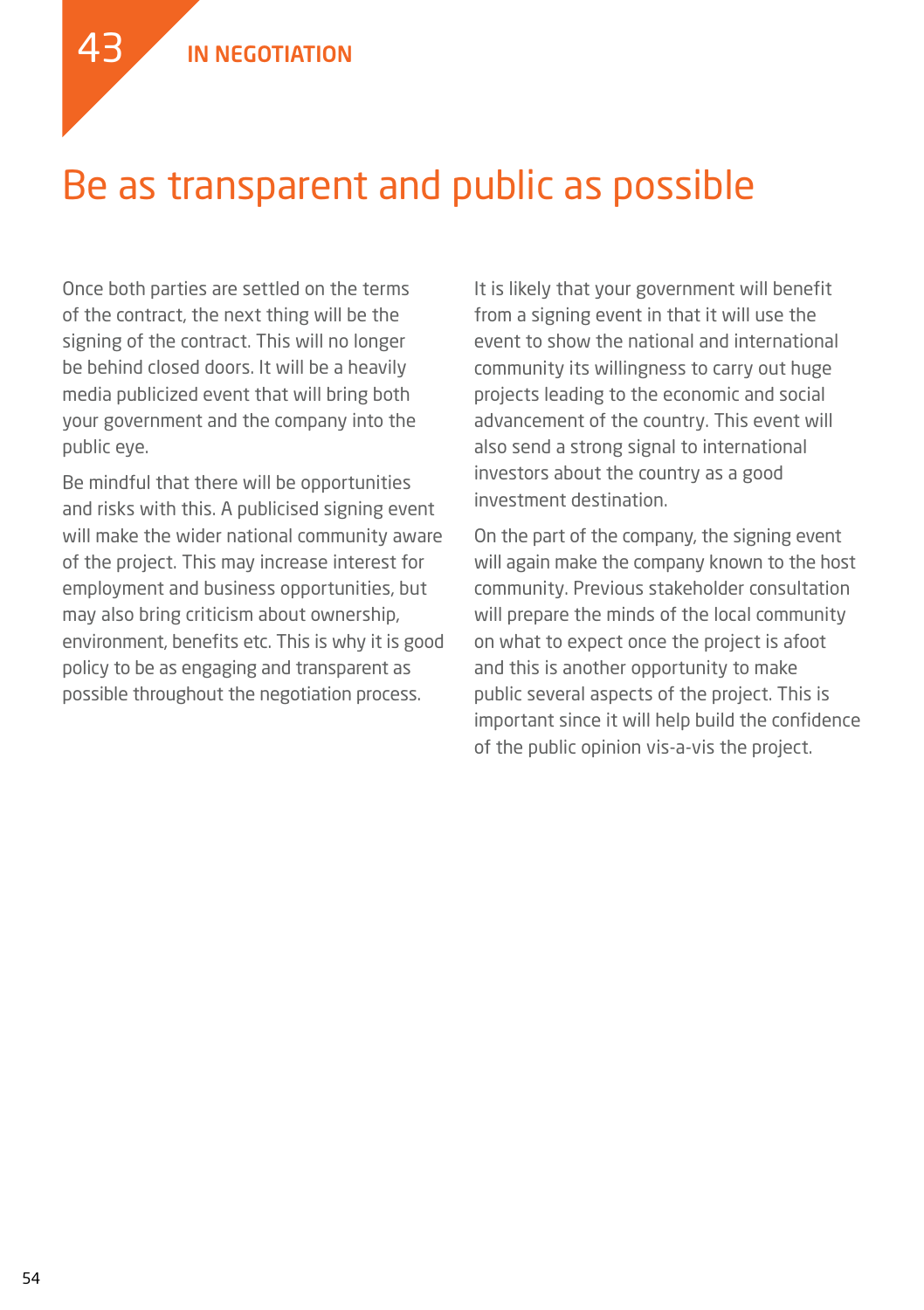

### Be as transparent and public as possible

Once both parties are settled on the terms of the contract, the next thing will be the signing of the contract. This will no longer be behind closed doors. It will be a heavily media publicized event that will bring both your government and the company into the public eye.

Be mindful that there will be opportunities and risks with this. A publicised signing event will make the wider national community aware of the project. This may increase interest for employment and business opportunities, but may also bring criticism about ownership, environment, benefits etc. This is why it is good policy to be as engaging and transparent as possible throughout the negotiation process.

It is likely that your government will benefit from a signing event in that it will use the event to show the national and international community its willingness to carry out huge projects leading to the economic and social advancement of the country. This event will also send a strong signal to international investors about the country as a good investment destination.

On the part of the company, the signing event will again make the company known to the host community. Previous stakeholder consultation will prepare the minds of the local community on what to expect once the project is afoot and this is another opportunity to make public several aspects of the project. This is important since it will help build the confidence of the public opinion vis-a-vis the project.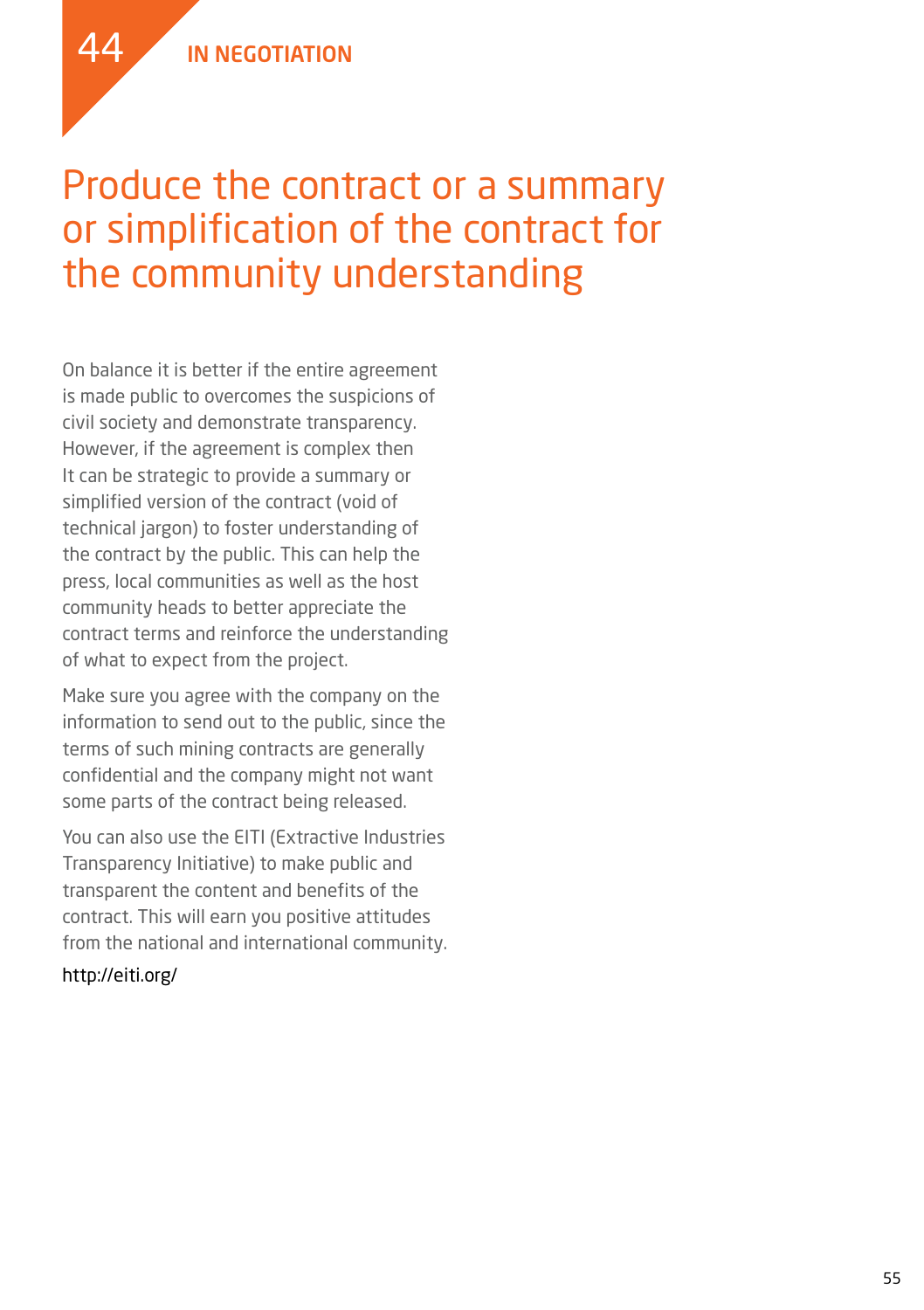#### Produce the contract or a summary or simplification of the contract for the community understanding

On balance it is better if the entire agreement is made public to overcomes the suspicions of civil society and demonstrate transparency. However, if the agreement is complex then It can be strategic to provide a summary or simplified version of the contract (void of technical jargon) to foster understanding of the contract by the public. This can help the press, local communities as well as the host community heads to better appreciate the contract terms and reinforce the understanding of what to expect from the project.

Make sure you agree with the company on the information to send out to the public, since the terms of such mining contracts are generally confidential and the company might not want some parts of the contract being released.

You can also use the EITI (Extractive Industries Transparency Initiative) to make public and transparent the content and benefits of the contract. This will earn you positive attitudes from the national and international community.

#### http://eiti.org/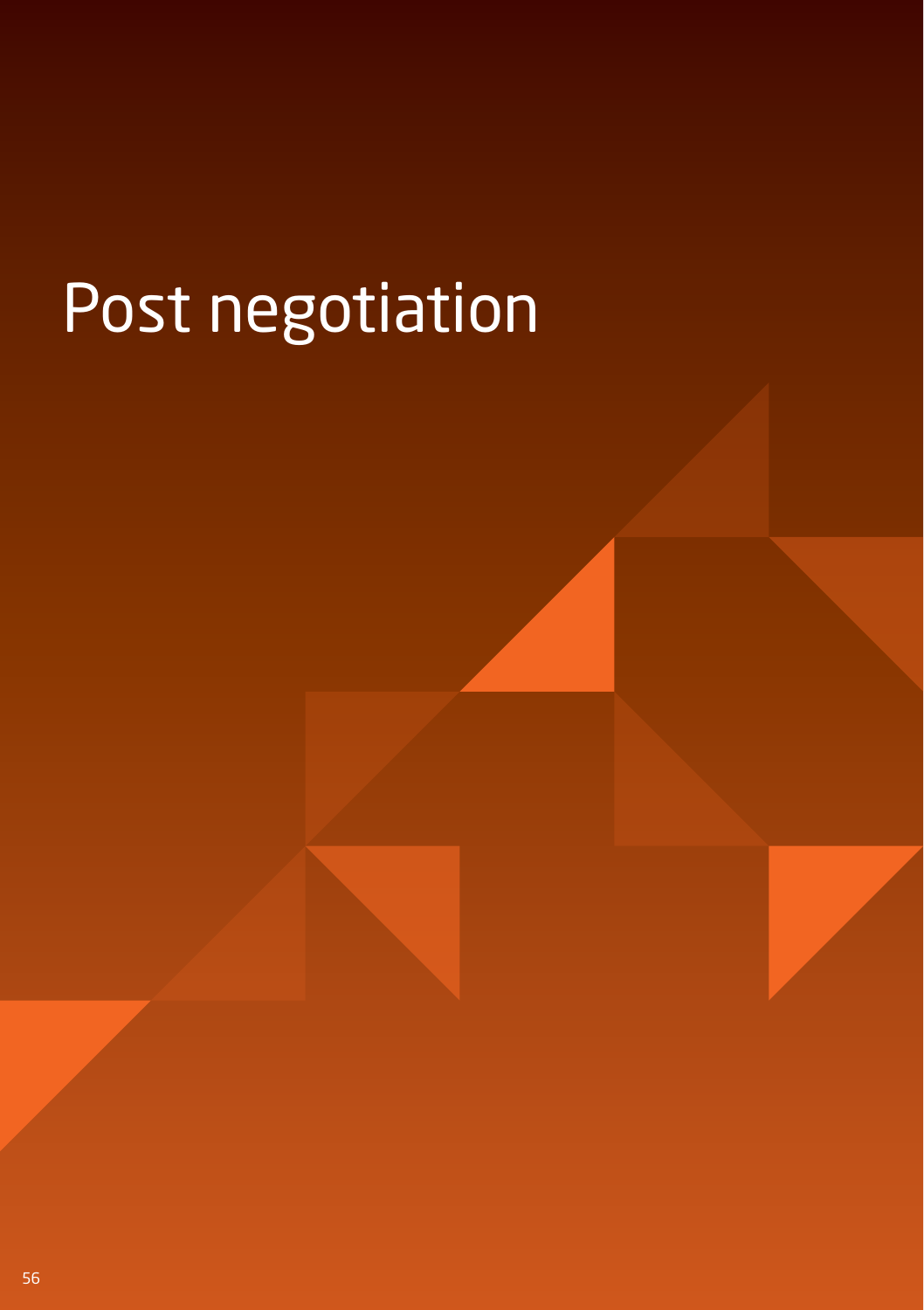# Post negotiation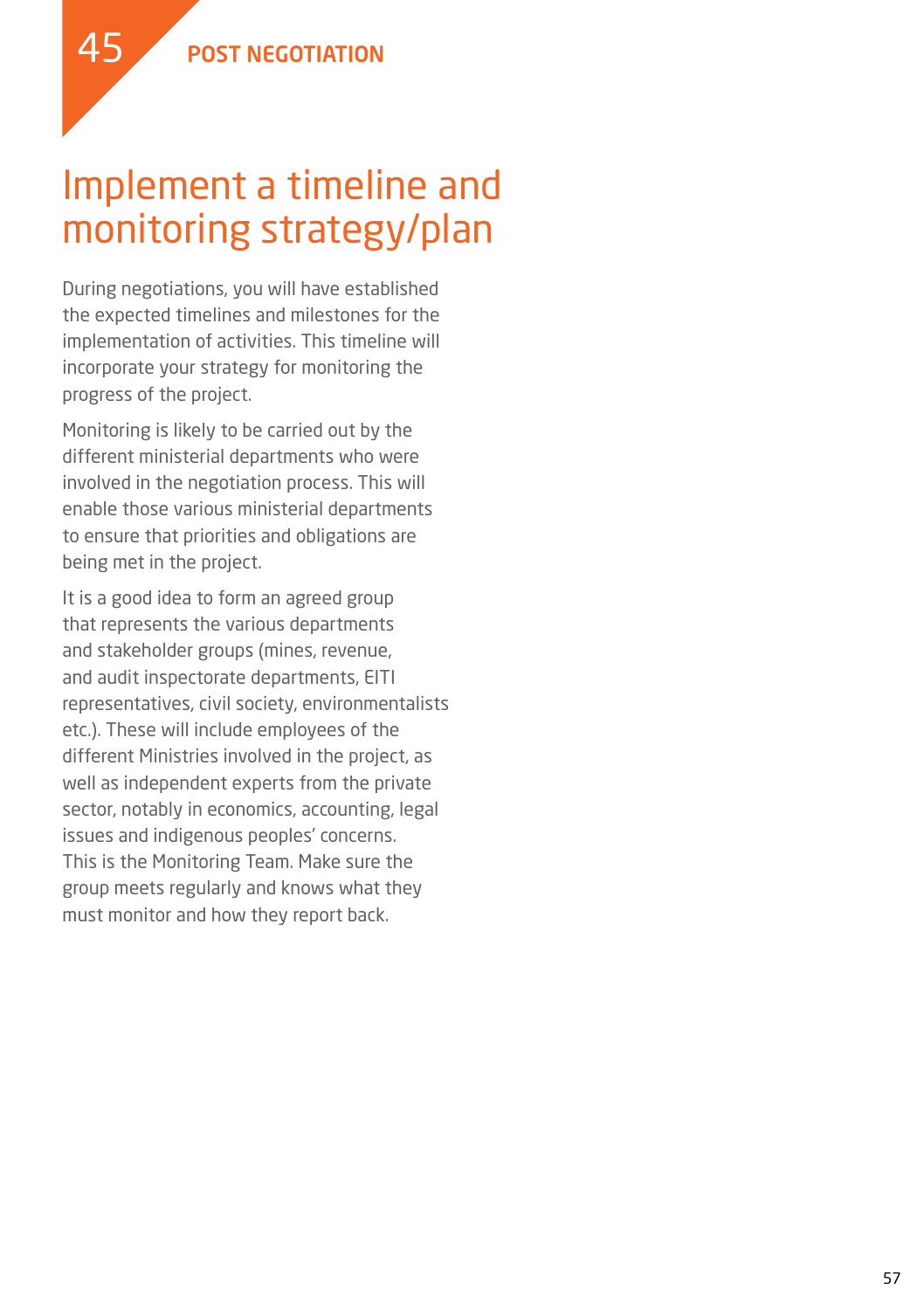

During negotiations, you will have established the expected timelines and milestones for the implementation of activities. This timeline will incorporate your strategy for monitoring the progress of the project.

Monitoring is likely to be carried out by the different ministerial departments who were involved in the negotiation process. This will enable those various ministerial departments to ensure that priorities and obligations are being met in the project.

It is a good idea to form an agreed group that represents the various departments and stakeholder groups (mines, revenue, and audit inspectorate departments, EITI representatives, civil society, environmentalists etc.). These will include employees of the different Ministries involved in the project, as well as independent experts from the private sector, notably in economics, accounting, legal issues and indigenous peoples' concerns. This is the Monitoring Team. Make sure the group meets regularly and knows what they must monitor and how they report back.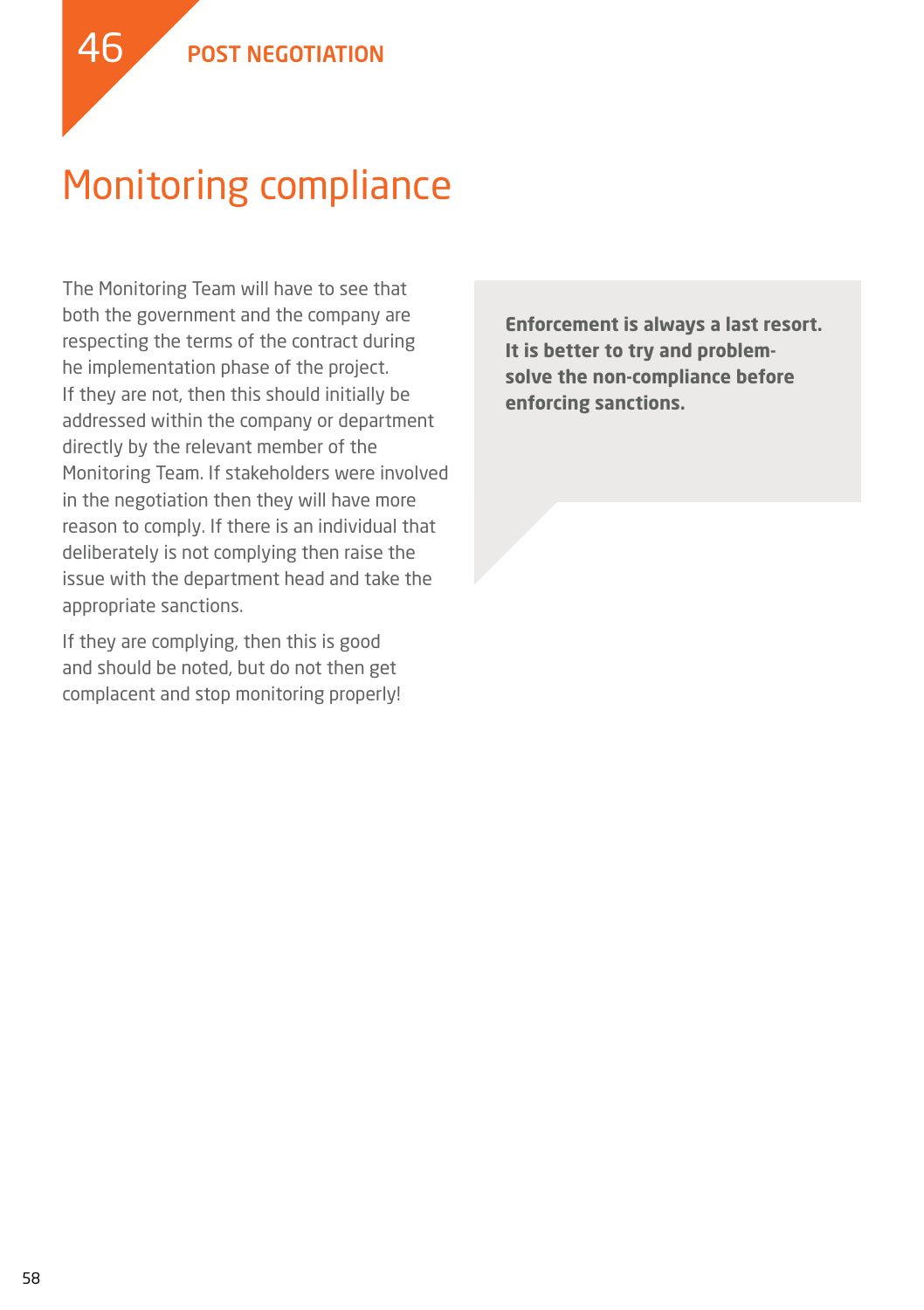### Monitoring compliance

The Monitoring Team will have to see that both the government and the company are respecting the terms of the contract during he implementation phase of the project. If they are not, then this should initially be addressed within the company or department directly by the relevant member of the Monitoring Team. If stakeholders were involved in the negotiation then they will have more reason to comply. If there is an individual that deliberately is not complying then raise the issue with the department head and take the appropriate sanctions.

If they are complying, then this is good and should be noted, but do not then get complacent and stop monitoring properly! **Enforcement is always a last resort. It is better to try and problemsolve the non-compliance before enforcing sanctions.**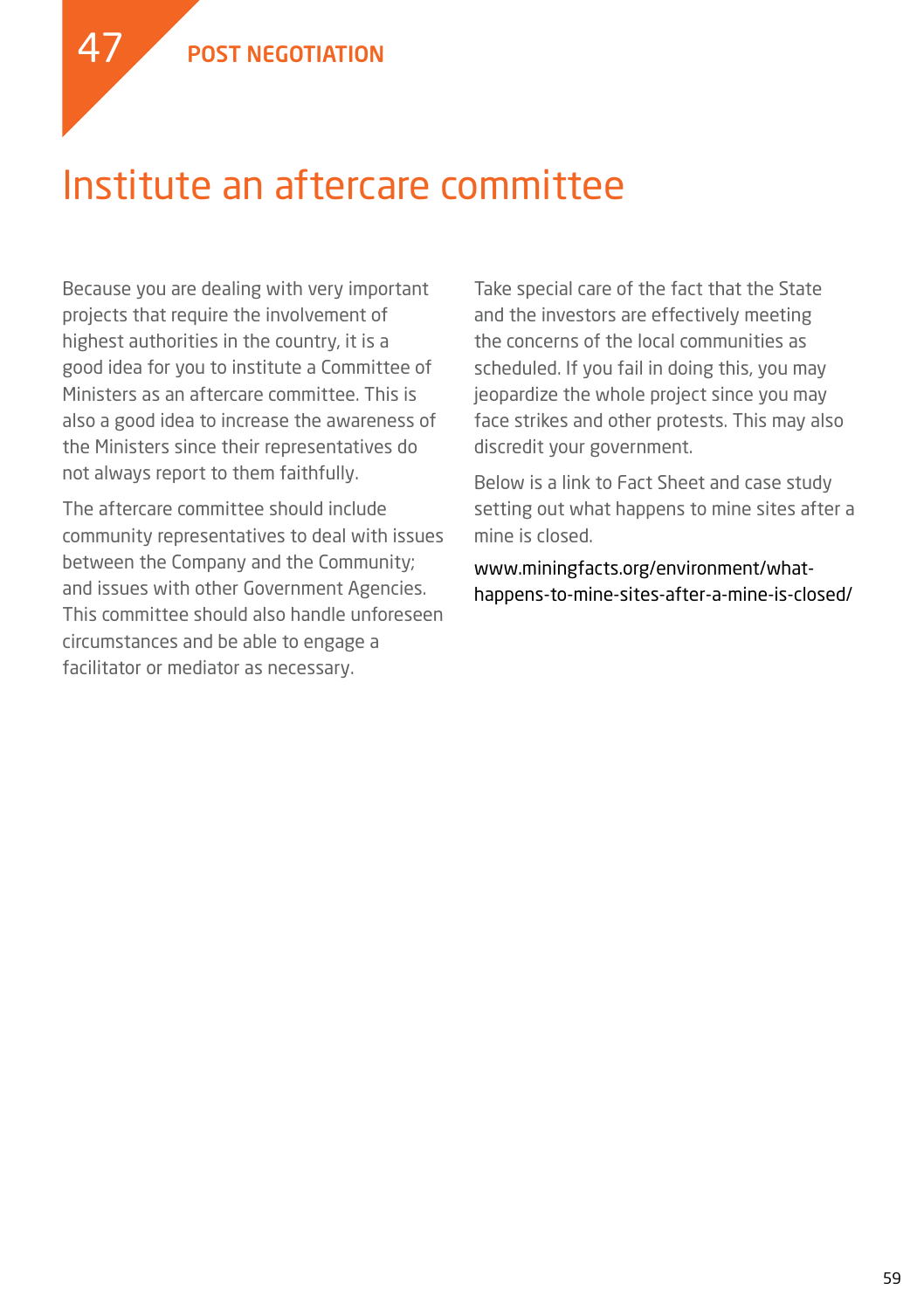47



Because you are dealing with very important projects that require the involvement of highest authorities in the country, it is a good idea for you to institute a Committee of Ministers as an aftercare committee. This is also a good idea to increase the awareness of the Ministers since their representatives do not always report to them faithfully.

The aftercare committee should include community representatives to deal with issues between the Company and the Community; and issues with other Government Agencies. This committee should also handle unforeseen circumstances and be able to engage a facilitator or mediator as necessary.

Take special care of the fact that the State and the investors are effectively meeting the concerns of the local communities as scheduled. If you fail in doing this, you may jeopardize the whole project since you may face strikes and other protests. This may also discredit your government.

Below is a link to Fact Sheet and case study setting out what happens to mine sites after a mine is closed.

www.miningfacts.org/environment/whathappens-to-mine-sites-after-a-mine-is-closed/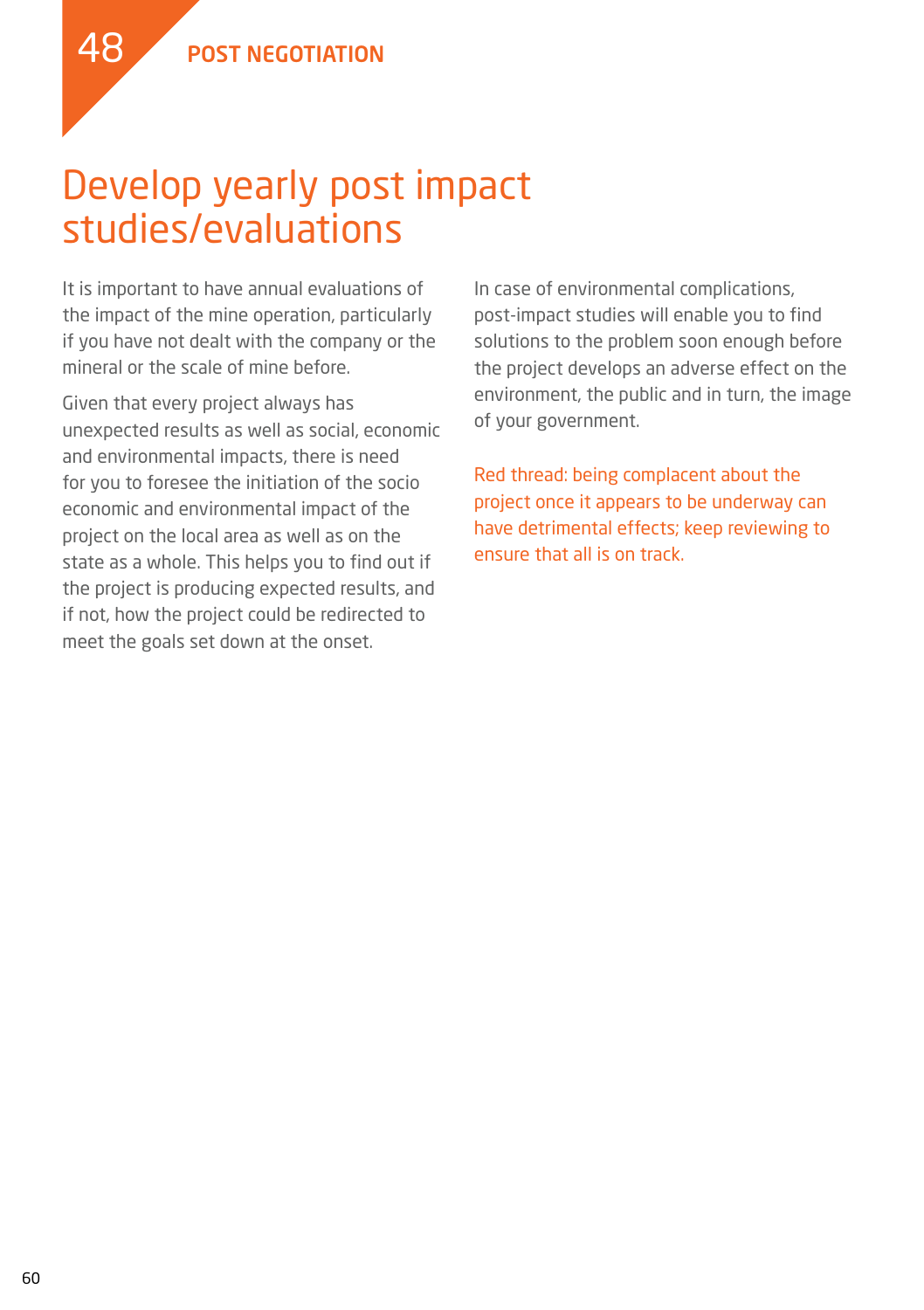### Develop yearly post impact studies/evaluations

It is important to have annual evaluations of the impact of the mine operation, particularly if you have not dealt with the company or the mineral or the scale of mine before.

Given that every project always has unexpected results as well as social, economic and environmental impacts, there is need for you to foresee the initiation of the socio economic and environmental impact of the project on the local area as well as on the state as a whole. This helps you to find out if the project is producing expected results, and if not, how the project could be redirected to meet the goals set down at the onset.

In case of environmental complications, post-impact studies will enable you to find solutions to the problem soon enough before the project develops an adverse effect on the environment, the public and in turn, the image of your government.

Red thread: being complacent about the project once it appears to be underway can have detrimental effects; keep reviewing to ensure that all is on track.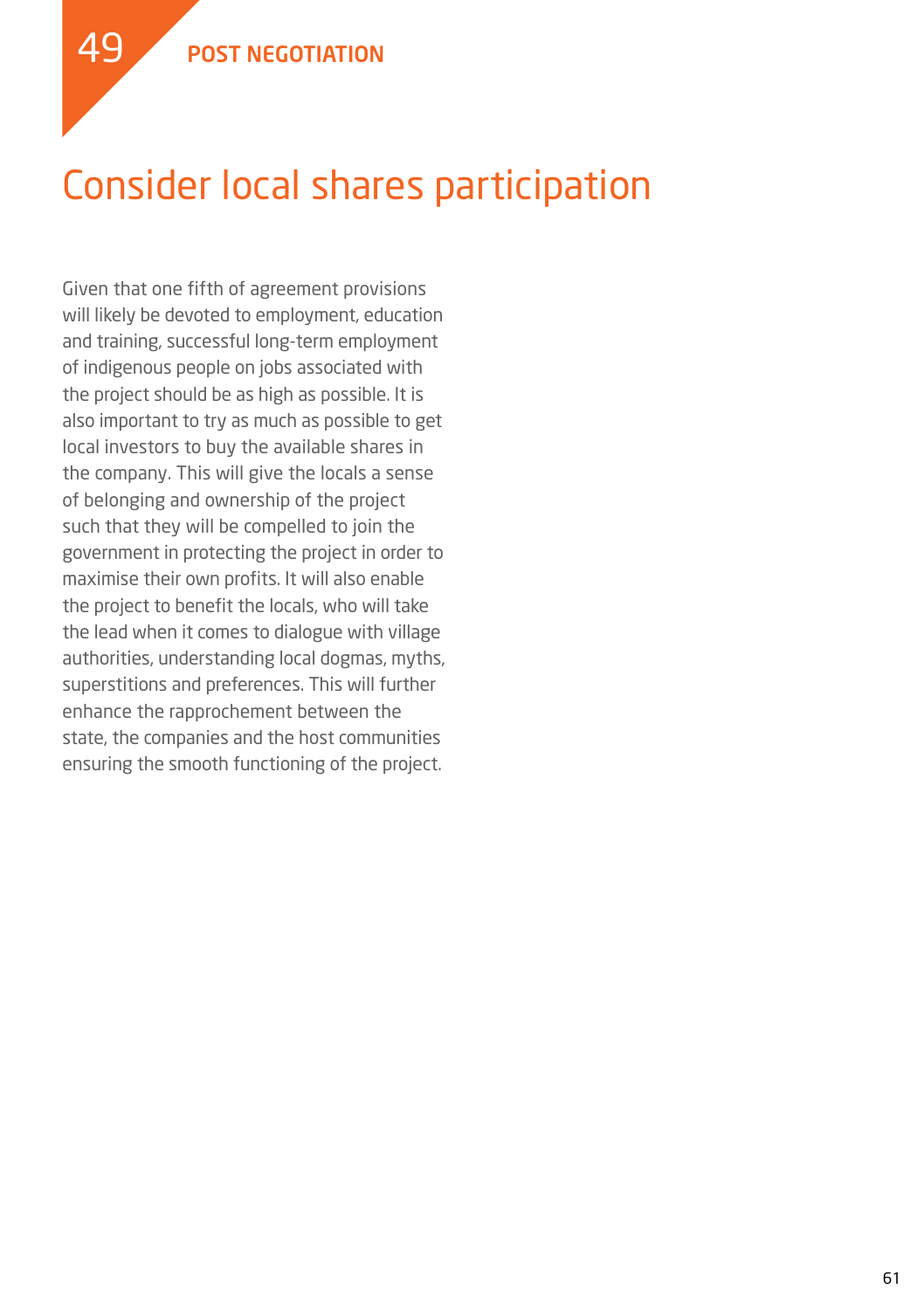### Consider local shares participation

Given that one fifth of agreement provisions will likely be devoted to employment, education and training, successful long-term employment of indigenous people on jobs associated with the project should be as high as possible. It is also important to try as much as possible to get local investors to buy the available shares in the company. This will give the locals a sense of belonging and ownership of the project such that they will be compelled to join the government in protecting the project in order to maximise their own profits. It will also enable the project to benefit the locals, who will take the lead when it comes to dialogue with village authorities, understanding local dogmas, myths, superstitions and preferences. This will further enhance the rapprochement between the state, the companies and the host communities ensuring the smooth functioning of the project.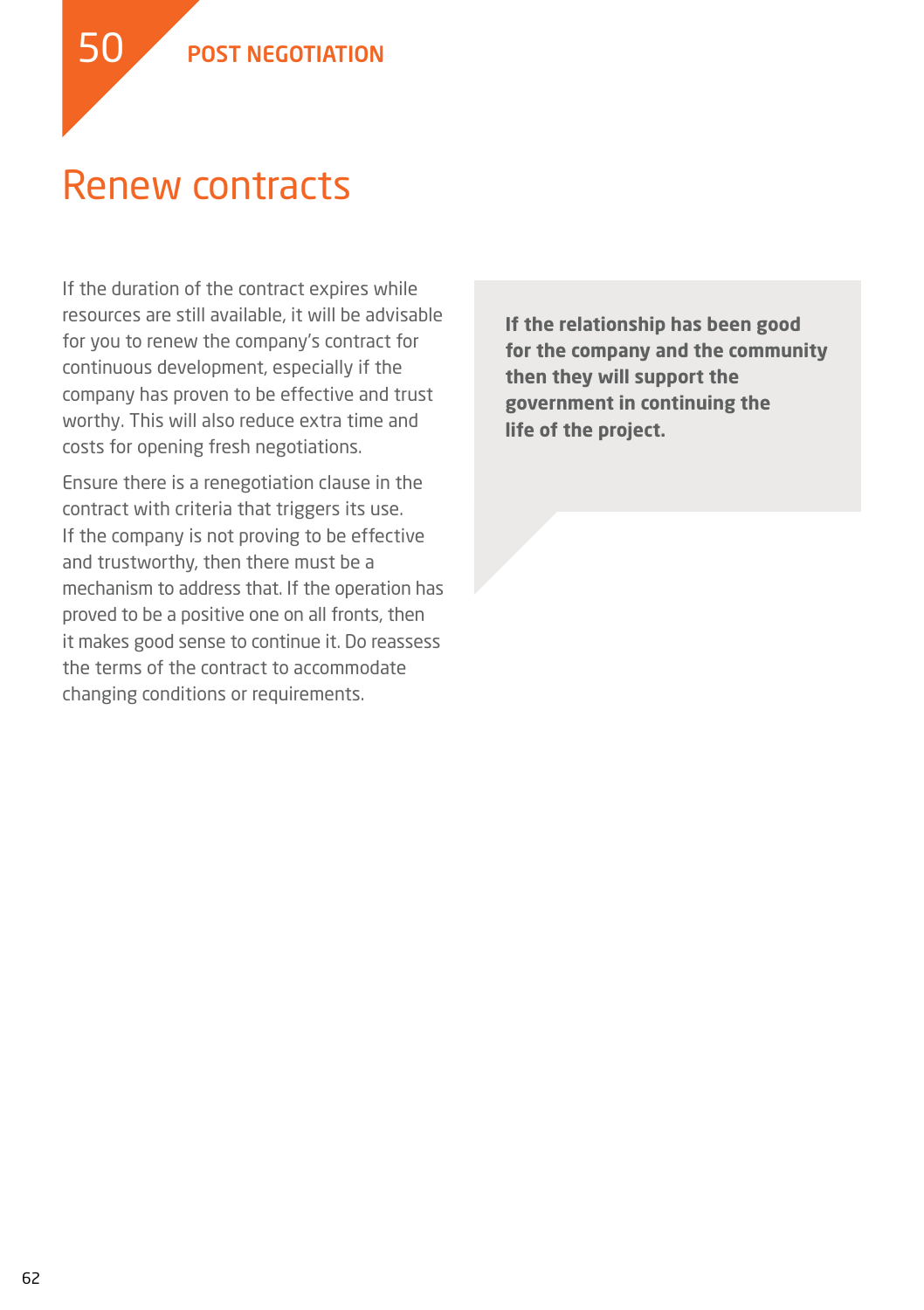### Renew contracts

If the duration of the contract expires while resources are still available, it will be advisable for you to renew the company's contract for continuous development, especially if the company has proven to be effective and trust worthy. This will also reduce extra time and costs for opening fresh negotiations.

Ensure there is a renegotiation clause in the contract with criteria that triggers its use. If the company is not proving to be effective and trustworthy, then there must be a mechanism to address that. If the operation has proved to be a positive one on all fronts, then it makes good sense to continue it. Do reassess the terms of the contract to accommodate changing conditions or requirements.

**If the relationship has been good for the company and the community then they will support the government in continuing the life of the project.**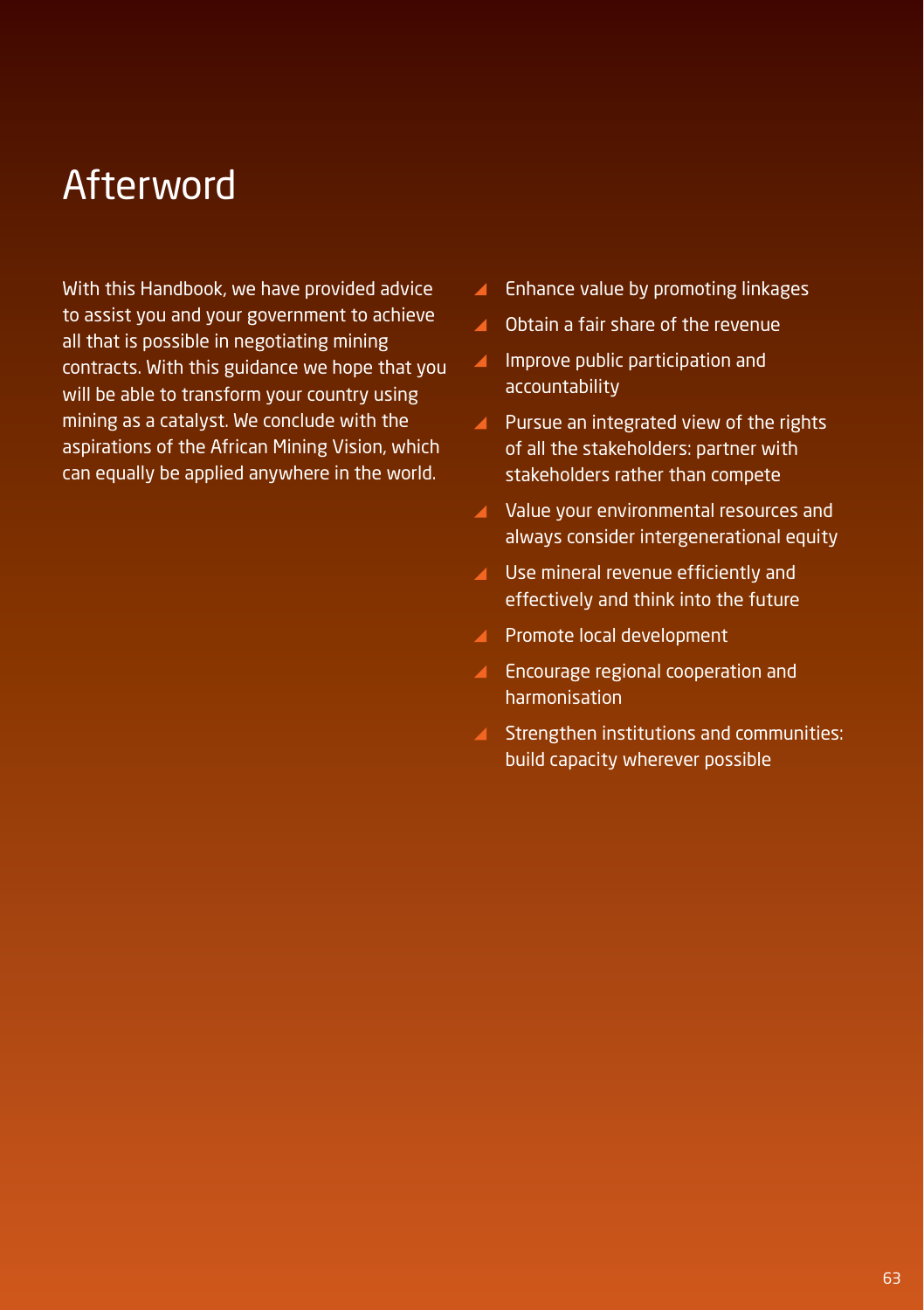#### Afterword

With this Handbook, we have provided advice to assist you and your government to achieve all that is possible in negotiating mining contracts. With this guidance we hope that you will be able to transform your country using mining as a catalyst. We conclude with the aspirations of the African Mining Vision, which can equally be applied anywhere in the world.

- $\blacktriangle$ Enhance value by promoting linkages
- ▲ Obtain a fair share of the revenue
- $\blacktriangleleft$ Improve public participation and accountability
- **Pursue an integrated view of the rights** of all the stakeholders: partner with stakeholders rather than compete
- Value your environmental resources and always consider intergenerational equity
- ▲ Use mineral revenue efficiently and effectively and think into the future
- **Promote local development**
- **Encourage regional cooperation and** harmonisation
- Strengthen institutions and communities: build capacity wherever possible